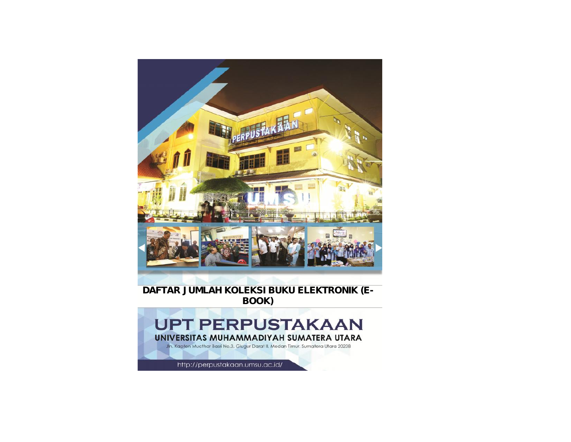

### **DAFTAR JUMLAH KOLEKSI BUKU ELEKTRONIK (E- BOOK)**

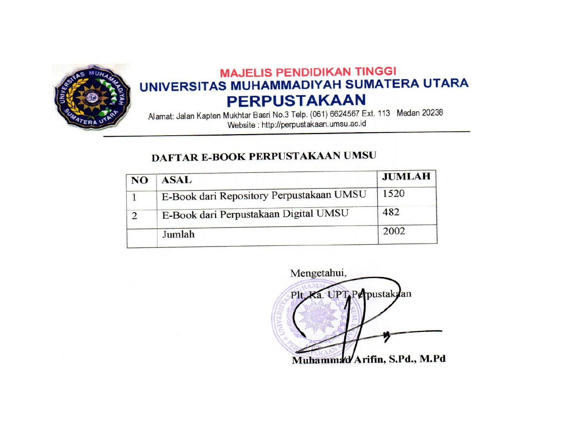

# **MAJELIS PENDIDIKAN TINGGI** UNIVERSITAS MUHAMMADIYAH SUMATERA UTARA **PERPUSTAKAAN**

Alamat: Jalan Kapten Mukhtar Basri No.3 Telp. (061) 6624567 Ext. 113 Medan 20238 Website : http://perpustakaan.umsu.ac.id

## DAFTAR E-BOOK PERPUSTAKAAN UMSU

| <b>NO</b> | <b>ASAL</b>                              | <b>JUMLAH</b> |
|-----------|------------------------------------------|---------------|
|           | E-Book dari Repository Perpustakaan UMSU | 1520          |
|           | E-Book dari Perpustakaan Digital UMSU    | 482           |
|           | Jumlah                                   | 2002          |

Mengetahui, Plt. Ka. UPT. Perpustakdan Muhammad Arifin, S.Pd., M.Pd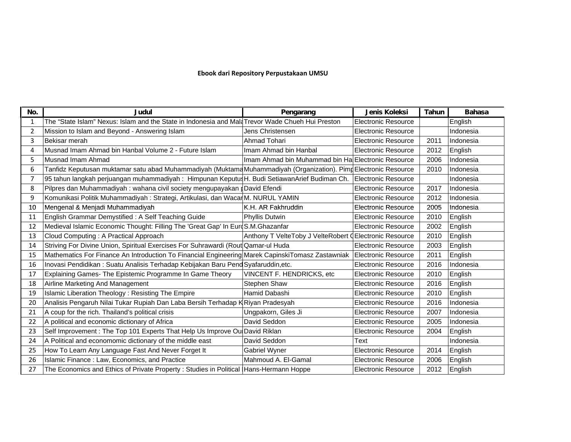#### **Ebook dari Repository Perpustakaan UMSU**

| No. | <b>Judul</b>                                                                                                     | Pengarang                                           | Jenis Koleksi              | <b>Tahun</b> | <b>Bahasa</b> |
|-----|------------------------------------------------------------------------------------------------------------------|-----------------------------------------------------|----------------------------|--------------|---------------|
| -1  | The "State Islam" Nexus: Islam and the State in Indonesia and MalaTrevor Wade Chueh Hui Preston                  |                                                     | Electronic Resource        |              | English       |
| 2   | Mission to Islam and Beyond - Answering Islam                                                                    | Jens Christensen                                    | <b>Electronic Resource</b> |              | Indonesia     |
| 3   | Bekisar merah                                                                                                    | Ahmad Tohari                                        | <b>Electronic Resource</b> | 2011         | Indonesia     |
| 4   | Musnad Imam Ahmad bin Hanbal Volume 2 - Future Islam                                                             | Imam Ahmad bin Hanbal                               | <b>Electronic Resource</b> | 2012         | English       |
| 5   | Musnad Imam Ahmad                                                                                                | Imam Ahmad bin Muhammad bin Hal Electronic Resource |                            | 2006         | Indonesia     |
| 6   | Tanfidz Keputusan muktamar satu abad Muhammadiyah (Muktama Muhammadiyah (Organization). Pimp Electronic Resource |                                                     |                            | 2010         | Indonesia     |
| 7   | 95 tahun langkah perjuangan muhammadiyah: Himpunan Keputus H. Budi SetiawanArief Budiman Ch.                     |                                                     | Electronic Resource        |              | Indonesia     |
| 8   | Pilpres dan Muhammadiyah : wahana civil society mengupayakan dDavid Efendi                                       |                                                     | <b>Electronic Resource</b> | 2017         | Indonesia     |
| 9   | Komunikasi Politik Muhammadiyah: Strategi, Artikulasi, dan WacarM. NURUL YAMIN                                   |                                                     | <b>Electronic Resource</b> | 2012         | Indonesia     |
| 10  | Mengenal & Menjadi Muhammadiyah                                                                                  | K.H. AR Fakhruddin                                  | <b>Electronic Resource</b> | 2005         | Indonesia     |
| 11  | English Grammar Demystified: A Self Teaching Guide                                                               | Phyllis Dutwin                                      | <b>Electronic Resource</b> | 2010         | English       |
| 12  | Medieval Islamic Economic Thought: Filling The 'Great Gap' In EuroS.M.Ghazanfar                                  |                                                     | <b>Electronic Resource</b> | 2002         | English       |
| 13  | Cloud Computing: A Practical Approach                                                                            | Anthony T VelteToby J VelteRobert O                 | <b>Electronic Resource</b> | 2010         | English       |
| 14  | Striving For Divine Union, Spiritual Exercises For Suhrawardi (Rout Qamar-ul Huda                                |                                                     | <b>Electronic Resource</b> | 2003         | English       |
| 15  | Mathematics For Finance An Introduction To Financial Engineering Marek CapinskiTomasz Zastawniak                 |                                                     | Electronic Resource        | 2011         | English       |
| 16  | Inovasi Pendidikan: Suatu Analisis Terhadap Kebijakan Baru Pend Syafaruddin, etc.                                |                                                     | <b>Electronic Resource</b> | 2016         | Indonesia     |
| 17  | Explaining Games- The Epistemic Programme In Game Theory                                                         | <b>VINCENT F. HENDRICKS, etc.</b>                   | <b>Electronic Resource</b> | 2010         | English       |
| 18  | Airline Marketing And Management                                                                                 | Stephen Shaw                                        | <b>Electronic Resource</b> | 2016         | English       |
| 19  | Islamic Liberation Theology: Resisting The Empire                                                                | Hamid Dabashi                                       | <b>Electronic Resource</b> | 2010         | English       |
| 20  | Analisis Pengaruh Nilai Tukar Rupiah Dan Laba Bersih Terhadap KRiyan Pradesyah                                   |                                                     | <b>Electronic Resource</b> | 2016         | Indonesia     |
| 21  | A coup for the rich. Thailand's political crisis                                                                 | Ungpakorn, Giles Ji                                 | <b>Electronic Resource</b> | 2007         | Indonesia     |
| 22  | A political and economic dictionary of Africa                                                                    | David Seddon                                        | <b>Electronic Resource</b> | 2005         | Indonesia     |
| 23  | Self Improvement : The Top 101 Experts That Help Us Improve Ou David Riklan                                      |                                                     | <b>Electronic Resource</b> | 2004         | English       |
| 24  | A Political and economomic dictionary of the middle east                                                         | David Seddon                                        | Text                       |              | Indonesia     |
| 25  | How To Learn Any Language Fast And Never Forget It                                                               | Gabriel Wyner                                       | <b>Electronic Resource</b> | 2014         | English       |
| 26  | Islamic Finance: Law, Economics, and Practice                                                                    | Mahmoud A. El-Gamal                                 | <b>Electronic Resource</b> | 2006         | English       |
| 27  | The Economics and Ethics of Private Property : Studies in Political   Hans-Hermann Hoppe                         |                                                     | <b>Electronic Resource</b> | 2012         | English       |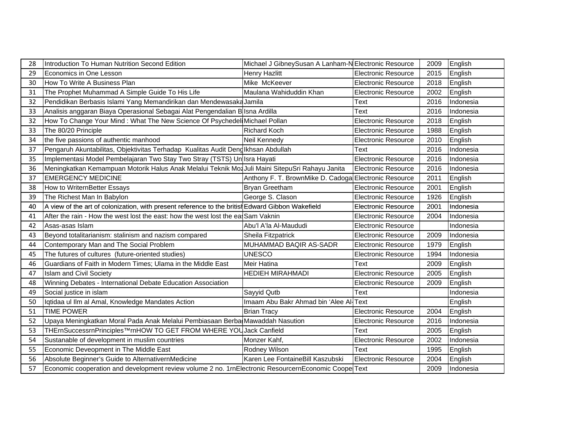| Introduction To Human Nutrition Second Edition                                                   | Michael J GibneySusan A Lanham-N Electronic Resource  |                            |      | 2009 English   |
|--------------------------------------------------------------------------------------------------|-------------------------------------------------------|----------------------------|------|----------------|
| Economics in One Lesson<br>29                                                                    | <b>Henry Hazlitt</b>                                  | <b>Electronic Resource</b> |      | 2015 English   |
| How To Write A Business Plan<br>30                                                               | Mike McKeever                                         | <b>Electronic Resource</b> |      | 2018 English   |
| The Prophet Muhammad A Simple Guide To His Life<br>31                                            | Maulana Wahiduddin Khan                               | <b>Electronic Resource</b> |      | 2002 English   |
| Pendidikan Berbasis Islami Yang Memandirikan dan Mendewasaka Jamila                              |                                                       | Text                       |      | 2016 Indonesia |
| Analisis anggaran Biaya Operasional Sebagai Alat Pengendalian B Isna Ardilla<br>33               |                                                       | Text                       | 2016 | Indonesia      |
| How To Change Your Mind: What The New Science Of Psychedel Michael Pollan                        |                                                       | <b>Electronic Resource</b> |      | 2018 English   |
| The 80/20 Principle<br>33                                                                        | <b>Richard Koch</b>                                   | <b>Electronic Resource</b> |      | 1988 English   |
| the five passions of authentic manhood<br>34                                                     | Neil Kennedy                                          | Electronic Resource        |      | 2010 English   |
| Pengaruh Akuntabilitas, Objektivitas Terhadap Kualitas Audit Deng Ikhsan Abdullah                |                                                       | Text                       |      | 2016 Indonesia |
| Implementasi Model Pembelajaran Two Stay Two Stray (TSTS) Un Isra Hayati                         |                                                       | <b>Electronic Resource</b> |      | 2016 Indonesia |
| Meningkatkan Kemampuan Motorik Halus Anak Melalui Teknik Moa Juli Maini SitepuSri Rahayu Janita  |                                                       | Electronic Resource        |      | 2016 Indonesia |
| <b>EMERGENCY MEDICINE</b><br>37                                                                  | Anthony F. T. BrownMike D. Cadoga Electronic Resource |                            |      | 2011 English   |
| How to WriternBetter Essays<br>38                                                                | <b>Bryan Greetham</b>                                 | Electronic Resource        |      | 2001 English   |
| The Richest Man In Babylon<br>39                                                                 | George S. Clason                                      | <b>Electronic Resource</b> |      | 1926 English   |
| A view of the art of colonization, with present reference to the british Edward Gibbon Wakefield |                                                       | <b>Electronic Resource</b> | 2001 | Indonesia      |
| 41<br>After the rain - How the west lost the east: how the west lost the ea Sam Vaknin           |                                                       | Electronic Resource        | 2004 | Indonesia      |
| 42<br>Asas-asas Islam                                                                            | Abu'l A'la Al-Maududi                                 | <b>Electronic Resource</b> |      | Indonesia      |
| Beyond totalitarianism: stalinism and nazism compared<br>43                                      | Sheila Fitzpatrick                                    | Electronic Resource        |      | 2009 Indonesia |
| Contemporary Man and The Social Problem<br>44                                                    | MUHAMMAD BAQIR AS-SADR                                | Electronic Resource        |      | 1979 English   |
| The futures of cultures (future-oriented studies)                                                | <b>UNESCO</b>                                         | <b>Electronic Resource</b> | 1994 | Indonesia      |
| Guardians of Faith in Modern Times; Ulama in the Middle East                                     | Meir Hatina                                           | Text                       | 2009 | English        |
| <b>Islam and Civil Society</b><br>47                                                             | <b>HEDIEH MIRAHMADI</b>                               | Electronic Resource        |      | 2005 English   |
| Winning Debates - International Debate Education Association                                     |                                                       | <b>Electronic Resource</b> |      | 2009 English   |
| Social justice in islam<br>49                                                                    | Sayyid Qutb                                           | Text                       |      | Indonesia      |
| Iqtidaa ul Ilm al Amal, Knowledge Mandates Action                                                | Imaam Abu Bakr Ahmad bin 'Alee Al-Text                |                            |      | English        |
| <b>TIME POWER</b><br>51                                                                          | <b>Brian Tracy</b>                                    | Electronic Resource        | 2004 | English        |
| Upaya Meningkatkan Moral Pada Anak Melalui Pembiasaan Berba Mawaddah Nasution                    |                                                       | <b>Electronic Resource</b> |      | 2016 Indonesia |
| THErnSuccessrnPrinciples™rnHOW TO GET FROM WHERE YOUJack Canfield                                |                                                       | Text                       | 2005 | English        |
| Sustanable of development in muslim countries                                                    | Monzer Kahf.                                          | <b>Electronic Resource</b> |      | 2002 Indonesia |
| Economic Deveopment in The Middle East<br>55                                                     | Rodney Wilson                                         | Text                       |      | 1995 English   |
|                                                                                                  | Karen Lee FontaineBill Kaszubski                      | Electronic Resource        |      | 2004 English   |
| Absolute Beginner's Guide to AlternativernMedicine<br>56                                         |                                                       |                            |      |                |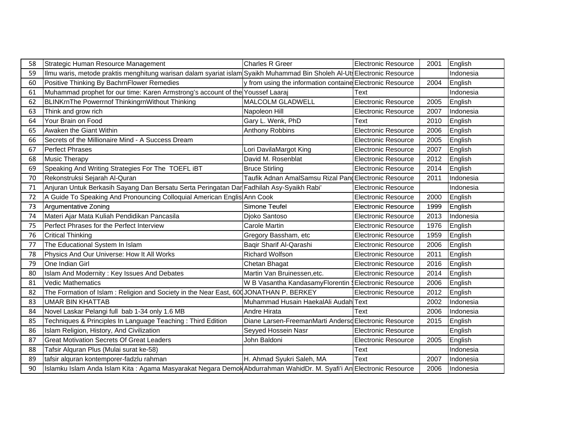| 58 | Strategic Human Resource Management                                                                                     | Charles R Greer                                           | Electronic Resource        | 2001 | English   |
|----|-------------------------------------------------------------------------------------------------------------------------|-----------------------------------------------------------|----------------------------|------|-----------|
| 59 | Ilmu waris, metode praktis menghitung warisan dalam syariat islam Syaikh Muhammad Bin Sholeh Al-Uts Electronic Resource |                                                           |                            |      | Indonesia |
| 60 | Positive Thinking By BachrnFlower Remedies                                                                              | y from using the information containe Electronic Resource |                            | 2004 | English   |
| 61 | Muhammad prophet for our time: Karen Armstrong's account of the Youssef Laaraj                                          |                                                           | Text                       |      | Indonesia |
| 62 | <b>BLINKrnThe Powerrnof ThinkingrnWithout Thinking</b>                                                                  | <b>MALCOLM GLADWELL</b>                                   | <b>Electronic Resource</b> | 2005 | English   |
| 63 | Think and grow rich                                                                                                     | Napoleon Hill                                             | <b>Electronic Resource</b> | 2007 | Indonesia |
| 64 | Your Brain on Food                                                                                                      | Gary L. Wenk, PhD                                         | Text                       | 2010 | English   |
| 65 | Awaken the Giant Within                                                                                                 | Anthony Robbins                                           | <b>Electronic Resource</b> | 2006 | English   |
| 66 | Secrets of the Millionaire Mind - A Success Dream                                                                       |                                                           | <b>Electronic Resource</b> | 2005 | English   |
| 67 | <b>Perfect Phrases</b>                                                                                                  | Lori DavilaMargot King                                    | <b>Electronic Resource</b> | 2007 | English   |
| 68 | <b>Music Therapy</b>                                                                                                    | David M. Rosenblat                                        | <b>Electronic Resource</b> | 2012 | English   |
| 69 | Speaking And Writing Strategies For The TOEFL iBT                                                                       | <b>Bruce Stirling</b>                                     | <b>Electronic Resource</b> | 2014 | English   |
| 70 | Rekonstruksi Sejarah Al-Quran                                                                                           | Taufik Adnan AmalSamsu Rizal PangElectronic Resource      |                            | 2011 | Indonesia |
| 71 | Anjuran Untuk Berkasih Sayang Dan Bersatu Serta Peringatan Dar Fadhilah Asy-Syaikh Rabi'                                |                                                           | <b>Electronic Resource</b> |      | Indonesia |
| 72 | A Guide To Speaking And Pronouncing Colloquial American Englis Ann Cook                                                 |                                                           | <b>Electronic Resource</b> | 2000 | English   |
| 73 | Argumentative Zoning                                                                                                    | Simone Teufel                                             | <b>Electronic Resource</b> | 1999 | English   |
| 74 | Materi Ajar Mata Kuliah Pendidikan Pancasila                                                                            | Djoko Santoso                                             | <b>Electronic Resource</b> | 2013 | Indonesia |
| 75 | Perfect Phrases for the Perfect Interview                                                                               | Carole Martin                                             | <b>Electronic Resource</b> | 1976 | English   |
| 76 | <b>Critical Thinking</b>                                                                                                | Gregory Bassham, etc                                      | <b>Electronic Resource</b> | 1959 | English   |
| 77 | The Educational System In Islam                                                                                         | Baqir Sharif Al-Qarashi                                   | <b>Electronic Resource</b> | 2006 | English   |
| 78 | Physics And Our Universe: How It All Works                                                                              | Richard Wolfson                                           | <b>Electronic Resource</b> | 2011 | English   |
| 79 | One Indian Girl                                                                                                         | Chetan Bhagat                                             | Electronic Resource        | 2016 | English   |
| 80 | Islam And Modernity: Key Issues And Debates                                                                             | Martin Van Bruinessen, etc.                               | <b>Electronic Resource</b> | 2014 | English   |
| 81 | <b>Vedic Mathematics</b>                                                                                                | W B Vasantha KandasamyFlorentin § Electronic Resource     |                            | 2006 | English   |
| 82 | The Formation of Islam: Religion and Society in the Near East, 600 JONATHAN P. BERKEY                                   |                                                           | <b>Electronic Resource</b> | 2012 | English   |
| 83 | <b>UMAR BIN KHATTAB</b>                                                                                                 | Muhammad Husain HaekalAli Audah Text                      |                            | 2002 | Indonesia |
| 84 | Novel Laskar Pelangi full bab 1-34 only 1.6 MB                                                                          | Andre Hirata                                              | Text                       | 2006 | Indonesia |
| 85 | Techniques & Principles In Language Teaching: Third Edition                                                             | Diane Larsen-FreemanMarti Andersd Electronic Resource     |                            | 2015 | English   |
| 86 | Islam Religion, History, And Civilization                                                                               | Seyyed Hossein Nasr                                       | <b>Electronic Resource</b> |      | English   |
| 87 | <b>Great Motivation Secrets Of Great Leaders</b>                                                                        | John Baldoni                                              | <b>Electronic Resource</b> | 2005 | English   |
| 88 | Tafsir Alquran Plus (Mulai surat ke-58)                                                                                 |                                                           | Text                       |      | Indonesia |
| 89 | tafsir alquran kontemporer-fadzlu rahman                                                                                | H. Ahmad Syukri Saleh, MA                                 | Text                       | 2007 | Indonesia |
| 90 | Islamku Islam Anda Islam Kita: Agama Masyarakat Negara Demok Abdurrahman WahidDr. M. Syafi'i An Electronic Resource     |                                                           |                            | 2006 | Indonesia |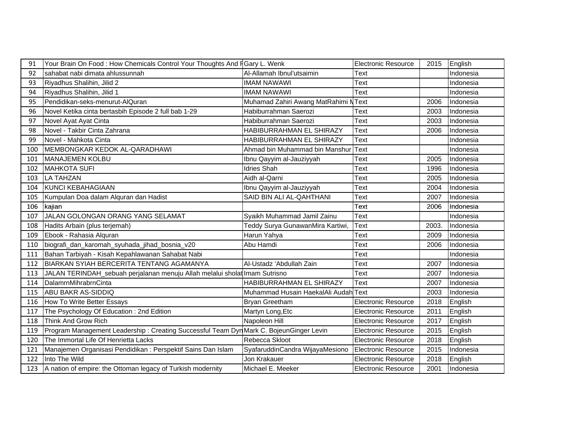| 91  | Your Brain On Food: How Chemicals Control Your Thoughts And FGary L. Wenk              |                                      | Electronic Resource        | 2015  | English   |
|-----|----------------------------------------------------------------------------------------|--------------------------------------|----------------------------|-------|-----------|
| 92  | sahabat nabi dimata ahlussunnah                                                        | Al-Allamah Ibnul'utsaimin            | Text                       |       | Indonesia |
| 93  | Riyadhus Shalihin, Jilid 2                                                             | <b>IMAM NAWAWI</b>                   | Text                       |       | Indonesia |
| 94  | Riyadhus Shalihin, Jilid 1                                                             | <b>IMAM NAWAWI</b>                   | Text                       |       | Indonesia |
| 95  | Pendidikan-seks-menurut-AlQuran                                                        | Muhamad Zahiri Awang MatRahimi NText |                            | 2006  | Indonesia |
| 96  | Novel Ketika cinta bertasbih Episode 2 full bab 1-29                                   | Habiburrahman Saerozi                | Text                       | 2003  | Indonesia |
| 97  | Novel Ayat Ayat Cinta                                                                  | Habiburrahman Saerozi                | Text                       | 2003  | Indonesia |
| 98  | Novel - Takbir Cinta Zahrana                                                           | HABIBURRAHMAN EL SHIRAZY             | <b>Text</b>                | 2006  | Indonesia |
| 99  | Novel - Mahkota Cinta                                                                  | HABIBURRAHMAN EL SHIRAZY             | Text                       |       | Indonesia |
| 100 | MEMBONGKAR KEDOK AL-QARADHAWI                                                          | Ahmad bin Muhammad bin Manshur       | Text                       |       | Indonesia |
| 101 | MANAJEMEN KOLBU                                                                        | Ibnu Qayyim al-Jauziyyah             | Text                       | 2005  | Indonesia |
| 102 | <b>MAHKOTA SUFI</b>                                                                    | <b>Idries Shah</b>                   | Text                       | 1996  | Indonesia |
| 103 | <b>LA TAHZAN</b>                                                                       | Aidh al-Qarni                        | Text                       | 2005  | Indonesia |
| 104 | <b>KUNCI KEBAHAGIAAN</b>                                                               | Ibnu Qayyim al-Jauziyyah             | Text                       | 2004  | Indonesia |
| 105 | Kumpulan Doa dalam Alquran dan Hadist                                                  | SAID BIN ALI AL-QAHTHANI             | Text                       | 2007  | Indonesia |
| 106 | kajian                                                                                 |                                      | Text                       | 2006  | Indonesia |
| 107 | JALAN GOLONGAN ORANG YANG SELAMAT                                                      | Syaikh Muhammad Jamil Zainu          | <b>Text</b>                |       | Indonesia |
| 108 | Hadits Arbain (plus terjemah)                                                          | Teddy Surya GunawanMira Kartiwi,     | <b>Text</b>                | 2003. | Indonesia |
| 109 | Ebook - Rahasia Alquran                                                                | Harun Yahya                          | Text                       | 2009  | Indonesia |
| 110 | biografi_dan_karomah_syuhada_jihad_bosnia_v20                                          | Abu Hamdi                            | Text                       | 2006  | Indonesia |
| 111 | Bahan Tarbiyah - Kisah Kepahlawanan Sahabat Nabi                                       |                                      | Text                       |       | Indonesia |
| 112 | BIARKAN SYIAH BERCERITA TENTANG AGAMANYA                                               | Al-Ustadz 'Abdullah Zain             | <b>Text</b>                | 2007  | Indonesia |
| 113 | JALAN TERINDAH_sebuah perjalanan menuju Allah melalui sholat Imam Sutrisno             |                                      | Text                       | 2007  | Indonesia |
| 114 | DalamrnMihrabrnCinta                                                                   | HABIBURRAHMAN EL SHIRAZY             | <b>Text</b>                | 2007  | Indonesia |
| 115 | ABU BAKR AS-SIDDIQ                                                                     | Muhammad Husain HaekalAli Audah Text |                            | 2003  | Indonesia |
| 116 | How To Write Better Essays                                                             | Bryan Greetham                       | <b>Electronic Resource</b> | 2018  | English   |
| 117 | The Psychology Of Education : 2nd Edition                                              | Martyn Long, Etc                     | <b>Electronic Resource</b> | 2011  | English   |
| 118 | Think And Grow Rich                                                                    | Napoleon Hill                        | <b>Electronic Resource</b> | 2017  | English   |
| 119 | Program Management Leadership: Creating Successful Team Dyn Mark C. BojeunGinger Levin |                                      | <b>Electronic Resource</b> | 2015  | English   |
| 120 | The Immortal Life Of Henrietta Lacks                                                   | Rebecca Skloot                       | <b>Electronic Resource</b> | 2018  | English   |
| 121 | Manajemen Organisasi Pendidikan: Perspektif Sains Dan Islam                            | SyafaruddinCandra WijayaMesiono      | Electronic Resource        | 2015  | Indonesia |
| 122 | Into The Wild                                                                          | Jon Krakauer                         | <b>Electronic Resource</b> | 2018  | English   |
| 123 | A nation of empire: the Ottoman legacy of Turkish modernity                            | Michael E. Meeker                    | <b>Electronic Resource</b> | 2001  | Indonesia |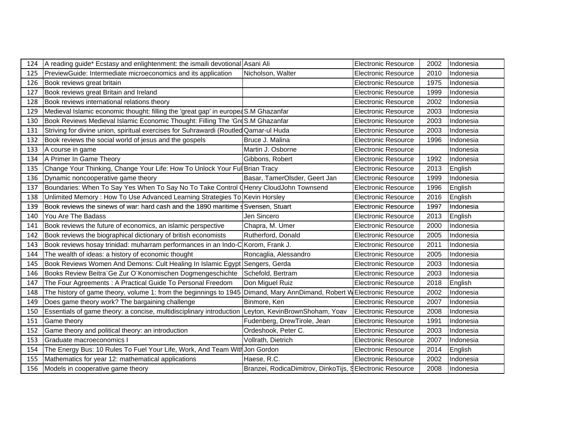| 124 | A reading guide* Ecstasy and enlightenment: the ismaili devotional Asani Ali                        |                                                          | Electronic Resource        | 2002 | Indonesia |
|-----|-----------------------------------------------------------------------------------------------------|----------------------------------------------------------|----------------------------|------|-----------|
| 125 | PreviewGuide: Intermediate microeconomics and its application                                       | Nicholson, Walter                                        | <b>Electronic Resource</b> | 2010 | Indonesia |
| 126 | Book reviews great britain                                                                          |                                                          | <b>Electronic Resource</b> | 1975 | Indonesia |
| 127 | Book reviews great Britain and Ireland                                                              |                                                          | <b>Electronic Resource</b> | 1999 | Indonesia |
| 128 | Book reviews international relations theory                                                         |                                                          | <b>Electronic Resource</b> | 2002 | Indonesia |
| 129 | Medieval Islamic economic thought: filling the 'great gap' in europea S.M Ghazanfar                 |                                                          | <b>Electronic Resource</b> | 2003 | Indonesia |
| 130 | Book Reviews Medieval Islamic Economic Thought: Filling The 'GreS.M Ghazanfar                       |                                                          | <b>Electronic Resource</b> | 2003 | Indonesia |
| 131 | Striving for divine union, spiritual exercises for Suhrawardi (Routled Qamar-ul Huda                |                                                          | <b>Electronic Resource</b> | 2003 | Indonesia |
| 132 | Book reviews the social world of jesus and the gospels                                              | Bruce J. Malina                                          | <b>Electronic Resource</b> | 1996 | Indonesia |
| 133 | A course in game                                                                                    | Martin J. Osborne                                        | <b>Electronic Resource</b> |      | Indonesia |
| 134 | A Primer In Game Theory                                                                             | Gibbons, Robert                                          | <b>Electronic Resource</b> | 1992 | Indonesia |
| 135 | Change Your Thinking, Change Your Life: How To Unlock Your Ful                                      | <b>Brian Tracy</b>                                       | <b>Electronic Resource</b> | 2013 | English   |
| 136 | Dynamic noncooperative game theory                                                                  | Basar, TamerOlsder, Geert Jan                            | <b>Electronic Resource</b> | 1999 | Indonesia |
| 137 | Boundaries: When To Say Yes When To Say No To Take Control (Henry CloudJohn Townsend                |                                                          | <b>Electronic Resource</b> | 1996 | English   |
| 138 | Unlimited Memory: How To Use Advanced Learning Strategies To Kevin Horsley                          |                                                          | <b>Electronic Resource</b> | 2016 | English   |
| 139 | Book reviews the sinews of war: hard cash and the 1890 maritime s                                   | Svensen, Stuart                                          | <b>Electronic Resource</b> | 1997 | Indonesia |
| 140 | You Are The Badass                                                                                  | Jen Sincero                                              | <b>Electronic Resource</b> | 2013 | English   |
| 141 | Book reviews the future of economics, an islamic perspective                                        | Chapra, M. Umer                                          | <b>Electronic Resource</b> | 2000 | Indonesia |
| 142 | Book reviews the biographical dictionary of british economists                                      | Rutherford, Donald                                       | <b>Electronic Resource</b> | 2005 | Indonesia |
| 143 | Book reviews hosay trinidad: muharram performances in an Indo-C Korom, Frank J.                     |                                                          | <b>Electronic Resource</b> | 2011 | Indonesia |
| 144 | The wealth of ideas: a history of economic thought                                                  | Roncaglia, Alessandro                                    | <b>Electronic Resource</b> | 2005 | Indonesia |
| 145 | Book Reviews Women And Demons: Cult Healing In Islamic Egypt                                        | Sengers, Gerda                                           | <b>Electronic Resource</b> | 2003 | Indonesia |
| 146 | Books Review Beitra Ge Zur O Konomischen Dogmengeschichte                                           | Schefold, Bertram                                        | <b>Electronic Resource</b> | 2003 | Indonesia |
| 147 | The Four Agreements : A Practical Guide To Personal Freedom                                         | Don Miguel Ruiz                                          | <b>Electronic Resource</b> | 2018 | English   |
| 148 | The history of game theory, volume 1: from the beginnings to 1945                                   | Dimand, Mary AnnDimand, Robert W Electronic Resource     |                            | 2002 | Indonesia |
| 149 | Does game theory work? The bargaining challenge                                                     | Binmore, Ken                                             | <b>Electronic Resource</b> | 2007 | Indonesia |
| 150 | Essentials of game theory: a concise, multidisciplinary introduction Leyton, KevinBrownShoham, Yoav |                                                          | <b>Electronic Resource</b> | 2008 | Indonesia |
| 151 | Game theory                                                                                         | Fudenberg, DrewTirole, Jean                              | <b>Electronic Resource</b> | 1991 | Indonesia |
| 152 | Game theory and political theory: an introduction                                                   | Ordeshook, Peter C.                                      | <b>Electronic Resource</b> | 2003 | Indonesia |
| 153 | Graduate macroeconomics I                                                                           | Vollrath, Dietrich                                       | <b>Electronic Resource</b> | 2007 | Indonesia |
| 154 | The Energy Bus: 10 Rules To Fuel Your Life, Work, And Team With Jon Gordon                          |                                                          | <b>Electronic Resource</b> | 2014 | English   |
| 155 | Mathematics for year 12: mathematical applications                                                  | Haese, R.C.                                              | <b>Electronic Resource</b> | 2002 | Indonesia |
| 156 | Models in cooperative game theory                                                                   | Branzei, RodicaDimitrov, DinkoTijs, §Electronic Resource |                            | 2008 | Indonesia |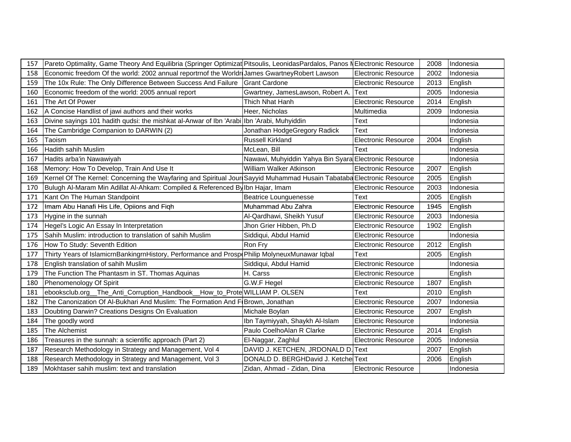| 157 | Pareto Optimality, Game Theory And Equilibria (Springer Optimizat Pitsoulis, LeonidasPardalos, Panos NElectronic Resource |                                                       |                            | 2008 | Indonesia |
|-----|---------------------------------------------------------------------------------------------------------------------------|-------------------------------------------------------|----------------------------|------|-----------|
| 158 | Economic freedom Of the world: 2002 annual reportrnof the Worldr James Gwartney Robert Lawson                             |                                                       | <b>Electronic Resource</b> | 2002 | Indonesia |
| 159 | The 10x Rule: The Only Difference Between Success And Failure                                                             | <b>Grant Cardone</b>                                  | <b>Electronic Resource</b> | 2013 | English   |
| 160 | Economic freedom of the world: 2005 annual report                                                                         | Gwartney, JamesLawson, Robert A.                      | Text                       | 2005 | Indonesia |
| 161 | The Art Of Power                                                                                                          | Thich Nhat Hanh                                       | <b>Electronic Resource</b> | 2014 | English   |
| 162 | A Concise Handlist of jawi authors and their works                                                                        | Heer, Nicholas                                        | Multimedia                 | 2009 | Indonesia |
| 163 | Divine sayings 101 hadith qudsi: the mishkat al-Anwar of Ibn 'Arabi Ibn 'Arabi, Muhyiddin                                 |                                                       | <b>Text</b>                |      | Indonesia |
| 164 | The Cambridge Companion to DARWIN (2)                                                                                     | Jonathan HodgeGregory Radick                          | <b>Text</b>                |      | Indonesia |
| 165 | Taoism                                                                                                                    | Russell Kirkland                                      | <b>Electronic Resource</b> | 2004 | English   |
| 166 | Hadith sahih Muslim                                                                                                       | McLean, Bill                                          | Text                       |      | Indonesia |
| 167 | Hadits arba'in Nawawiyah                                                                                                  | Nawawi, Muhyiddin Yahya Bin Syara Electronic Resource |                            |      | Indonesia |
| 168 | Memory: How To Develop, Train And Use It                                                                                  | William Walker Atkinson                               | Electronic Resource        | 2007 | English   |
| 169 | Kernel Of The Kernel: Concerning the Wayfaring and Spiritual Jour Sayyid Muhammad Husain Tabataba Electronic Resource     |                                                       |                            | 2005 | English   |
| 170 | Bulugh Al-Maram Min Adillat Al-Ahkam: Compiled & Referenced By Ibn Hajar, Imam                                            |                                                       | <b>Electronic Resource</b> | 2003 | Indonesia |
| 171 | Kant On The Human Standpoint                                                                                              | <b>Beatrice Lounguenesse</b>                          | Text                       | 2005 | English   |
| 172 | Imam Abu Hanafi His Life, Opiions and Figh                                                                                | Muhammad Abu Zahra                                    | <b>Electronic Resource</b> | 1945 | English   |
| 173 | Hygine in the sunnah                                                                                                      | Al-Qardhawi, Sheikh Yusuf                             | <b>Electronic Resource</b> | 2003 | Indonesia |
| 174 | Hegel's Logic An Essay In Interpretation                                                                                  | Jhon Grier Hibben, Ph.D                               | <b>Electronic Resource</b> | 1902 | English   |
| 175 | Sahih Muslim: introduction to translation of sahih Muslim                                                                 | Siddiqui, Abdul Hamid                                 | <b>Electronic Resource</b> |      | Indonesia |
| 176 | How To Study: Seventh Edition                                                                                             | Ron Fry                                               | <b>Electronic Resource</b> | 2012 | English   |
| 177 | Thirty Years of IslamicrnBankingrnHistory, Performance and Prospi Philip MolyneuxMunawar Iqbal                            |                                                       | Text                       | 2005 | English   |
| 178 | English translation of sahih Muslim                                                                                       | Siddiqui, Abdul Hamid                                 | Electronic Resource        |      | Indonesia |
| 179 | The Function The Phantasm in ST. Thomas Aquinas                                                                           | H. Carss                                              | <b>Electronic Resource</b> |      | English   |
| 180 | Phenomenology Of Spirit                                                                                                   | G.W.F Hegel                                           | <b>Electronic Resource</b> | 1807 | English   |
| 181 | ebooksclub.org__The_Anti_Corruption_Handbook__How_to_Prote WILLIAM P. OLSEN                                               |                                                       | Text                       | 2010 | English   |
| 182 | The Canonization Of Al-Bukhari And Muslim: The Formation And F Brown, Jonathan                                            |                                                       | Electronic Resource        | 2007 | Indonesia |
| 183 | Doubting Darwin? Creations Designs On Evaluation                                                                          | Michale Boylan                                        | <b>Electronic Resource</b> | 2007 | English   |
| 184 | The goodly word                                                                                                           | Ibn Taymiyyah, Shaykh Al-Islam                        | <b>Electronic Resource</b> |      | Indonesia |
| 185 | The Alchemist                                                                                                             | Paulo CoelhoAlan R Clarke                             | <b>Electronic Resource</b> | 2014 | English   |
| 186 | Treasures in the sunnah: a scientific approach (Part 2)                                                                   | El-Naggar, Zaghlul                                    | <b>Electronic Resource</b> | 2005 | Indonesia |
| 187 | Research Methodology in Strategy and Management, Vol 4                                                                    | DAVID J. KETCHEN, JRDONALD D. Text                    |                            | 2007 | English   |
| 188 | Research Methodology in Strategy and Management, Vol 3                                                                    | DONALD D. BERGHDavid J. Ketche Text                   |                            | 2006 | English   |
| 189 | Mokhtaser sahih muslim: text and translation                                                                              | Zidan, Ahmad - Zidan, Dina                            | <b>Electronic Resource</b> |      | Indonesia |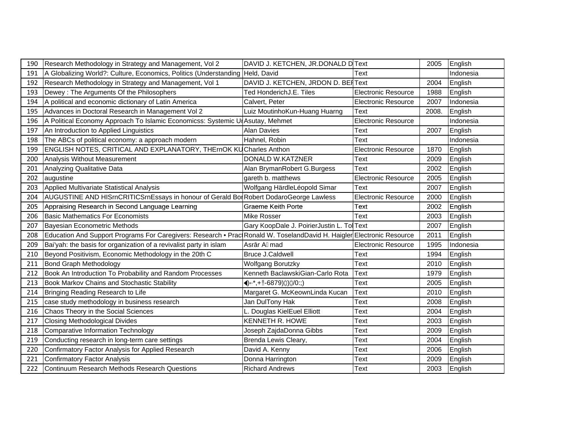| 190 | Research Methodology in Strategy and Management, Vol 2                                                                | DAVID J. KETCHEN, JR.DONALD D Text         |                            | 2005  | English   |
|-----|-----------------------------------------------------------------------------------------------------------------------|--------------------------------------------|----------------------------|-------|-----------|
| 191 | A Globalizing World?: Culture, Economics, Politics (Understanding Held, David                                         |                                            | Text                       |       | Indonesia |
| 192 | Research Methodology in Strategy and Management, Vol 1                                                                | DAVID J. KETCHEN, JRDON D. BEIText         |                            | 2004  | English   |
| 193 | Dewey: The Arguments Of the Philosophers                                                                              | Ted HonderichJ.E. Tiles                    | <b>Electronic Resource</b> | 1988  | English   |
| 194 | A political and economic dictionary of Latin America                                                                  | Calvert, Peter                             | <b>Electronic Resource</b> | 2007  | Indonesia |
| 195 | Advances in Doctoral Research in Management Vol 2                                                                     | Luiz MoutinhoKun-Huang Huarng              | Text                       | 2008. | English   |
| 196 | A Political Economy Approach To Islamic Economicss: Systemic UI Asutay, Mehmet                                        |                                            | <b>Electronic Resource</b> |       | Indonesia |
| 197 | An Introduction to Applied Linguistics                                                                                | <b>Alan Davies</b>                         | Text                       | 2007  | English   |
| 198 | The ABCs of political economy: a approach modern                                                                      | Hahnel, Robin                              | Text                       |       | Indonesia |
| 199 | ENGLISH NOTES, CRITICAL AND EXPLANATORY, THErnOK KUCharles Anthon                                                     |                                            | <b>Electronic Resource</b> | 1870  | English   |
| 200 | Analysis Without Measurement                                                                                          | DONALD W.KATZNER                           | Text                       | 2009  | English   |
| 201 | Analyzing Qualitative Data                                                                                            | Alan BrymanRobert G.Burgess                | Text                       | 2002  | English   |
| 202 | augustine                                                                                                             | gareth b. matthews                         | <b>Electronic Resource</b> | 2005  | English   |
| 203 | Applied Multivariate Statistical Analysis                                                                             | Wolfgang HärdleLéopold Simar               | Text                       | 2007  | English   |
| 204 | AUGUSTINE AND HISrnCRITICSrnEssays in honour of Gerald Bor Robert DodaroGeorge Lawless                                |                                            | <b>Electronic Resource</b> | 2000  | English   |
| 205 | Appraising Research in Second Language Learning                                                                       | Graeme Keith Porte                         | Text                       | 2002  | English   |
| 206 | <b>Basic Mathematics For Economists</b>                                                                               | <b>Mike Rosser</b>                         | Text                       | 2003  | English   |
| 207 | Bayesian Econometric Methods                                                                                          | Gary KoopDale J. PoirierJustin L. Tol Text |                            | 2007  | English   |
| 208 | Education And Support Programs For Caregivers: Research • Prac Ronald W. ToselandDavid H. Haigler Electronic Resource |                                            |                            | 2011  | English   |
| 209 | Bai'yah: the basis for organization of a revivalist party in islam                                                    | Asr r A mad                                | <b>Electronic Resource</b> | 1995  | Indonesia |
| 210 | Beyond Positivism, Economic Methodology in the 20th C                                                                 | <b>Bruce J.Caldwell</b>                    | Text                       | 1994  | English   |
| 211 | <b>Bond Graph Methodology</b>                                                                                         | <b>Wolfgang Borutzky</b>                   | Text                       | 2010  | English   |
| 212 | Book An Introduction To Probability and Random Processes                                                              | Kenneth BaclawskiGian-Carlo Rota           | Text                       | 1979  | English   |
| 213 | <b>Book Markov Chains and Stochastic Stability</b>                                                                    | $\blacklozenge$ +, +!!-6879)(0)(0:;)       | Text                       | 2005  | English   |
| 214 | Bringing Reading Research to Life                                                                                     | Margaret G. McKeownLinda Kucan             | Text                       | 2010  | English   |
| 215 | case study methodology in business research                                                                           | Jan DulTony Hak                            | Text                       | 2008  | English   |
| 216 | Chaos Theory in the Social Sciences                                                                                   | Douglas KielEuel Elliott                   | Text                       | 2004  | English   |
| 217 | <b>Closing Methodological Divides</b>                                                                                 | <b>KENNETH R. HOWE</b>                     | Text                       | 2003  | English   |
| 218 | Comparative Information Technology                                                                                    | Joseph ZajdaDonna Gibbs                    | Text                       | 2009  | English   |
| 219 | Conducting research in long-term care settings                                                                        | Brenda Lewis Cleary,                       | Text                       | 2004  | English   |
| 220 | Confirmatory Factor Analysis for Applied Research                                                                     | David A. Kenny                             | Text                       | 2006  | English   |
| 221 | Confirmatory Factor Analysis                                                                                          | Donna Harrington                           | Text                       | 2009  | English   |
| 222 | Continuum Research Methods Research Questions                                                                         | <b>Richard Andrews</b>                     | Text                       | 2003  | English   |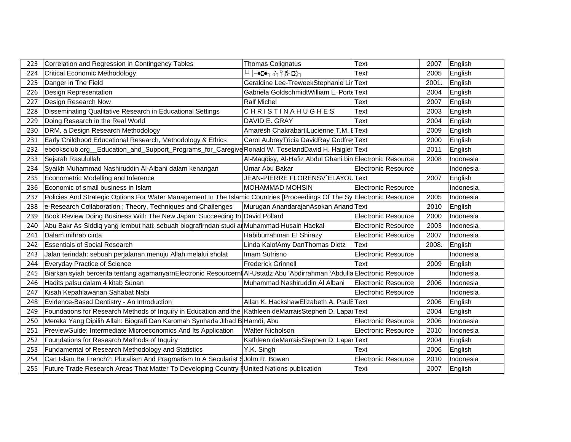| 223 | Correlation and Regression in Contingency Tables                                                                         | <b>Thomas Colignatus</b>                                 | Text                       | 2007  | English   |
|-----|--------------------------------------------------------------------------------------------------------------------------|----------------------------------------------------------|----------------------------|-------|-----------|
| 224 | <b>Critical Economic Methodology</b>                                                                                     | ⊸C•┐♂┐♀♬ D☆┐                                             | Text                       | 2005  | English   |
| 225 | Danger in The Field                                                                                                      | Geraldine Lee-TreweekStephanie Lir Text                  |                            | 2001. | English   |
| 226 | <b>Design Representation</b>                                                                                             | Gabriela GoldschmidtWilliam L. Porte Text                |                            | 2004  | English   |
| 227 | Design Research Now                                                                                                      | <b>Ralf Michel</b>                                       | Text                       | 2007  | English   |
| 228 | Disseminating Qualitative Research in Educational Settings                                                               | <b>CHRISTINAHUGHES</b>                                   | Text                       | 2003  | English   |
| 229 | Doing Research in the Real World                                                                                         | DAVID E. GRAY                                            | <b>Text</b>                | 2004  | English   |
| 230 | DRM, a Design Research Methodology                                                                                       | Amaresh ChakrabartiLucienne T.M.                         | <b>HText</b>               | 2009  | English   |
| 231 | Early Childhood Educational Research, Methodology & Ethics                                                               | Carol Aubrey Tricia David Ray Godfre                     |                            | 2000  | English   |
| 232 | ebooksclub.org Education_and_Support_Programs_for_Caregive Ronald W. ToselandDavid H. Haigler Text                       |                                                          |                            | 2011  | English   |
| 233 | Sejarah Rasulullah                                                                                                       | Al-Maqdisy, Al-Hafiz Abdul Ghani bin Electronic Resource |                            | 2008  | Indonesia |
| 234 | Syaikh Muhammad Nashiruddin Al-Albani dalam kenangan                                                                     | Umar Abu Bakar                                           | <b>Electronic Resource</b> |       | Indonesia |
| 235 | Econometric Modelling and Inference                                                                                      | JEAN-PIERRE FLORENSV^ELAYOUText                          |                            | 2007  | English   |
| 236 | Economic of small business in Islam                                                                                      | <b>MOHAMMAD MOHSIN</b>                                   | <b>Electronic Resource</b> |       | Indonesia |
| 237 | Policies And Strategic Options For Water Management In The Islamic Countries [Proceedings Of The Sy Electronic Resource  |                                                          |                            | 2005  | Indonesia |
| 238 | e-Research Collaboration; Theory, Techniques and Challenges                                                              | Murugan AnandarajanAsokan Anand Text                     |                            | 2010  | English   |
| 239 | Book Review Doing Business With The New Japan: Succeeding In David Pollard                                               |                                                          | <b>Electronic Resource</b> | 2000  | Indonesia |
| 240 | Abu Bakr As-Siddiq yang lembut hati: sebuah biografirndan studi ar Muhammad Husain Haekal                                |                                                          | Electronic Resource        | 2003  | Indonesia |
| 241 | Dalam mihrab cinta                                                                                                       | Habiburrahman El Shirazy                                 | <b>Electronic Resource</b> | 2007  | Indonesia |
| 242 | <b>Essentials of Social Research</b>                                                                                     | Linda KalofAmy DanThomas Dietz                           | Text                       | 2008. | English   |
| 243 | Jalan terindah: sebuah perjalanan menuju Allah melalui sholat                                                            | Imam Sutrisno                                            | <b>Electronic Resource</b> |       | Indonesia |
| 244 | Everyday Practice of Science                                                                                             | <b>Frederick Grinnell</b>                                | Text                       | 2009  | English   |
| 245 | Biarkan syiah bercerita tentang agamanyarnElectronic Resourcernt Al-Ustadz Abu 'Abdirrahman 'Abdulla Electronic Resource |                                                          |                            |       | Indonesia |
| 246 | Hadits palsu dalam 4 kitab Sunan                                                                                         | Muhammad Nashiruddin Al Albani                           | Electronic Resource        | 2006  | Indonesia |
| 247 | Kisah Kepahlawanan Sahabat Nabi                                                                                          |                                                          | <b>Electronic Resource</b> |       | Indonesia |
| 248 | Evidence-Based Dentistry - An Introduction                                                                               | Allan K. HackshawElizabeth A. PaulEText                  |                            | 2006  | English   |
| 249 | Foundations for Research Methods of Inquiry in Education and the Kathleen deMarraisStephen D. LaparText                  |                                                          |                            | 2004  | English   |
| 250 | Mereka Yang Dipilih Allah: Biografi Dan Karomah Syuhada Jihad B Hamdi, Abu                                               |                                                          | <b>Electronic Resource</b> | 2006  | Indonesia |
| 251 | PreviewGuide: Intermediate Microeconomics And Its Application                                                            | <b>Walter Nicholson</b>                                  | <b>Electronic Resource</b> | 2010  | Indonesia |
| 252 | Foundations for Research Methods of Inquiry                                                                              | Kathleen deMarraisStephen D. Lapar Text                  |                            | 2004  | English   |
| 253 | Fundamental of Research Methodology and Statistics                                                                       | Y.K. Singh                                               | Text                       | 2006  | English   |
| 254 | Can Islam Be French?: Pluralism And Pragmatism In A Secularist SJohn R. Bowen                                            |                                                          | <b>Electronic Resource</b> | 2010  | Indonesia |
| 255 | Future Trade Research Areas That Matter To Developing Country   United Nations publication                               |                                                          | Text                       | 2007  | English   |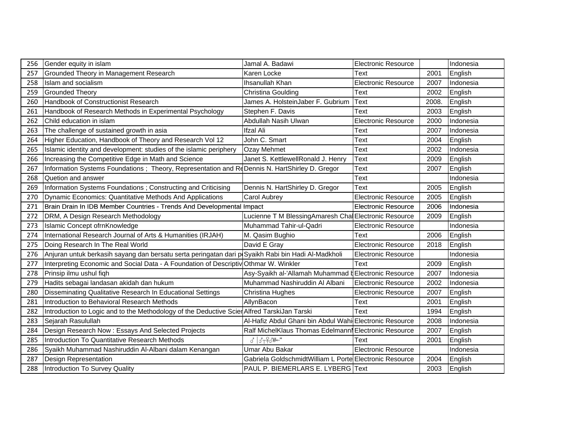| 256 | Gender equity in islam                                                                             | Jamal A. Badawi                                         | <b>Electronic Resource</b> |       | Indonesia |
|-----|----------------------------------------------------------------------------------------------------|---------------------------------------------------------|----------------------------|-------|-----------|
| 257 | <b>Grounded Theory in Management Research</b>                                                      | Karen Locke                                             | Text                       | 2001  | English   |
| 258 | Islam and socialism                                                                                | Ihsanullah Khan                                         | <b>Electronic Resource</b> | 2007  | Indonesia |
| 259 | Grounded Theory                                                                                    | Christina Goulding                                      | Text                       | 2002  | English   |
| 260 | Handbook of Constructionist Research                                                               | James A. HolsteinJaber F. Gubrium                       | <b>Text</b>                | 2008. | English   |
| 261 | Handbook of Research Methods in Experimental Psychology                                            | Stephen F. Davis                                        | Text                       | 2003  | English   |
| 262 | Child education in islam                                                                           | Abdullah Nasih Ulwan                                    | <b>Electronic Resource</b> | 2000  | Indonesia |
| 263 | The challenge of sustained growth in asia                                                          | <b>Ifzal Ali</b>                                        | Text                       | 2007  | Indonesia |
| 264 | Higher Education, Handbook of Theory and Research Vol 12                                           | John C. Smart                                           | Text                       | 2004  | English   |
| 265 | Islamic identity and development: studies of the islamic periphery                                 | Ozay Mehmet                                             | Text                       | 2002  | Indonesia |
| 266 | Increasing the Competitive Edge in Math and Science                                                | Janet S. KettlewellRonald J. Henry                      | Text                       | 2009  | English   |
| 267 | Information Systems Foundations; Theory, Representation and ReDennis N. HartShirley D. Gregor      |                                                         | Text                       | 2007  | English   |
| 268 | Quetion and answer                                                                                 |                                                         | Text                       |       | Indonesia |
| 269 | Information Systems Foundations; Constructing and Criticising                                      | Dennis N. HartShirley D. Gregor                         | Text                       | 2005  | English   |
| 270 | Dynamic Economics: Quantitative Methods And Applications                                           | <b>Carol Aubrey</b>                                     | <b>Electronic Resource</b> | 2005  | English   |
| 271 | Brain Drain In IDB Member Countries - Trends And Developmental Impact                              |                                                         | <b>Electronic Resource</b> | 2006  | Indonesia |
| 272 | DRM, A Design Research Methodology                                                                 | Lucienne T M BlessingAmaresh Chal Electronic Resource   |                            | 2009  | English   |
| 273 | Islamic Concept ofrnKnowledge                                                                      | Muhammad Tahir-ul-Qadri                                 | <b>Electronic Resource</b> |       | Indonesia |
| 274 | International Research Journal of Arts & Humanities (IRJAH)                                        | M. Qasim Bughio                                         | Text                       | 2006  | English   |
| 275 | Doing Research In The Real World                                                                   | David E Gray                                            | <b>Electronic Resource</b> | 2018  | English   |
| 276 | Anjuran untuk berkasih sayang dan bersatu serta peringatan dari p Syaikh Rabi bin Hadi Al-Madkholi |                                                         | <b>Electronic Resource</b> |       | Indonesia |
| 277 | Interpreting Economic and Social Data - A Foundation of Descriptiv Othmar W. Winkler               |                                                         | Text                       | 2009  | English   |
| 278 | Prinsip ilmu ushul fiqh                                                                            | Asy-Syaikh al-'Allamah Muhammad d Electronic Resource   |                            | 2007  | Indonesia |
| 279 | Hadits sebagai landasan akidah dan hukum                                                           | Muhammad Nashiruddin Al Albani                          | <b>Electronic Resource</b> | 2002  | Indonesia |
| 280 | Disseminating Qualitative Research In Educational Settings                                         | Christina Hughes                                        | <b>Electronic Resource</b> | 2007  | English   |
| 281 | Introduction to Behavioral Research Methods                                                        | AllynBacon                                              | Text                       | 2001  | English   |
| 282 | Introduction to Logic and to the Methodology of the Deductive Scier Alfred TarskiJan Tarski        |                                                         | Text                       | 1994  | English   |
| 283 | Sejarah Rasulullah                                                                                 | Al-Hafiz Abdul Ghani bin Abdul Wahi Electronic Resource |                            | 2008  | Indonesia |
| 284 | Design Research Now: Essays And Selected Projects                                                  | Ralf MichelKlaus Thomas Edelmann Electronic Resource    |                            | 2007  | English   |
| 285 | Introduction To Quantitative Research Methods                                                      | $d \frac{1}{2} + \frac{1}{2}$                           | Text                       | 2001  | English   |
| 286 | Syaikh Muhammad Nashiruddin Al-Albani dalam Kenangan                                               | Umar Abu Bakar                                          | <b>Electronic Resource</b> |       | Indonesia |
| 287 | Design Representation                                                                              | Gabriela GoldschmidtWilliam L Porte Electronic Resource |                            | 2004  | English   |
| 288 | Introduction To Survey Quality                                                                     | PAUL P. BIEMERLARS E. LYBERG Text                       |                            | 2003  | English   |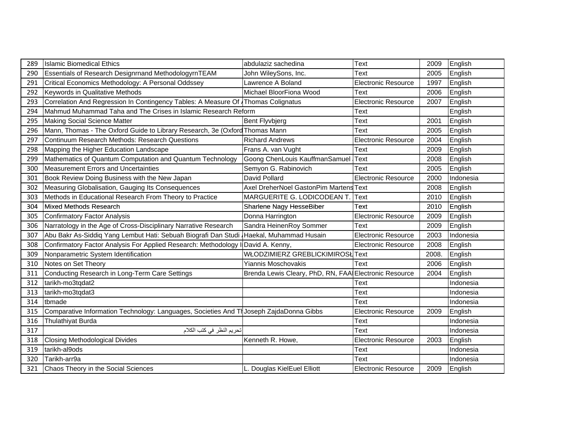| 289 | <b>Islamic Biomedical Ethics</b>                                                        | abdulaziz sachedina                                    | <b>Text</b>                | 2009  | English   |
|-----|-----------------------------------------------------------------------------------------|--------------------------------------------------------|----------------------------|-------|-----------|
| 290 | Essentials of Research Designrnand MethodologyrnTEAM                                    | John WileySons, Inc.                                   | Text                       | 2005  | English   |
| 291 | Critical Economics Methodology: A Personal Oddssey                                      | Lawrence A Boland                                      | <b>Electronic Resource</b> | 1997  | English   |
| 292 | Keywords in Qualitative Methods                                                         | Michael BloorFiona Wood                                | Text                       | 2006  | English   |
| 293 | Correlation And Regression In Contingency Tables: A Measure Of Thomas Colignatus        |                                                        | <b>Electronic Resource</b> | 2007  | English   |
| 294 | Mahmud Muhammad Taha and The Crises in Islamic Research Reform                          |                                                        | Text                       |       | English   |
| 295 | Making Social Science Matter                                                            | <b>Bent Flyvbjerg</b>                                  | Text                       | 2001  | English   |
| 296 | Mann, Thomas - The Oxford Guide to Library Research, 3e (Oxford Thomas Mann             |                                                        | Text                       | 2005  | English   |
| 297 | Continuum Research Methods: Research Questions                                          | <b>Richard Andrews</b>                                 | <b>Electronic Resource</b> | 2004  | English   |
| 298 | Mapping the Higher Education Landscape                                                  | Frans A. van Vught                                     | Text                       | 2009  | English   |
| 299 | Mathematics of Quantum Computation and Quantum Technology                               | Goong ChenLouis KauffmanSamuel                         | <b>Text</b>                | 2008  | English   |
| 300 | Measurement Errors and Uncertainties                                                    | Semyon G. Rabinovich                                   | Text                       | 2005  | English   |
| 301 | Book Review Doing Business with the New Japan                                           | David Pollard                                          | <b>Electronic Resource</b> | 2000  | Indonesia |
| 302 | Measuring Globalisation, Gauging Its Consequences                                       | Axel DreherNoel GastonPim Martens Text                 |                            | 2008  | English   |
| 303 | Methods in Educational Research From Theory to Practice                                 | MARGUERITE G. LODICODEAN T. Text                       |                            | 2010  | English   |
| 304 | Mixed Methods Research                                                                  | Sharlene Nagy HesseBiber                               | Text                       | 2010  | English   |
| 305 | Confirmatory Factor Analysis                                                            | Donna Harrington                                       | <b>Electronic Resource</b> | 2009  | English   |
| 306 | Narratology in the Age of Cross-Disciplinary Narrative Research                         | Sandra HeinenRoy Sommer                                | Text                       | 2009  | English   |
| 307 | Abu Bakr As-Siddiq Yang Lembut Hati: Sebuah Biografi Dan Studi Haekal, Muhammad Husain  |                                                        | <b>Electronic Resource</b> | 2003  | Indonesia |
| 308 | Confirmatory Factor Analysis For Applied Research: Methodology I                        | David A. Kenny,                                        | <b>Electronic Resource</b> | 2008  | English   |
| 309 | Nonparametric System Identification                                                     | WŁODZIMIERZ GREBLICKIMIROSŁ Text                       |                            | 2008. | English   |
| 310 | Notes on Set Theory                                                                     | <b>Yiannis Moschovakis</b>                             | Text                       | 2006  | English   |
| 311 | Conducting Research in Long-Term Care Settings                                          | Brenda Lewis Cleary, PhD, RN, FAAI Electronic Resource |                            | 2004  | English   |
| 312 | tarikh-mo3tqdat2                                                                        |                                                        | Text                       |       | Indonesia |
| 313 | tarikh-mo3tqdat3                                                                        |                                                        | Text                       |       | Indonesia |
| 314 | tbmade                                                                                  |                                                        | Text                       |       | Indonesia |
| 315 | Comparative Information Technology: Languages, Societies And Tr Joseph ZajdaDonna Gibbs |                                                        | <b>Electronic Resource</b> | 2009  | English   |
| 316 | <b>Thulathiyat Burda</b>                                                                |                                                        | Text                       |       | Indonesia |
| 317 | تحريم النظر في كتب الكلام                                                               |                                                        | Text                       |       | Indonesia |
| 318 | Closing Methodological Divides                                                          | Kenneth R. Howe,                                       | <b>Electronic Resource</b> | 2003  | English   |
| 319 | tarikh-al9ods                                                                           |                                                        | Text                       |       | Indonesia |
| 320 | Tarikh-arr9a                                                                            |                                                        | Text                       |       | Indonesia |
| 321 | Chaos Theory in the Social Sciences                                                     | Douglas KielEuel Elliott                               | <b>Electronic Resource</b> | 2009  | English   |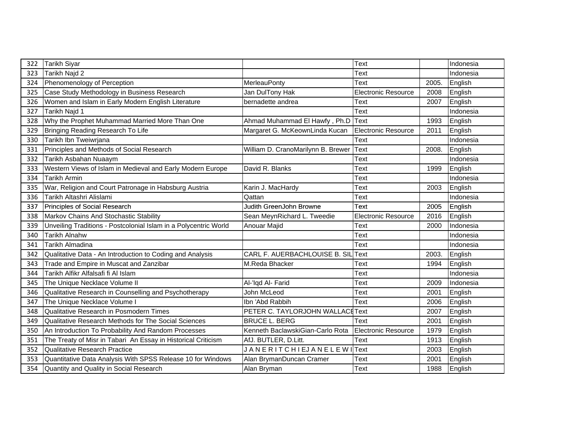| 322 | Tarikh Siyar                                                     |                                           | Text                       |       | Indonesia |
|-----|------------------------------------------------------------------|-------------------------------------------|----------------------------|-------|-----------|
| 323 | Tarikh Najd 2                                                    |                                           | Text                       |       | Indonesia |
| 324 | Phenomenology of Perception                                      | MerleauPonty                              | Text                       | 2005. | English   |
| 325 | Case Study Methodology in Business Research                      | Jan DulTony Hak                           | <b>Electronic Resource</b> | 2008  | English   |
| 326 | Women and Islam in Early Modern English Literature               | bernadette andrea                         | Text                       | 2007  | English   |
| 327 | Tarikh Najd 1                                                    |                                           | <b>Text</b>                |       | Indonesia |
| 328 | Why the Prophet Muhammad Married More Than One                   | Ahmad Muhammad El Hawfy, Ph.D Text        |                            | 1993  | English   |
| 329 | Bringing Reading Research To Life                                | Margaret G. McKeownLinda Kucan            | Electronic Resource        | 2011  | English   |
| 330 | Tarikh Ibn Tweiwrjana                                            |                                           | Text                       |       | Indonesia |
| 331 | Principles and Methods of Social Research                        | William D. CranoMarilynn B. Brewer        | <b>Text</b>                | 2008. | English   |
| 332 | Tarikh Asbahan Nuaaym                                            |                                           | Text                       |       | Indonesia |
| 333 | Western Views of Islam in Medieval and Early Modern Europe       | David R. Blanks                           | Text                       | 1999  | English   |
| 334 | <b>Tarikh Armin</b>                                              |                                           | Text                       |       | Indonesia |
| 335 | War, Religion and Court Patronage in Habsburg Austria            | Karin J. MacHardy                         | Text                       | 2003  | English   |
| 336 | Tarikh Altashri Alislami                                         | Qattan                                    | <b>Text</b>                |       | Indonesia |
| 337 | Principles of Social Research                                    | Judith GreenJohn Browne                   | Text                       | 2005  | English   |
| 338 | Markov Chains And Stochastic Stability                           | Sean MeynRichard L. Tweedie               | <b>Electronic Resource</b> | 2016  | English   |
| 339 | Unveiling Traditions - Postcolonial Islam in a Polycentric World | Anouar Majid                              | Text                       | 2000  | Indonesia |
| 340 | <b>Tarikh Alnahw</b>                                             |                                           | Text                       |       | Indonesia |
| 341 | Tarikh Almadina                                                  |                                           | Text                       |       | Indonesia |
| 342 | Qualitative Data - An Introduction to Coding and Analysis        | CARL F. AUERBACHLOUISE B. SIL Text        |                            | 2003. | English   |
| 343 | Trade and Empire in Muscat and Zanzibar                          | M.Reda Bhacker                            | Text                       | 1994  | English   |
| 344 | Tarikh Alfikr Alfalsafi fi Al Islam                              |                                           | Text                       |       | Indonesia |
| 345 | The Unique Necklace Volume II                                    | Al-'Iqd Al- Farid                         | Text                       | 2009  | Indonesia |
| 346 | Qualitative Research in Counselling and Psychotherapy            | John McLeod                               | <b>Text</b>                | 2001  | English   |
| 347 | The Unique Necklace Volume I                                     | Ibn 'Abd Rabbih                           | Text                       | 2006  | English   |
| 348 | Qualitative Research in Posmodern Times                          | PETER C. TAYLORJOHN WALLACEText           |                            | 2007  | English   |
| 349 | Qualitative Research Methods for The Social Sciences             | <b>BRUCE L. BERG</b>                      | Text                       | 2001  | English   |
| 350 | An Introduction To Probability And Random Processes              | Kenneth BaclawskiGian-Carlo Rota          | Electronic Resource        | 1979  | English   |
| 351 | The Treaty of Misr in Tabari An Essay in Historical Criticism    | AfJ. BUTLER, D.Litt.                      | <b>Text</b>                | 1913  | English   |
| 352 | Qualitative Research Practice                                    | J A N E R I T C H I EJ A N E L E W I Text |                            | 2003  | English   |
| 353 | Quantitative Data Analysis With SPSS Release 10 for Windows      | Alan BrymanDuncan Cramer                  | Text                       | 2001  | English   |
| 354 | Quantity and Quality in Social Research                          | Alan Bryman                               | Text                       | 1988  | English   |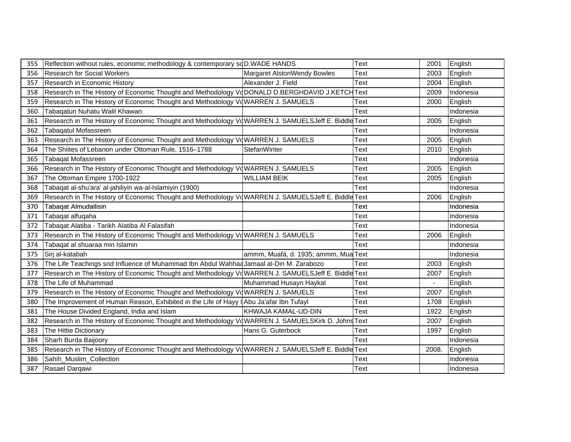| 355 | Reflection without rules, economic methodology & contemporary sdD.WADE HANDS                       |                                      | Text | 2001  | English   |
|-----|----------------------------------------------------------------------------------------------------|--------------------------------------|------|-------|-----------|
| 356 | <b>Research for Social Workers</b>                                                                 | Margaret AlstonWendy Bowles          | Text | 2003  | English   |
| 357 | Research in Economic History                                                                       | Alexander J. Field                   | Text | 2004  | English   |
| 358 | Research in The History of Economic Thought and Methodology VoDONALD D.BERGHDAVID J.KETCHText      |                                      |      | 2009  | Indonesia |
| 359 | Research in The History of Economic Thought and Methodology VdWARREN J. SAMUELS                    |                                      | Text | 2000  | English   |
| 360 | Tabaqatun Nuhatu Walil Khawan                                                                      |                                      | Text |       | Indonesia |
| 361 | Research in The History of Economic Thought and Methodology VoWARREN J. SAMUELSJeff E. Biddle Text |                                      |      | 2005  | English   |
| 362 | <b>Tabagatul Mofassreen</b>                                                                        |                                      | Text |       | Indonesia |
| 363 | Research in The History of Economic Thought and Methodology VdWARREN J. SAMUELS                    |                                      | Text | 2005  | English   |
| 364 | The Shiites of Lebanon under Ottoman Rule, 1516-1788                                               | StefanWinter                         | Text | 2010  | English   |
| 365 | Tabaqat Mofassreen                                                                                 |                                      | Text |       | Indonesia |
| 366 | Research in The History of Economic Thought and Methodology VoWARREN J. SAMUELS                    |                                      | Text | 2005  | English   |
| 367 | The Ottoman Empire 1700-1922                                                                       | <b>WILLIAM BEIK</b>                  | Text | 2005  | English   |
| 368 | Tabaqat al-shu'ara' al-jahiliyin wa-al-Islamiyin (1900)                                            |                                      | Text |       | Indonesia |
| 369 | Research in The History of Economic Thought and Methodology VdWARREN J. SAMUELSJeff E. Biddle Text |                                      |      | 2006  | English   |
| 370 | <b>Tabaqat Almudallisin</b>                                                                        |                                      | Text |       | Indonesia |
| 371 | Tabaqat alfuqaha                                                                                   |                                      | Text |       | Indonesia |
| 372 | Tabaqat Alatiba - Tarikh Alatiba Al Falasifah                                                      |                                      | Text |       | Indonesia |
| 373 | Research in The History of Economic Thought and Methodology VdWARREN J. SAMUELS                    |                                      | Text | 2006  | English   |
| 374 | Tabaqat al shuaraa min Islamin                                                                     |                                      | Text |       | Indonesia |
| 375 | Sirj al-katabah                                                                                    | ammm, Muafá, d. 1935; ammm, Mua Text |      |       | Indonesia |
| 376 | The Life Teachings snd Influence of Muhammad Ibn Abdul Wahhad Jamaal al-Din M. Zarabozo            |                                      | Text | 2003  | English   |
| 377 | Research in The History of Economic Thought and Methodology VdWARREN J. SAMUELSJeff E. Biddle Text |                                      |      | 2007  | English   |
| 378 | The Life of Muhammad                                                                               | Muhammad Husayn Haykal               | Text |       | English   |
| 379 | Research in The History of Economic Thought and Methodology VoWARREN J. SAMUELS                    |                                      | Text | 2007  | English   |
| 380 | The Improvement of Human Reason, Exhibited in the Life of Hayy I Abu Ja'afar Ibn Tufayl            |                                      | Text | 1708  | English   |
| 381 | The House Divided England, India and Islam                                                         | KHWAJA KAMAL-UD-DIN                  | Text | 1922  | English   |
| 382 | Research in The History of Economic Thought and Methodology VdWARREN J. SAMUELSKirk D. Johns Text  |                                      |      | 2007  | English   |
| 383 | The Hittie Dictionary                                                                              | Hans G. Guterbock                    | Text | 1997  | English   |
| 384 | Sharh Burda Baijoory                                                                               |                                      | Text |       | Indonesia |
| 385 | Research in The History of Economic Thought and Methodology VdWARREN J. SAMUELSJeff E. Biddle Text |                                      |      | 2008. | English   |
| 386 | Sahih_Muslim_Collection                                                                            |                                      | Text |       | Indonesia |
| 387 | Rasael Darqawi                                                                                     |                                      | Text |       | Indonesia |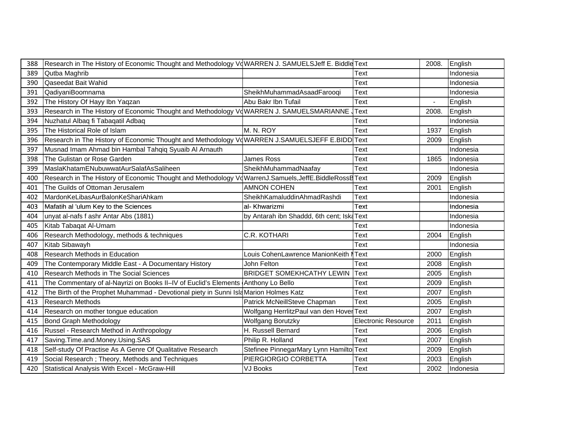| 388 | Research in The History of Economic Thought and Methodology VdWARREN J. SAMUELSJeff E. Biddle Text  |                                            |                            | 2008. | English   |
|-----|-----------------------------------------------------------------------------------------------------|--------------------------------------------|----------------------------|-------|-----------|
| 389 | Qutba Maghrib                                                                                       |                                            | Text                       |       | Indonesia |
| 390 | Qaseedat Bait Wahid                                                                                 |                                            | Text                       |       | Indonesia |
| 391 | QadiyaniBoomnama                                                                                    | SheikhMuhammadAsaadFarooqi                 | Text                       |       | Indonesia |
| 392 | The History Of Hayy Ibn Yaqzan                                                                      | Abu Bakr Ibn Tufail                        | Text                       |       | English   |
| 393 | Research in The History of Economic Thought and Methodology VdWARREN J. SAMUELSMARIANNE             |                                            | Text                       | 2008. | English   |
| 394 | Nuzhatul Albaq fi Tabaqatil Adbaq                                                                   |                                            | Text                       |       | Indonesia |
| 395 | The Historical Role of Islam                                                                        | M. N. ROY                                  | Text                       | 1937  | English   |
| 396 | Research in The History of Economic Thought and Methodology VdWARREN J.SAMUELSJEFF E.BIDD Text      |                                            |                            | 2009  | English   |
| 397 | Musnad Imam Ahmad bin Hambal Tahqiq Syuaib Al Arnauth                                               |                                            | Text                       |       | Indonesia |
| 398 | The Gulistan or Rose Garden                                                                         | James Ross                                 | Text                       | 1865  | Indonesia |
| 399 | MaslaKhatamENubuwwatAurSalafAsSaliheen                                                              | SheikhMuhammadNaafay                       | <b>Text</b>                |       | Indonesia |
| 400 | Research in The History of Economic Thought and Methodology VdWarrenJ.Samuels,JeffE.BiddleRossBText |                                            |                            | 2009  | English   |
| 401 | The Guilds of Ottoman Jerusalem                                                                     | <b>AMNON COHEN</b>                         | Text                       | 2001  | English   |
| 402 | MardonKeLibasAurBalonKeShariAhkam                                                                   | SheikhKamaluddinAhmadRashdi                | Text                       |       | Indonesia |
| 403 | Mafatih al 'ulum Key to the Sciences                                                                | al- Khwarizmi                              | Text                       |       | Indonesia |
| 404 | unyat al-nafs f ashr Antar Abs (1881)                                                               | by Antarah ibn Shaddd, 6th cent; Iska Text |                            |       | Indonesia |
| 405 | Kitab Tabaqat Al-Umam                                                                               |                                            | Text                       |       | Indonesia |
| 406 | Research Methodology, methods & techniques                                                          | C.R. KOTHARI                               | Text                       | 2004  | English   |
| 407 | Kitab Sibawayh                                                                                      |                                            | Text                       |       | Indonesia |
| 408 | Research Methods in Education                                                                       | Louis CohenLawrence ManionKeith            | Text                       | 2000  | English   |
| 409 | The Contemporary Middle East - A Documentary History                                                | John Felton                                | Text                       | 2008  | English   |
| 410 | Research Methods in The Social Sciences                                                             | <b>BRIDGET SOMEKHCATHY LEWIN</b>           | <b>Text</b>                | 2005  | English   |
| 411 | The Commentary of al-Nayrizi on Books II-IV of Euclid's Elements Anthony Lo Bello                   |                                            | Text                       | 2009  | English   |
| 412 | The Birth of the Prophet Muhammad - Devotional piety in Sunni Isla Marion Holmes Katz               |                                            | <b>Text</b>                | 2007  | English   |
| 413 | <b>Research Methods</b>                                                                             | Patrick McNeillSteve Chapman               | <b>Text</b>                | 2005  | English   |
| 414 | Research on mother tongue education                                                                 | Wolfgang HerrlitzPaul van den Hover Text   |                            | 2007  | English   |
| 415 | <b>Bond Graph Methodology</b>                                                                       | <b>Wolfgang Borutzky</b>                   | <b>Electronic Resource</b> | 2011  | English   |
| 416 | Russel - Research Method in Anthropology                                                            | H. Russell Bernard                         | Text                       | 2006  | English   |
| 417 | Saving.Time.and.Money.Using.SAS                                                                     | Philip R. Holland                          | Text                       | 2007  | English   |
| 418 | Self-study Of Practise As A Genre Of Qualitative Research                                           | Stefinee PinnegarMary Lynn Hamiltol Text   |                            | 2009  | English   |
| 419 | Social Research ; Theory, Methods and Techniques                                                    | PIERGIORGIO CORBETTA                       | Text                       | 2003  | English   |
| 420 | Statistical Analysis With Excel - McGraw-Hill                                                       | <b>VJ Books</b>                            | Text                       | 2002  | Indonesia |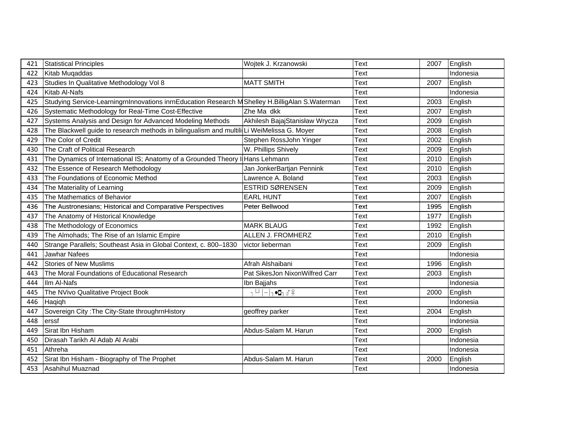| 421 | <b>Statistical Principles</b>                                                                   | Wojtek J. Krzanowski                       | Text | 2007 | English   |
|-----|-------------------------------------------------------------------------------------------------|--------------------------------------------|------|------|-----------|
| 422 | Kitab Muqaddas                                                                                  |                                            | Text |      | Indonesia |
| 423 | Studies In Qualitative Methodology Vol 8                                                        | <b>MATT SMITH</b>                          | Text | 2007 | English   |
| 424 | Kitab Al-Nafs                                                                                   |                                            | Text |      | Indonesia |
| 425 | Studying Service-LearningrnInnovations inrnEducation Research M Shelley H.BilligAlan S.Waterman |                                            | Text | 2003 | English   |
| 426 | Systematic Methodology for Real-Time Cost-Effective                                             | Zhe Ma dkk                                 | Text | 2007 | English   |
| 427 | Systems Analysis and Design for Advanced Modeling Methods                                       | Akhilesh BajajStanisław Wrycza             | Text | 2009 | English   |
| 428 | The Blackwell guide to research methods in bilingualism and multili Li WeiMelissa G. Moyer      |                                            | Text | 2008 | English   |
| 429 | The Color of Credit                                                                             | Stephen RossJohn Yinger                    | Text | 2002 | English   |
| 430 | The Craft of Political Research                                                                 | W. Phillips Shively                        | Text | 2009 | English   |
| 431 | The Dynamics of International IS; Anatomy of a Grounded Theory I                                | Hans Lehmann                               | Text | 2010 | English   |
| 432 | The Essence of Research Methodology                                                             | Jan JonkerBartjan Pennink                  | Text | 2010 | English   |
| 433 | The Foundations of Economic Method                                                              | Lawrence A. Boland                         | Text | 2003 | English   |
| 434 | The Materiality of Learning                                                                     | ESTRID SØRENSEN                            | Text | 2009 | English   |
| 435 | The Mathematics of Behavior                                                                     | <b>EARL HUNT</b>                           | Text | 2007 | English   |
| 436 | The Austronesians; Historical and Comparative Perspectives                                      | Peter Bellwood                             | Text | 1995 | English   |
| 437 | The Anatomy of Historical Knowledge                                                             |                                            | Text | 1977 | English   |
| 438 | The Methodology of Economics                                                                    | <b>MARK BLAUG</b>                          | Text | 1992 | English   |
| 439 | The Almohads; The Rise of an Islamic Empire                                                     | ALLEN J. FROMHERZ                          | Text | 2010 | English   |
| 440 | Strange Parallels; Southeast Asia in Global Context, c. 800-1830                                | victor lieberman                           | Text | 2009 | English   |
| 441 | Jawhar Nafees                                                                                   |                                            | Text |      | Indonesia |
| 442 | Stories of New Muslims                                                                          | Afrah Alshaibani                           | Text | 1996 | English   |
| 443 | The Moral Foundations of Educational Research                                                   | Pat SikesJon NixonWilfred Carr             | Text | 2003 | English   |
| 444 | Ilm Al-Nafs                                                                                     | Ibn Bajjahs                                | Text |      | Indonesia |
| 445 | The NVivo Qualitative Project Book                                                              | $, \cup$<br>$ - _1 \bullet \Box_1 \circ ?$ | Text | 2000 | English   |
| 446 | Haqiqh                                                                                          |                                            | Text |      | Indonesia |
| 447 | Sovereign City: The City-State throughrnHistory                                                 | geoffrey parker                            | Text | 2004 | English   |
| 448 | erssf                                                                                           |                                            | Text |      | Indonesia |
| 449 | Sirat Ibn Hisham                                                                                | Abdus-Salam M. Harun                       | Text | 2000 | English   |
| 450 | Dirasah Tarikh Al Adab Al Arabi                                                                 |                                            | Text |      | Indonesia |
| 451 | Athreha                                                                                         |                                            | Text |      | Indonesia |
| 452 | Sirat Ibn Hisham - Biography of The Prophet                                                     | Abdus-Salam M. Harun                       | Text | 2000 | English   |
| 453 | Asahihul Muaznad                                                                                |                                            | Text |      | Indonesia |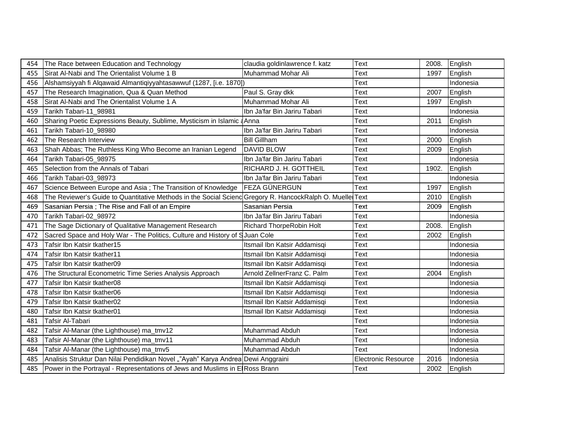| 454 | The Race between Education and Technology                                                                | claudia goldinlawrence f. katz | <b>Text</b>                | 2008. | English   |
|-----|----------------------------------------------------------------------------------------------------------|--------------------------------|----------------------------|-------|-----------|
| 455 | Sirat Al-Nabi and The Orientalist Volume 1 B                                                             | Muhammad Mohar Ali             | Text                       | 1997  | English   |
| 456 | Alshamsiyyah fi Alqawaid Almantiqiyyahtasawwuf (1287, [i.e. 1870])                                       |                                | Text                       |       | Indonesia |
| 457 | The Research Imagination, Qua & Quan Method                                                              | Paul S. Gray dkk               | Text                       | 2007  | English   |
| 458 | Sirat Al-Nabi and The Orientalist Volume 1 A                                                             | Muhammad Mohar Ali             | Text                       | 1997  | English   |
| 459 | Tarikh Tabari-11_98981                                                                                   | Ibn Ja'far Bin Jariru Tabari   | Text                       |       | Indonesia |
| 460 | Sharing Poetic Expressions Beauty, Sublime, Mysticism in Islamic a Anna                                  |                                | Text                       | 2011  | English   |
| 461 | Tarikh Tabari-10_98980                                                                                   | Ibn Ja'far Bin Jariru Tabari   | Text                       |       | Indonesia |
| 462 | The Research Interview                                                                                   | <b>Bill Gillham</b>            | Text                       | 2000  | English   |
| 463 | Shah Abbas; The Ruthless King Who Become an Iranian Legend                                               | <b>DAVID BLOW</b>              | Text                       | 2009  | English   |
| 464 | Tarikh Tabari-05_98975                                                                                   | Ibn Ja'far Bin Jariru Tabari   | Text                       |       | Indonesia |
| 465 | Selection from the Annals of Tabari                                                                      | RICHARD J. H. GOTTHEIL         | Text                       | 1902. | English   |
| 466 | Tarikh Tabari-03_98973                                                                                   | Ibn Ja'far Bin Jariru Tabari   | Text                       |       | Indonesia |
| 467 | Science Between Europe and Asia; The Transition of Knowledge                                             | FEZA GÜNERGUN                  | Text                       | 1997  | English   |
| 468 | The Reviewer's Guide to Quantitative Methods in the Social Scienc Gregory R. HancockRalph O. Muelle Text |                                |                            | 2010  | English   |
| 469 | Sasanian Persia ; The Rise and Fall of an Empire                                                         | Sasanian Persia                | Text                       | 2009  | English   |
| 470 | Tarikh Tabari-02_98972                                                                                   | Ibn Ja'far Bin Jariru Tabari   | Text                       |       | Indonesia |
| 471 | The Sage Dictionary of Qualitative Management Research                                                   | Richard ThorpeRobin Holt       | Text                       | 2008. | English   |
| 472 | Sacred Space and Holy War - The Politics, Culture and History of SJuan Cole                              |                                | Text                       | 2002  | English   |
| 473 | Tafsir Ibn Katsir tkather15                                                                              | Itsmail Ibn Katsir Addamisqi   | Text                       |       | Indonesia |
| 474 | Tafsir Ibn Katsir tkather11                                                                              | Itsmail Ibn Katsir Addamisqi   | Text                       |       | Indonesia |
| 475 | Tafsir Ibn Katsir tkather09                                                                              | Itsmail Ibn Katsir Addamisqi   | Text                       |       | Indonesia |
| 476 | The Structural Econometric Time Series Analysis Approach                                                 | Arnold ZellnerFranz C. Palm    | Text                       | 2004  | English   |
| 477 | Tafsir Ibn Katsir tkather08                                                                              | Itsmail Ibn Katsir Addamisqi   | Text                       |       | Indonesia |
| 478 | Tafsir Ibn Katsir tkather06                                                                              | Itsmail Ibn Katsir Addamisqi   | <b>Text</b>                |       | Indonesia |
| 479 | Tafsir Ibn Katsir tkather02                                                                              | Itsmail Ibn Katsir Addamisqi   | Text                       |       | Indonesia |
| 480 | Tafsir Ibn Katsir tkather01                                                                              | Itsmail Ibn Katsir Addamisqi   | Text                       |       | Indonesia |
| 481 | Tafsir Al-Tabari                                                                                         |                                | Text                       |       | Indonesia |
| 482 | Tafsir Al-Manar (the Lighthouse) ma_tmv12                                                                | Muhammad Abduh                 | Text                       |       | Indonesia |
| 483 | Tafsir Al-Manar (the Lighthouse) ma_tmv11                                                                | <b>Muhammad Abduh</b>          | Text                       |       | Indonesia |
| 484 | Tafsir Al-Manar (the Lighthouse) ma_tmv5                                                                 | Muhammad Abduh                 | Text                       |       | Indonesia |
| 485 | Analisis Struktur Dan Nilai Pendidikan Novel ""Ayah" Karya Andrea Dewi Anggraini                         |                                | <b>Electronic Resource</b> | 2016  | Indonesia |
| 485 | Power in the Portrayal - Representations of Jews and Muslims in E Ross Brann                             |                                | Text                       | 2002  | English   |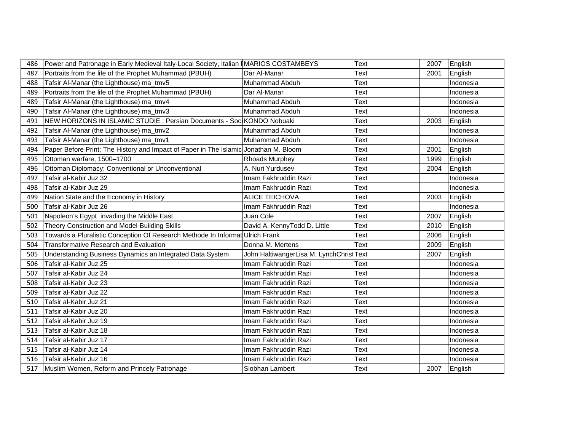| 486 | Power and Patronage in Early Medieval Italy-Local Society, Italian   MARIOS COSTAMBEYS |                                          | Text        | 2007 | English   |
|-----|----------------------------------------------------------------------------------------|------------------------------------------|-------------|------|-----------|
| 487 | Portraits from the life of the Prophet Muhammad (PBUH)                                 | Dar Al-Manar                             | Text        | 2001 | English   |
| 488 | Tafsir Al-Manar (the Lighthouse) ma_tmv5                                               | Muhammad Abduh                           | Text        |      | Indonesia |
| 489 | Portraits from the life of the Prophet Muhammad (PBUH)                                 | Dar Al-Manar                             | Text        |      | Indonesia |
| 489 | Tafsir Al-Manar (the Lighthouse) ma_tmv4                                               | Muhammad Abduh                           | Text        |      | Indonesia |
| 490 | Tafsir Al-Manar (the Lighthouse) ma_tmv3                                               | <b>Muhammad Abduh</b>                    | Text        |      | Indonesia |
| 491 | NEW HORIZONS IN ISLAMIC STUDIE : Persian Documents - Soc KONDO Nobuaki                 |                                          | Text        | 2003 | English   |
| 492 | Tafsir Al-Manar (the Lighthouse) ma_tmv2                                               | <b>Muhammad Abduh</b>                    | Text        |      | Indonesia |
| 493 | Tafsir Al-Manar (the Lighthouse) ma_tmv1                                               | Muhammad Abduh                           | Text        |      | Indonesia |
| 494 | Paper Before Print; The History and Impact of Paper in The Islamic Jonathan M. Bloom   |                                          | Text        | 2001 | English   |
| 495 | Ottoman warfare, 1500-1700                                                             | Rhoads Murphey                           | Text        | 1999 | English   |
| 496 | Ottoman Diplomacy; Conventional or Unconventional                                      | A. Nuri Yurdusev                         | Text        | 2004 | English   |
| 497 | Tafsir al-Kabir Juz 32                                                                 | Imam Fakhruddin Razi                     | Text        |      | Indonesia |
| 498 | Tafsir al-Kabir Juz 29                                                                 | Imam Fakhruddin Razi                     | Text        |      | Indonesia |
| 499 | Nation State and the Economy in History                                                | <b>ALICE TEICHOVA</b>                    | Text        | 2003 | English   |
| 500 | Tafsir al-Kabir Juz 26                                                                 | Imam Fakhruddin Razi                     | Text        |      | Indonesia |
| 501 | Napoleon's Egypt invading the Middle East                                              | Juan Cole                                | Text        | 2007 | English   |
| 502 | Theory Construction and Model-Building Skills                                          | David A. KennyTodd D. Little             | Text        | 2010 | English   |
| 503 | Towards a Pluralistic Conception Of Research Methode In Informat Ulrich Frank          |                                          | Text        | 2006 | English   |
| 504 | <b>Transformative Research and Evaluation</b>                                          | Donna M. Mertens                         | Text        | 2009 | English   |
| 505 | Understanding Business Dynamics an Integrated Data System                              | John HaltiwangerLisa M. LynchChrist Text |             | 2007 | English   |
| 506 | Tafsir al-Kabir Juz 25                                                                 | Imam Fakhruddin Razi                     | Text        |      | Indonesia |
| 507 | Tafsir al-Kabir Juz 24                                                                 | Imam Fakhruddin Razi                     | Text        |      | Indonesia |
| 508 | Tafsir al-Kabir Juz 23                                                                 | Imam Fakhruddin Razi                     | Text        |      | Indonesia |
| 509 | Tafsir al-Kabir Juz 22                                                                 | Imam Fakhruddin Razi                     | <b>Text</b> |      | Indonesia |
| 510 | Tafsir al-Kabir Juz 21                                                                 | Imam Fakhruddin Razi                     | Text        |      | Indonesia |
| 511 | Tafsir al-Kabir Juz 20                                                                 | Imam Fakhruddin Razi                     | Text        |      | Indonesia |
| 512 | Tafsir al-Kabir Juz 19                                                                 | Imam Fakhruddin Razi                     | Text        |      | Indonesia |
| 513 | Tafsir al-Kabir Juz 18                                                                 | Imam Fakhruddin Razi                     | Text        |      | Indonesia |
| 514 | Tafsir al-Kabir Juz 17                                                                 | Imam Fakhruddin Razi                     | Text        |      | Indonesia |
| 515 | Tafsir al-Kabir Juz 14                                                                 | Imam Fakhruddin Razi                     | Text        |      | Indonesia |
| 516 | Tafsir al-Kabir Juz 16                                                                 | Imam Fakhruddin Razi                     | Text        |      | Indonesia |
| 517 | Muslim Women, Reform and Princely Patronage                                            | Siobhan Lambert                          | Text        | 2007 | English   |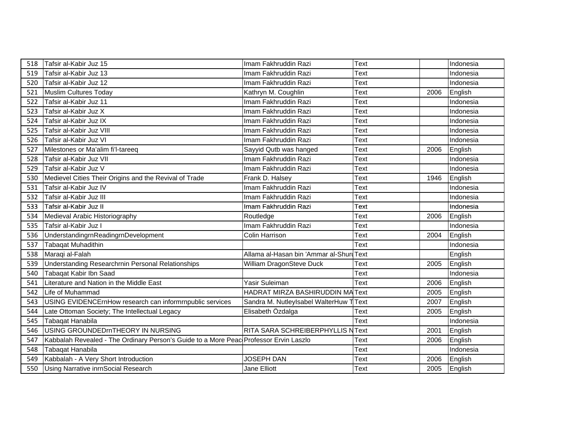| 518 | Tafsir al-Kabir Juz 15                                                                | Imam Fakhruddin Razi                | Text        |      | Indonesia |
|-----|---------------------------------------------------------------------------------------|-------------------------------------|-------------|------|-----------|
| 519 | Tafsir al-Kabir Juz 13                                                                | Imam Fakhruddin Razi                | Text        |      | Indonesia |
| 520 | Tafsir al-Kabir Juz 12                                                                | Imam Fakhruddin Razi                | Text        |      | Indonesia |
| 521 | Muslim Cultures Today                                                                 | Kathryn M. Coughlin                 | Text        | 2006 | English   |
| 522 | Tafsir al-Kabir Juz 11                                                                | Imam Fakhruddin Razi                | Text        |      | Indonesia |
| 523 | Tafsir al-Kabir Juz X                                                                 | Imam Fakhruddin Razi                | Text        |      | Indonesia |
| 524 | Tafsir al-Kabir Juz IX                                                                | Imam Fakhruddin Razi                | Text        |      | Indonesia |
| 525 | Tafsir al-Kabir Juz VIII                                                              | Imam Fakhruddin Razi                | Text        |      | Indonesia |
| 526 | Tafsir al-Kabir Juz VI                                                                | Imam Fakhruddin Razi                | Text        |      | Indonesia |
| 527 | Milestones or Ma'alim fi'l-tareeq                                                     | Sayyid Qutb was hanged              | Text        | 2006 | English   |
| 528 | Tafsir al-Kabir Juz VII                                                               | Imam Fakhruddin Razi                | Text        |      | Indonesia |
| 529 | Tafsir al-Kabir Juz V                                                                 | Imam Fakhruddin Razi                | Text        |      | Indonesia |
| 530 | Medievel Cities Their Origins and the Revival of Trade                                | Frank D. Halsey                     | Text        | 1946 | English   |
| 531 | Tafsir al-Kabir Juz IV                                                                | Imam Fakhruddin Razi                | Text        |      | Indonesia |
| 532 | Tafsir al-Kabir Juz III                                                               | Imam Fakhruddin Razi                | Text        |      | Indonesia |
| 533 | Tafsir al-Kabir Juz II                                                                | Imam Fakhruddin Razi                | Text        |      | Indonesia |
| 534 | Medieval Arabic Historiography                                                        | Routledge                           | Text        | 2006 | English   |
| 535 | Tafsir al-Kabir Juz I                                                                 | Imam Fakhruddin Razi                | Text        |      | Indonesia |
| 536 | UnderstandingrnReadingrnDevelopment                                                   | <b>Colin Harrison</b>               | Text        | 2004 | English   |
| 537 | <b>Tabaqat Muhadithin</b>                                                             |                                     | Text        |      | Indonesia |
| 538 | Maraqi al-Falah                                                                       | Allama al-Hasan bin 'Ammar al-Shuru | <b>Text</b> |      | English   |
| 539 | Understanding Researchrnin Personal Relationships                                     | William DragonSteve Duck            | Text        | 2005 | English   |
| 540 | Tabaqat Kabir Ibn Saad                                                                |                                     | Text        |      | Indonesia |
| 541 | Literature and Nation in the Middle East                                              | Yasir Suleiman                      | Text        | 2006 | English   |
| 542 | Life of Muhammad                                                                      | HADRAT MIRZA BASHIRUDDIN MAText     |             | 2005 | English   |
| 543 | USING EVIDENCErnHow research can informrnpublic services                              | Sandra M. NutleyIsabel WalterHuw T  | Text        | 2007 | English   |
| 544 | Late Ottoman Society; The Intellectual Legacy                                         | Elisabeth Özdalga                   | Text        | 2005 | English   |
| 545 | Tabagat Hanabila                                                                      |                                     | Text        |      | Indonesia |
| 546 | USING GROUNDEDmTHEORY IN NURSING                                                      | RITA SARA SCHREIBERPHYLLIS NText    |             | 2001 | English   |
| 547 | Kabbalah Revealed - The Ordinary Person's Guide to a More Peac Professor Ervin Laszlo |                                     | Text        | 2006 | English   |
| 548 | Tabaqat Hanabila                                                                      |                                     | Text        |      | Indonesia |
| 549 | Kabbalah - A Very Short Introduction                                                  | <b>JOSEPH DAN</b>                   | Text        | 2006 | English   |
| 550 | Using Narrative inrnSocial Research                                                   | Jane Elliott                        | Text        | 2005 | English   |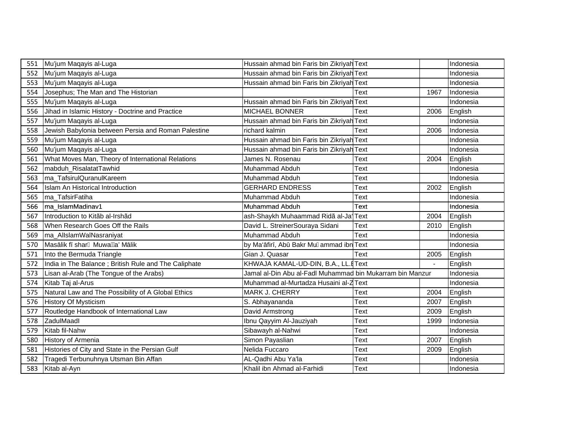| 551 | Mu'jum Maqayis al-Luga                                | Hussain ahmad bin Faris bin Zikriyah Text                 |             |                | Indonesia |
|-----|-------------------------------------------------------|-----------------------------------------------------------|-------------|----------------|-----------|
| 552 | Mu'jum Maqayis al-Luga                                | Hussain ahmad bin Faris bin Zikriyah Text                 |             |                | Indonesia |
| 553 | Mu'jum Maqayis al-Luga                                | Hussain ahmad bin Faris bin Zikriyah Text                 |             |                | Indonesia |
| 554 | Josephus; The Man and The Historian                   |                                                           | Text        | 1967           | Indonesia |
| 555 | Mu'jum Maqayis al-Luga                                | Hussain ahmad bin Faris bin Zikriyah Text                 |             |                | Indonesia |
| 556 | Jihad in Islamic History - Doctrine and Practice      | <b>MICHAEL BONNER</b>                                     | Text        | 2006           | English   |
| 557 | Mu'jum Maqayis al-Luga                                | Hussain ahmad bin Faris bin Zikriyah Text                 |             |                | Indonesia |
| 558 | Jewish Babylonia between Persia and Roman Palestine   | richard kalmin                                            | Text        | 2006           | Indonesia |
| 559 | Mu'jum Maqayis al-Luga                                | Hussain ahmad bin Faris bin Zikriyah Text                 |             |                | Indonesia |
| 560 | Mu'jum Maqayis al-Luga                                | Hussain ahmad bin Faris bin Zikriyah Text                 |             |                | Indonesia |
| 561 | What Moves Man, Theory of International Relations     | James N. Rosenau                                          | Text        | 2004           | English   |
| 562 | mabduh RisalatatTawhid                                | Muhammad Abduh                                            | Text        |                | Indonesia |
| 563 | ma_TafsirulQuranulKareem                              | Muhammad Abduh                                            | Text        |                | Indonesia |
| 564 | Islam An Historical Introduction                      | <b>GERHARD ENDRESS</b>                                    | Text        | 2002           | English   |
| 565 | ma_TafsirFatiha                                       | Muhammad Abduh                                            | Text        |                | Indonesia |
| 566 | ma_IslamMadinav1                                      | Muhammad Abduh                                            | Text        |                | Indonesia |
| 567 | Introduction to Kitãb al-Irshãd                       | ash-Shaykh Muhaammad Ridã al-Ja'                          | Text        | 2004           | English   |
| 568 | When Research Goes Off the Rails                      | David L. StreinerSouraya Sidani                           | Text        | 2010           | English   |
| 569 | ma_AllslamWalNasraniyat                               | Muhammad Abduh                                            | Text        |                | Indonesia |
| 570 | Mas lik f shar Muwa a' M lik                          | by Ma' fir, Ab Bakr Mu ammad ibn Text                     |             |                | Indonesia |
| 571 | Into the Bermuda Triangle                             | Gian J. Quasar                                            | Text        | 2005           | English   |
| 572 | India in The Balance ; British Rule and The Caliphate | KHWAJA KAMAL-UD-DIN, B.A., LL.EText                       |             | $\blacksquare$ | English   |
| 573 | Lisan al-Arab (The Tongue of the Arabs)               | Jamal al-Din Abu al-Fadl Muhammad bin Mukarram bin Manzur |             |                | Indonesia |
| 574 | Kitab Taj al-Arus                                     | Muhammad al-Murtadza Husaini al-Z Text                    |             |                | Indonesia |
| 575 | Natural Law and The Possibility of A Global Ethics    | <b>MARK J. CHERRY</b>                                     | Text        | 2004           | English   |
| 576 | History Of Mysticism                                  | S. Abhayananda                                            | Text        | 2007           | English   |
| 577 | Routledge Handbook of International Law               | David Armstrong                                           | Text        | 2009           | English   |
| 578 | ZadulMaadl                                            | Ibnu Qayyim Al-Jauziyah                                   | Text        | 1999           | Indonesia |
| 579 | Kitab fil-Nahw                                        | Sibawayh al-Nahwi                                         | Text        |                | Indonesia |
| 580 | History of Armenia                                    | Simon Payaslian                                           | <b>Text</b> | 2007           | English   |
| 581 | Histories of City and State in the Persian Gulf       | Nelida Fuccaro                                            | Text        | 2009           | English   |
| 582 | Tragedi Terbunuhnya Utsman Bin Affan                  | AL-Qadhi Abu Ya'la                                        | Text        |                | Indonesia |
| 583 | Kitab al-Ayn                                          | Khalil ibn Ahmad al-Farhidi                               | <b>Text</b> |                | Indonesia |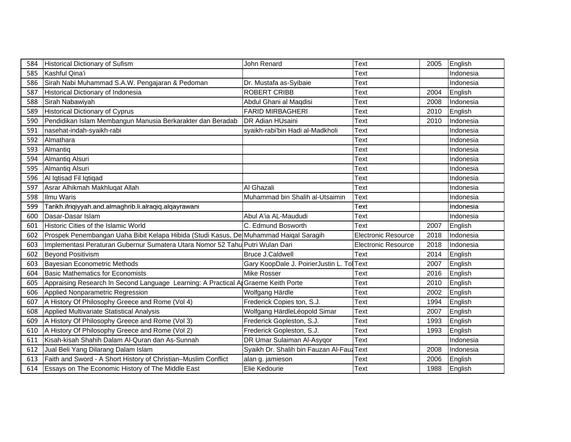| 584 | <b>Historical Dictionary of Sufism</b>                                                | John Renard                                | <b>Text</b>                | 2005 | English   |  |
|-----|---------------------------------------------------------------------------------------|--------------------------------------------|----------------------------|------|-----------|--|
| 585 | Kashful Qina'i                                                                        |                                            | Text                       |      | Indonesia |  |
| 586 | Sirah Nabi Muhammad S.A.W. Pengajaran & Pedoman                                       | Dr. Mustafa as-Syibaie                     | Text                       |      | Indonesia |  |
| 587 | Historical Dictionary of Indonesia                                                    | <b>ROBERT CRIBB</b>                        | Text                       | 2004 | English   |  |
| 588 | Sirah Nabawiyah                                                                       | Abdul Ghani al Maqdisi                     | Text                       | 2008 | Indonesia |  |
| 589 | <b>Historical Dictionary of Cyprus</b>                                                | <b>FARID MIRBAGHERI</b>                    | Text                       | 2010 | English   |  |
| 590 | Pendidikan Islam Membangun Manusia Berkarakter dan Beradab                            | DR Adian HUsaini                           | <b>Text</b>                | 2010 | Indonesia |  |
| 591 | nasehat-indah-syaikh-rabi                                                             | syaikh-rabi'bin Hadi al-Madkholi           | <b>Text</b>                |      | Indonesia |  |
| 592 | Almathara                                                                             |                                            | Text                       |      | Indonesia |  |
| 593 | Almantiq                                                                              |                                            | Text                       |      | Indonesia |  |
| 594 | Almantiq Alsuri                                                                       |                                            | Text                       |      | Indonesia |  |
| 595 | Almantiq Alsuri                                                                       |                                            | Text                       |      | Indonesia |  |
| 596 | Al Iqtisad Fil Iqtiqad                                                                |                                            | Text                       |      | Indonesia |  |
| 597 | Asrar Alhikmah Makhluqat Allah                                                        | Al Ghazali                                 | Text                       |      | Indonesia |  |
| 598 | Ilmu Waris                                                                            | Muhammad bin Shalih al-Utsaimin            | <b>Text</b>                |      | Indonesia |  |
| 599 | Tarikh.ifriqiyyah.and.almaghrib.li.alraqiq.alqayrawani                                |                                            | Text                       |      | Indonesia |  |
| 600 | Dasar-Dasar Islam                                                                     | Abul A'ia AL-Maududi                       | Text                       |      | Indonesia |  |
| 601 | Historic Cities of the Islamic World                                                  | C. Edmund Bosworth                         | Text                       | 2007 | English   |  |
| 602 | Prospek Penembangan Uaha Bibit Kelapa Hibida (Studi Kasus, De Muhammad Haiqal Saragih |                                            | Electronic Resource        | 2018 | Indonesia |  |
| 603 | Implementasi Peraturan Gubernur Sumatera Utara Nomor 52 Tahu Putri Wulan Dari         |                                            | <b>Electronic Resource</b> | 2018 | Indonesia |  |
| 602 | Beyond Positivism                                                                     | Bruce J.Caldwell                           | Text                       | 2014 | English   |  |
| 603 | Bayesian Econometric Methods                                                          | Gary KoopDale J. PoirierJustin L. Tol Text |                            | 2007 | English   |  |
| 604 | <b>Basic Mathematics for Economists</b>                                               | Mike Rosser                                | Text                       | 2016 | English   |  |
| 605 | Appraising Research In Second Language Learning: A Practical A Graeme Keith Porte     |                                            | Text                       | 2010 | English   |  |
| 606 | Applied Nonparametric Regression                                                      | Wolfgang Härdle                            | Text                       | 2002 | English   |  |
| 607 | A History Of Philosophy Greece and Rome (Vol 4)                                       | Frederick Copies ton, S.J.                 | <b>Text</b>                | 1994 | English   |  |
| 608 | Applied Multivariate Statistical Analysis                                             | Wolfgang HärdleLéopold Simar               | Text                       | 2007 | English   |  |
| 609 | A History Of Philosophy Greece and Rome (Vol 3)                                       | Frederick Gopleston, S.J.                  | Text                       | 1993 | English   |  |
| 610 | A History Of Philosophy Greece and Rome (Vol 2)                                       | Frederick Gopleston, S.J.                  | Text                       | 1993 | English   |  |
|     | 611 Kisah-kisah Shahih Dalam Al-Quran dan As-Sunnah                                   | DR Umar Sulaiman Al-Asygor                 | <b>Text</b>                |      | Indonesia |  |
| 612 | Jual Beli Yang Dilarang Dalam Islam                                                   | Syaikh Dr. Shalih bin Fauzan Al-Fauz Text  |                            | 2008 | Indonesia |  |
| 613 | Faith and Sword - A Short History of Christian-Muslim Conflict                        | alan g. jamieson                           | Text                       | 2006 | English   |  |
|     | 614 Essays on The Economic History of The Middle East                                 | Elie Kedourie                              | <b>Text</b>                | 1988 | English   |  |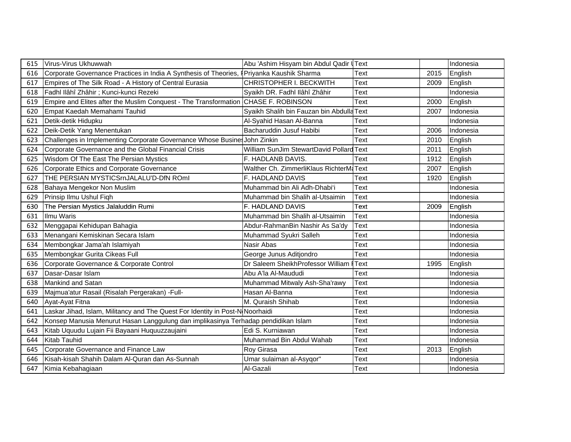| 615 | Virus-Virus Ukhuwwah                                                               | Abu 'Ashim Hisyam bin Abdul Qadir UText   |      |      | Indonesia |
|-----|------------------------------------------------------------------------------------|-------------------------------------------|------|------|-----------|
| 616 | Corporate Governance Practices in India A Synthesis of Theories,                   | Priyanka Kaushik Sharma                   | Text | 2015 | English   |
| 617 | Empires of The Silk Road - A History of Central Eurasia                            | CHRISTOPHER I. BECKWITH                   | Text | 2009 | English   |
| 618 | Fadhl Ilâhî Zhâhir ; Kunci-kunci Rezeki                                            | Syaikh DR. Fadhl llâhî Zhâhir             | Text |      | Indonesia |
| 619 | Empire and Elites after the Muslim Conquest - The Transformation                   | <b>CHASE F. ROBINSON</b>                  | Text | 2000 | English   |
| 620 | Empat Kaedah Memahami Tauhid                                                       | Syaikh Shalih bin Fauzan bin Abdulla Text |      | 2007 | Indonesia |
| 621 | Detik-detik Hidupku                                                                | Al-Syahid Hasan Al-Banna                  | Text |      | Indonesia |
| 622 | Deik-Detik Yang Menentukan                                                         | Bacharuddin Jusuf Habibi                  | Text | 2006 | Indonesia |
| 623 | Challenges in Implementing Corporate Governance Whose Busines John Zinkin          |                                           | Text | 2010 | English   |
| 624 | Corporate Governance and the Global Financial Crisis                               | William SunJim StewartDavid Pollard Text  |      | 2011 | English   |
| 625 | Wisdom Of The East The Persian Mystics                                             | F. HADLANB DAVIS.                         | Text | 1912 | English   |
| 626 | Corporate Ethics and Corporate Governance                                          | Walther Ch. ZimmerliKlaus RichterM. Text  |      | 2007 | English   |
| 627 | THE PERSIAN MYSTICSrnJALALU'D-DfN ROml                                             | F. HADLAND DAVIS                          | Text | 1920 | English   |
| 628 | Bahaya Mengekor Non Muslim                                                         | Muhammad bin Ali Adh-Dhabi'i              | Text |      | Indonesia |
| 629 | Prinsip Ilmu Ushul Fiqh                                                            | Muhammad bin Shalih al-Utsaimin           | Text |      | Indonesia |
| 630 | The Persian Mystics Jalaluddin Rumi                                                | F. HADLAND DAVIS                          | Text | 2009 | English   |
| 631 | Ilmu Waris                                                                         | Muhammad bin Shalih al-Utsaimin           | Text |      | Indonesia |
| 632 | Menggapai Kehidupan Bahagia                                                        | Abdur-RahmanBin Nashir As Sa'dy           | Text |      | Indonesia |
| 633 | Menangani Kemiskinan Secara Islam                                                  | Muhammad Syukri Salleh                    | Text |      | Indonesia |
| 634 | Membongkar Jama'ah Islamiyah                                                       | Nasir Abas                                | Text |      | Indonesia |
| 635 | Membongkar Gurita Cikeas Full                                                      | George Junus Aditjondro                   | Text |      | Indonesia |
| 636 | Corporate Governance & Corporate Control                                           | Dr Saleem SheikhProfessor William         | Text | 1995 | English   |
| 637 | Dasar-Dasar Islam                                                                  | Abu A'la Al-Maududi                       | Text |      | Indonesia |
| 638 | Mankind and Satan                                                                  | Muhammad Mitwaly Ash-Sha'rawy             | Text |      | Indonesia |
| 639 | Majmua'atur Rasail (Risalah Pergerakan) - Full-                                    | Hasan Al-Banna                            | Text |      | Indonesia |
| 640 | Ayat-Ayat Fitna                                                                    | M. Quraish Shihab                         | Text |      | Indonesia |
| 641 | Laskar Jihad, Islam, Militancy and The Quest For Identity in Post-N Noorhaidi      |                                           | Text |      | Indonesia |
| 642 | Konsep Manusia Menurut Hasan Langgulung dan implikasinya Terhadap pendidikan Islam |                                           | Text |      | Indonesia |
| 643 | Kitab Uquudu Lujain Fii Bayaani Huquuzzaujaini                                     | Edi S. Kurniawan                          | Text |      | Indonesia |
| 644 | Kitab Tauhid                                                                       | Muhammad Bin Abdul Wahab                  | Text |      | Indonesia |
| 645 | Corporate Governance and Finance Law                                               | Roy Girasa                                | Text | 2013 | English   |
| 646 | Kisah-kisah Shahih Dalam Al-Quran dan As-Sunnah                                    | Umar sulaiman al-Asyqor"                  | Text |      | Indonesia |
| 647 | Kimia Kebahagiaan                                                                  | Al-Gazali                                 | Text |      | Indonesia |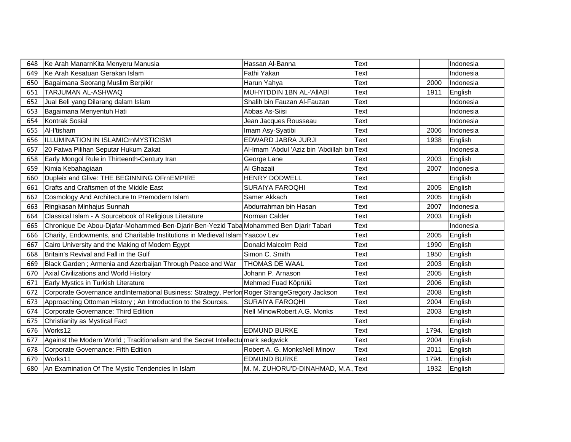| 648 | Ke Arah ManarnKita Menyeru Manusia                                                            | Hassan Al-Banna                             | Text |       | Indonesia |
|-----|-----------------------------------------------------------------------------------------------|---------------------------------------------|------|-------|-----------|
| 649 | Ke Arah Kesatuan Gerakan Islam                                                                | Fathi Yakan                                 | Text |       | Indonesia |
| 650 | Bagaimana Seorang Muslim Berpikir                                                             | Harun Yahya                                 | Text | 2000  | Indonesia |
| 651 | <b>TARJUMAN AL-ASHWAQ</b>                                                                     | MUHYI'DDIN 1BN AL-'AIIABI                   | Text | 1911  | English   |
| 652 | Jual Beli yang Dilarang dalam Islam                                                           | Shalih bin Fauzan Al-Fauzan                 | Text |       | Indonesia |
| 653 | Bagaimana Menyentuh Hati                                                                      | Abbas As-Siisi                              | Text |       | Indonesia |
| 654 | Kontrak Sosial                                                                                | Jean Jacques Rousseau                       | Text |       | Indonesia |
| 655 | Al-l'tisham                                                                                   | Imam Asy-Syatibi                            | Text | 2006  | Indonesia |
| 656 | <b>ILLUMINATION IN ISLAMICrnMYSTICISM</b>                                                     | EDWARD JABRA JURJI                          | Text | 1938  | English   |
| 657 | 20 Fatwa Pilihan Seputar Hukum Zakat                                                          | Al-Imam 'Abdul 'Aziz bin 'Abdillah bin Text |      |       | Indonesia |
| 658 | Early Mongol Rule in Thirteenth-Century Iran                                                  | George Lane                                 | Text | 2003  | English   |
| 659 | Kimia Kebahagiaan                                                                             | Al Ghazali                                  | Text | 2007  | Indonesia |
| 660 | Dupleix and Glive: THE BEGINNING OFrnEMPIRE                                                   | <b>HENRY DODWELL</b>                        | Text |       | English   |
| 661 | Crafts and Craftsmen of the Middle East                                                       | <b>SURAIYA FAROQHI</b>                      | Text | 2005  | English   |
| 662 | Cosmology And Architecture In Premodern Islam                                                 | Samer Akkach                                | Text | 2005  | English   |
| 663 | Ringkasan Minhajus Sunnah                                                                     | Abdurrahman bin Hasan                       | Text | 2007  | Indonesia |
| 664 | Classical Islam - A Sourcebook of Religious Literature                                        | Norman Calder                               | Text | 2003  | English   |
| 665 | Chronique De Abou-Djafar-Mohammed-Ben-Djarir-Ben-Yezid Taba Mohammed Ben Djarir Tabari        |                                             | Text |       | Indonesia |
| 666 | Charity, Endowments, and Charitable Institutions in Medieval Islam Yaacov Lev                 |                                             | Text | 2005  | English   |
| 667 | Cairo University and the Making of Modern Egypt                                               | Donald Malcolm Reid                         | Text | 1990  | English   |
| 668 | Britain's Revival and Fall in the Gulf                                                        | Simon C. Smith                              | Text | 1950  | English   |
| 669 | Black Garden; Armenia and Azerbaijan Through Peace and War                                    | <b>THOMAS DE WAAL</b>                       | Text | 2003  | English   |
| 670 | Axial Civilizations and World History                                                         | Johann P. Arnason                           | Text | 2005  | English   |
| 671 | <b>Early Mystics in Turkish Literature</b>                                                    | Mehmed Fuad Köprülü                         | Text | 2006  | English   |
| 672 | Corporate Governance andInternational Business: Strategy, Perfor Roger StrangeGregory Jackson |                                             | Text | 2008  | English   |
| 673 | Approaching Ottoman History; An Introduction to the Sources.                                  | <b>SURAIYA FAROQHI</b>                      | Text | 2004  | English   |
| 674 | Corporate Governance: Third Edition                                                           | Nell MinowRobert A.G. Monks                 | Text | 2003  | English   |
| 675 | Christianity as Mystical Fact                                                                 |                                             | Text |       | English   |
| 676 | Works12                                                                                       | <b>EDMUND BURKE</b>                         | Text | 1794. | English   |
| 677 | Against the Modern World; Traditionalism and the Secret Intellectu mark sedgwick              |                                             | Text | 2004  | English   |
| 678 | Corporate Governance: Fifth Edition                                                           | Robert A. G. MonksNell Minow                | Text | 2011  | English   |
| 679 | Works11                                                                                       | <b>EDMUND BURKE</b>                         | Text | 1794. | English   |
| 680 | An Examination Of The Mystic Tendencies In Islam                                              | M. M. ZUHORU'D-DINAHMAD, M.A. Text          |      | 1932  | English   |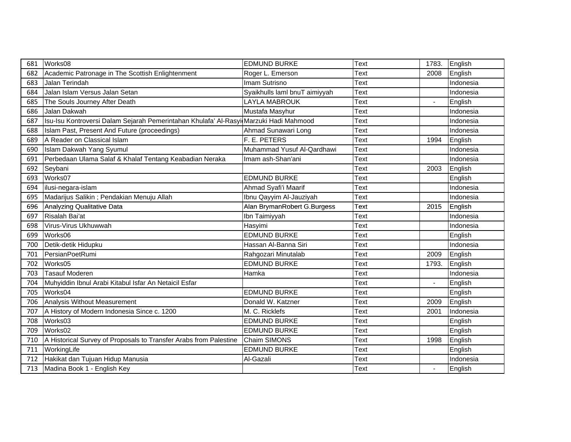| 681 | Works08                                                                               | <b>EDMUND BURKE</b>           | <b>Text</b> | 1783.          | English   |
|-----|---------------------------------------------------------------------------------------|-------------------------------|-------------|----------------|-----------|
| 682 | Academic Patronage in The Scottish Enlightenment                                      | Roger L. Emerson              | Text        | 2008           | English   |
| 683 | Jalan Terindah                                                                        | Imam Sutrisno                 | Text        |                | Indonesia |
| 684 | Jalan Islam Versus Jalan Setan                                                        | Syaikhulls laml bnuT aimiyyah | Text        |                | Indonesia |
| 685 | The Souls Journey After Death                                                         | AYLA MABROUK                  | Text        | $\blacksquare$ | English   |
| 686 | Jalan Dakwah                                                                          | Mustafa Masyhur               | Text        |                | Indonesia |
| 687 | Isu-Isu Kontroversi Dalam Sejarah Pemerintahan Khulafa' Al-Rasyi Marzuki Hadi Mahmood |                               | Text        |                | Indonesia |
| 688 | Islam Past, Present And Future (proceedings)                                          | Ahmad Sunawari Long           | Text        |                | Indonesia |
| 689 | A Reader on Classical Islam                                                           | F. E. PETERS                  | Text        | 1994           | English   |
| 690 | Islam Dakwah Yang Syumul                                                              | Muhammad Yusuf Al-Qardhawi    | Text        |                | Indonesia |
| 691 | Perbedaan Ulama Salaf & Khalaf Tentang Keabadian Neraka                               | Imam ash-Shan'ani             | Text        |                | Indonesia |
| 692 | Seybani                                                                               |                               | Text        | 2003           | English   |
| 693 | Works07                                                                               | <b>EDMUND BURKE</b>           | Text        |                | English   |
| 694 | ilusi-negara-islam                                                                    | Ahmad Syafi'i Maarif          | Text        |                | Indonesia |
| 695 | Madarijus Salikin; Pendakian Menuju Allah                                             | Ibnu Qayyim Al-Jauziyah       | Text        |                | Indonesia |
| 696 | Analyzing Qualitative Data                                                            | Alan BrymanRobert G.Burgess   | Text        | 2015           | English   |
| 697 | Risalah Bai'at                                                                        | Ibn Taimiyyah                 | Text        |                | Indonesia |
| 698 | Virus-Virus Ukhuwwah                                                                  | Hasyimi                       | Text        |                | Indonesia |
| 699 | Works06                                                                               | <b>EDMUND BURKE</b>           | Text        |                | English   |
| 700 | Detik-detik Hidupku                                                                   | Hassan Al-Banna Siri          | Text        |                | Indonesia |
| 701 | PersianPoetRumi                                                                       | Rahgozari Minutalab           | Text        | 2009           | English   |
| 702 | Works05                                                                               | <b>EDMUND BURKE</b>           | Text        | 1793.          | English   |
| 703 | <b>Tasauf Moderen</b>                                                                 | Hamka                         | Text        |                | Indonesia |
| 704 | Muhyiddin Ibnul Arabi Kitabul Isfar An Netaicil Esfar                                 |                               | Text        | $\blacksquare$ | English   |
| 705 | Works04                                                                               | <b>EDMUND BURKE</b>           | Text        |                | English   |
| 706 | Analysis Without Measurement                                                          | Donald W. Katzner             | Text        | 2009           | English   |
| 707 | A History of Modern Indonesia Since c. 1200                                           | M. C. Ricklefs                | Text        | 2001           | Indonesia |
| 708 | Works03                                                                               | <b>EDMUND BURKE</b>           | Text        |                | English   |
| 709 | Works02                                                                               | <b>EDMUND BURKE</b>           | Text        |                | English   |
| 710 | A Historical Survey of Proposals to Transfer Arabs from Palestine                     | Chaim SIMONS                  | Text        | 1998           | English   |
| 711 | WorkingLife                                                                           | <b>EDMUND BURKE</b>           | Text        |                | English   |
| 712 | Hakikat dan Tujuan Hidup Manusia                                                      | Al-Gazali                     | Text        |                | Indonesia |
| 713 | Madina Book 1 - English Key                                                           |                               | <b>Text</b> |                | English   |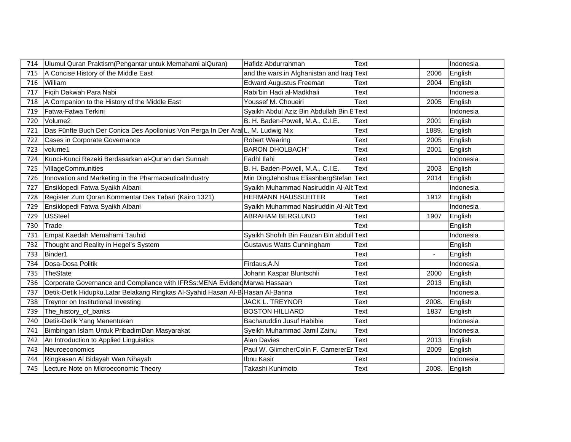| 714 | Ulumul Quran Praktisrn (Pengantar untuk Memahami alQuran)                       | Hafidz Abdurrahman                        | Text        |                | Indonesia |  |
|-----|---------------------------------------------------------------------------------|-------------------------------------------|-------------|----------------|-----------|--|
| 715 | A Concise History of the Middle East                                            | and the wars in Afghanistan and Iraq Text |             | 2006           | English   |  |
| 716 | William                                                                         | <b>Edward Augustus Freeman</b>            | <b>Text</b> | 2004           | English   |  |
| 717 | Fiqih Dakwah Para Nabi                                                          | Rabi'bin Hadi al-Madkhali                 | Text        |                | Indonesia |  |
| 718 | A Companion to the History of the Middle East                                   | Youssef M. Choueiri                       | Text        | 2005           | English   |  |
| 719 | Fatwa-Fatwa Terkini                                                             | Syaikh Abdul Aziz Bin Abdullah Bin EText  |             |                | Indonesia |  |
| 720 | Volume2                                                                         | B. H. Baden-Powell, M.A., C.I.E.          | Text        | 2001           | English   |  |
| 721 | Das Fünfte Buch Der Conica Des Apollonius Von Perga In Der Ara L. M. Ludwig Nix |                                           | Text        | 1889.          | English   |  |
| 722 | Cases in Corporate Governance                                                   | <b>Robert Wearing</b>                     | Text        | 2005           | English   |  |
| 723 | volume1                                                                         | <b>BARON DHOLBACH"</b>                    | Text        | 2001           | English   |  |
| 724 | Kunci-Kunci Rezeki Berdasarkan al-Qur'an dan Sunnah                             | Fadhl Ilahi                               | Text        |                | Indonesia |  |
| 725 | VillageCommunities                                                              | B. H. Baden-Powell, M.A., C.I.E.          | Text        | 2003           | English   |  |
| 726 | Innovation and Marketing in the PharmaceuticalIndustry                          | Min DingJehoshua EliashbergStefan Text    |             | 2014           | English   |  |
| 727 | Ensiklopedi Fatwa Syaikh Albani                                                 | Syaikh Muhammad Nasiruddin Al-Alb Text    |             |                | Indonesia |  |
| 728 | Register Zum Qoran Kommentar Des Tabari (Kairo 1321)                            | <b>HERMANN HAUSSLEITER</b>                | Text        | 1912           | English   |  |
| 729 | Ensiklopedi Fatwa Syaikh Albani                                                 | Syaikh Muhammad Nasiruddin Al-Alb Text    |             |                | Indonesia |  |
| 729 | <b>USSteel</b>                                                                  | ABRAHAM BERGLUND                          | Text        | 1907           | English   |  |
| 730 | Trade                                                                           |                                           | <b>Text</b> |                | English   |  |
| 731 | Empat Kaedah Memahami Tauhid                                                    | Syaikh Shohih Bin Fauzan Bin abdull Text  |             |                | Indonesia |  |
| 732 | Thought and Reality in Hegel's System                                           | Gustavus Watts Cunningham                 | Text        |                | English   |  |
| 733 | Binder1                                                                         |                                           | Text        | $\blacksquare$ | English   |  |
| 734 | Dosa-Dosa Politik                                                               | Firdaus, A.N                              | Text        |                | Indonesia |  |
| 735 | TheState                                                                        | Johann Kaspar Bluntschli                  | Text        | 2000           | English   |  |
| 736 | Corporate Governance and Compliance with IFRSs:MENA Evidend Marwa Hassaan       |                                           | Text        | 2013           | English   |  |
| 737 | Detik-Detik Hidupku, Latar Belakang Ringkas Al-Syahid Hasan Al-B Hasan Al-Banna |                                           | Text        |                | Indonesia |  |
| 738 | Treynor on Institutional Investing                                              | <b>JACK L. TREYNOR</b>                    | Text        | 2008.          | English   |  |
| 739 | The_history_of_banks                                                            | <b>BOSTON HILLIARD</b>                    | Text        | 1837           | English   |  |
| 740 | Detik-Detik Yang Menentukan                                                     | Bacharuddin Jusuf Habibie                 | Text        |                | Indonesia |  |
| 741 | Bimbingan Islam Untuk PribadirnDan Masyarakat                                   | Syeikh Muhammad Jamil Zainu               | Text        |                | Indonesia |  |
| 742 | An Introduction to Applied Linguistics                                          | <b>Alan Davies</b>                        | <b>Text</b> | 2013           | English   |  |
| 743 | Neuroeconomics                                                                  | Paul W. GlimcherColin F. CamererEr Text   |             | 2009           | English   |  |
| 744 | Ringkasan Al Bidayah Wan Nihayah                                                | Ibnu Kasir                                | Text        |                | Indonesia |  |
| 745 | Lecture Note on Microeconomic Theory                                            | Takashi Kunimoto                          | <b>Text</b> | 2008.          | English   |  |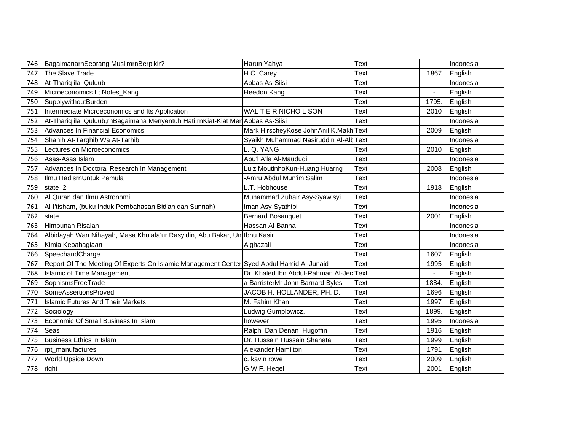| 746 | BagaimanarnSeorang MuslimrnBerpikir?                                                     | Harun Yahya                             | Text        |                | Indonesia |
|-----|------------------------------------------------------------------------------------------|-----------------------------------------|-------------|----------------|-----------|
| 747 | The Slave Trade                                                                          | H.C. Carey                              | Text        | 1867           | English   |
| 748 | At-Tharig ilal Quluub                                                                    | Abbas As-Siisi                          | Text        |                | Indonesia |
| 749 | Microeconomics I; Notes_Kang                                                             | Heedon Kang                             | Text        | $\blacksquare$ | English   |
| 750 | SupplywithoutBurden                                                                      |                                         | Text        | 1795.          | English   |
| 751 | Intermediate Microeconomics and Its Application                                          | WAL T E R NICHO L SON                   | Text        | 2010           | English   |
| 752 | At-Thariq ilal Quluub,rnBagaimana Menyentuh Hati,rnKiat-Kiat Men Abbas As-Siisi          |                                         | Text        |                | Indonesia |
| 753 | <b>Advances In Financial Economics</b>                                                   | Mark HirscheyKose JohnAnil K.Makh Text  |             | 2009           | English   |
| 754 | Shahih At-Targhib Wa At-Tarhib                                                           | Syaikh Muhammad Nasiruddin Al-Alt Text  |             |                | Indonesia |
| 755 | Lectures on Microeconomics                                                               | L. Q. YANG                              | Text        | 2010           | English   |
| 756 | Asas-Asas Islam                                                                          | Abu'l A'la Al-Maududi                   | Text        |                | Indonesia |
| 757 | Advances In Doctoral Research In Management                                              | Luiz MoutinhoKun-Huang Huarng           | Text        | 2008           | English   |
| 758 | Ilmu HadisrnUntuk Pemula                                                                 | -Amru Abdul Mun'im Salim                | <b>Text</b> |                | Indonesia |
| 759 | state_2                                                                                  | L.T. Hobhouse                           | Text        | 1918           | English   |
| 760 | Al Quran dan Ilmu Astronomi                                                              | Muhammad Zuhair Asy-Syawisyi            | Text        |                | Indonesia |
| 761 | Al-l'tisham, (buku Induk Pembahasan Bid'ah dan Sunnah)                                   | Iman Asy-Syathibi                       | Text        |                | Indonesia |
| 762 | state                                                                                    | <b>Bernard Bosanquet</b>                | Text        | 2001           | English   |
| 763 | Himpunan Risalah                                                                         | Hassan Al-Banna                         | Text        |                | Indonesia |
| 764 | Albidayah Wan Nihayah, Masa Khulafa'ur Rasyidin, Abu Bakar, Um Ibnu Kasir                |                                         | Text        |                | Indonesia |
| 765 | Kimia Kebahagiaan                                                                        | Alghazali                               | Text        |                | Indonesia |
| 766 | SpeechandCharge                                                                          |                                         | Text        | 1607           | English   |
| 767 | Report Of The Meeting Of Experts On Islamic Management Center Syed Abdul Hamid Al-Junaid |                                         | Text        | 1995           | English   |
| 768 | <b>Islamic of Time Management</b>                                                        | Dr. Khaled Ibn Abdul-Rahman Al-Jer Text |             | $\blacksquare$ | English   |
| 769 | SophismsFreeTrade                                                                        | a BarristerMr John Barnard Byles        | Text        | 1884           | English   |
| 770 | SomeAssertionsProved                                                                     | JACOB H. HOLLANDER, PH. D.              | Text        | 1696           | English   |
| 771 | <b>Islamic Futures And Their Markets</b>                                                 | M. Fahim Khan                           | Text        | 1997           | English   |
| 772 | Sociology                                                                                | Ludwig Gumplowicz,                      | <b>Text</b> | 1899.          | English   |
| 773 | Economic Of Small Business In Islam                                                      | however                                 | Text        | 1995           | Indonesia |
| 774 | Seas                                                                                     | Ralph Dan Denan Hugoffin                | Text        | 1916           | English   |
| 775 | Business Ethics in Islam                                                                 | Dr. Hussain Hussain Shahata             | Text        | 1999           | English   |
| 776 | rpt manufactures                                                                         | <b>Alexander Hamilton</b>               | Text        | 1791           | English   |
| 777 | World Upside Down                                                                        | c. kavin rowe                           | Text        | 2009           | English   |
| 778 | right                                                                                    | G.W.F. Hegel                            | Text        | 2001           | English   |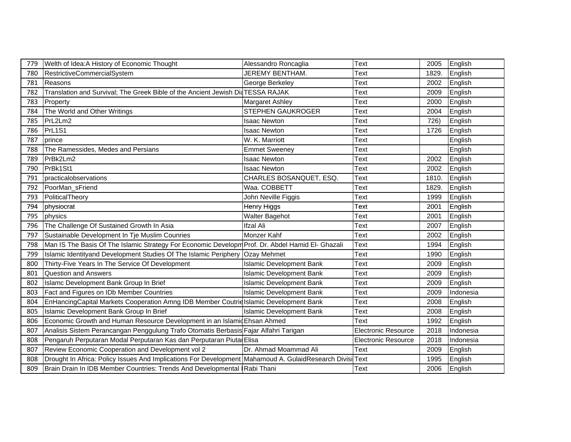| 779 | Welth of Idea: A History of Economic Thought                                                        | Alessandro Roncaglia            | Text                       | 2005  | English   |
|-----|-----------------------------------------------------------------------------------------------------|---------------------------------|----------------------------|-------|-----------|
| 780 | RestrictiveCommercialSystem                                                                         | <b>JEREMY BENTHAM.</b>          | Text                       | 1829. | English   |
| 781 | Reasons                                                                                             | George Berkeley                 | Text                       | 2002  | English   |
| 782 | Translation and Survival; The Greek Bible of the Ancient Jewish DiaTESSA RAJAK                      |                                 | Text                       | 2009  | English   |
| 783 | Property                                                                                            | <b>Margaret Ashley</b>          | Text                       | 2000  | English   |
| 784 | The World and Other Writings                                                                        | STEPHEN GAUKROGER               | Text                       | 2004  | English   |
| 785 | PrL2Lm2                                                                                             | <b>Isaac Newton</b>             | Text                       | 726)  | English   |
| 786 | PrL1S1                                                                                              | <b>Isaac Newton</b>             | Text                       | 1726  | English   |
| 787 | prince                                                                                              | W. K. Marriott                  | Text                       |       | English   |
| 788 | The Ramessides, Medes and Persians                                                                  | <b>Emmet Sweeney</b>            | Text                       |       | English   |
| 789 | PrBk2Lm2                                                                                            | <b>Isaac Newton</b>             | Text                       | 2002  | English   |
| 790 | PrBk1St1                                                                                            | <b>Isaac Newton</b>             | Text                       | 2002  | English   |
| 791 | practicalobservations                                                                               | CHARLES BOSANQUET, ESQ.         | Text                       | 1810. | English   |
| 792 | PoorMan sFriend                                                                                     | Waa. COBBETT                    | Text                       | 1829. | English   |
| 793 | PoliticalTheory                                                                                     | John Neville Figgis             | Text                       | 1999  | English   |
| 794 | physiocrat                                                                                          | Henry Higgs                     | Text                       | 2001  | English   |
| 795 | physics                                                                                             | <b>Walter Bagehot</b>           | Text                       | 2001  | English   |
| 796 | The Challenge Of Sustained Growth In Asia                                                           | <b>Ifzal Ali</b>                | Text                       | 2007  | English   |
| 797 | Sustainable Development In Tje Muslim Counries                                                      | Monzer Kahf                     | Text                       | 2002  | English   |
| 798 | Man IS The Basis Of The Islamic Strategy For Economic Developm Prof. Dr. Abdel Hamid El- Ghazali    |                                 | Text                       | 1994  | English   |
| 799 | Islamic Identityand Development Studies Of The Islamic Periphery Ozay Mehmet                        |                                 | Text                       | 1990  | English   |
| 800 | Thirty-Five Years In The Service Of Development                                                     | <b>Islamic Development Bank</b> | Text                       | 2009  | English   |
| 801 | <b>Question and Answers</b>                                                                         | <b>Islamic Development Bank</b> | Text                       | 2009  | English   |
| 802 | Islamc Development Bank Group In Brief                                                              | <b>Islamic Development Bank</b> | Text                       | 2009  | English   |
| 803 | Fact and Figures on IDb Member Countries                                                            | <b>Islamic Development Bank</b> | Text                       | 2009  | Indonesia |
| 804 | EnHancingCapital Markets Cooperation Amng IDB Member Coutrie Islamic Development Bank               |                                 | Text                       | 2008  | English   |
| 805 | Islamic Development Bank Group In Brief                                                             | <b>Islamic Development Bank</b> | Text                       | 2008  | English   |
| 806 | Economic Growth and Human Resource Development in an Islamid Ehsan Ahmed                            |                                 | Text                       | 1992  | English   |
| 807 | Analisis Sistem Perancangan Penggulung Trafo Otomatis Berbasis Fajar Alfahri Tarigan                |                                 | <b>Electronic Resource</b> | 2018  | Indonesia |
| 808 | Pengaruh Perputaran Modal Perputaran Kas dan Perputaran Piutal Elisa                                |                                 | <b>Electronic Resource</b> | 2018  | Indonesia |
| 807 | Review Economic Cooperation and Development vol 2                                                   | Dr. Ahmad Moammad Ali           | Text                       | 2009  | English   |
| 808 | Drought In Africa: Policy Issues And Implications For Development Mahamoud A. GulaidResearch Divisi |                                 | Text                       | 1995  | English   |
| 809 | Brain Drain In IDB Member Countries: Trends And Developmental Rabi Thani                            |                                 | Text                       | 2006  | English   |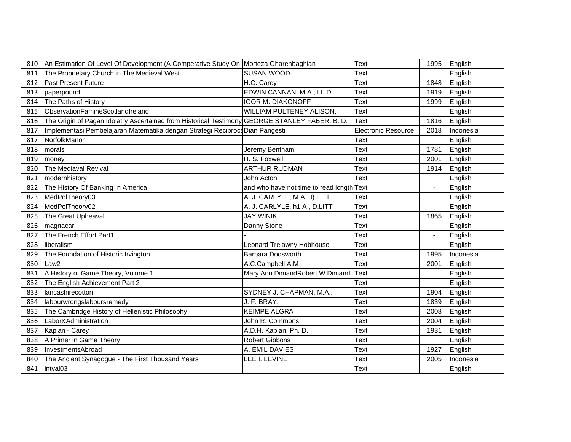|          | 810 An Estimation Of Level Of Development (A Comperative Study On Morteza Gharehbaghian            |                                           | <b>Text</b>         | 1995 English   |
|----------|----------------------------------------------------------------------------------------------------|-------------------------------------------|---------------------|----------------|
|          | 811 The Proprietary Church in The Medieval West                                                    | SUSAN WOOD                                | Text                | English        |
|          | 812 Past Present Future                                                                            | H.C. Carey                                | Text                | 1848 English   |
|          | 813 paperpound                                                                                     | EDWIN CANNAN, M.A., LL.D.                 | Text                | 1919 English   |
|          | 814 The Paths of History                                                                           | <b>IGOR M. DIAKONOFF</b>                  | Text                | 1999 English   |
|          | 815 ObservationFamineScotlandIreland                                                               | WILLIAM PULTENEY ALISON,                  | Text                | English        |
|          | 816 The Origin of Pagan Idolatry Ascertained from Historical Testimony GEORGE STANLEY FABER, B. D. |                                           | Text                | 1816 English   |
|          | 817   Implementasi Pembelajaran Matematika dengan Strategi Reciproca Dian Pangesti                 |                                           | Electronic Resource | 2018 Indonesia |
|          | 817 NorfolkManor                                                                                   |                                           |                     | English        |
|          | 818 morals                                                                                         | Jeremy Bentham                            | Text                | 1781 English   |
|          | 819 money                                                                                          | H. S. Foxwell                             | Text                | 2001 English   |
|          | 820 The Mediaval Revival                                                                           | ARTHUR RUDMAN                             | Text                | 1914 English   |
|          | 821   modernhistory                                                                                | John Acton                                | Text                | English        |
|          | 822 The History Of Banking In America                                                              | and who have not time to read longth Text |                     | English        |
|          | 823 MedPolTheory03                                                                                 | A. J. CARLYLE, M.A., I).LITT              | Text                | English        |
|          | 824 MedPolTheory02                                                                                 | A. J. CARLYLE, h1 A, D.LITT               | Text                | English        |
|          | 825 The Great Upheaval                                                                             | <b>JAY WINIK</b>                          | Text                | 1865 English   |
|          | 826   magnacar                                                                                     | Danny Stone                               | Text                | English        |
|          | 827 The French Effort Part1                                                                        |                                           | Text                | English        |
|          | 828 liberalism                                                                                     | Leonard Trelawny Hobhouse                 | Text                | English        |
|          | 829 The Foundation of Historic Irvington                                                           | Barbara Dodsworth                         | Text                | 1995 Indonesia |
| 830 Law2 |                                                                                                    | A.C.Campbell, A.M                         | Text                | 2001 English   |
|          | 831 A History of Game Theory, Volume 1                                                             | Mary Ann DimandRobert W.Dimand Text       |                     | English        |
|          | 832 The English Achievement Part 2                                                                 |                                           | Text                | English        |
|          | 833   lancashirecotton                                                                             | SYDNEY J. CHAPMAN, M.A.,                  | Text                | 1904 English   |
|          | 834   labourwrongslaboursremedy                                                                    | J. F. BRAY.                               | Text                | 1839 English   |
|          | 835 The Cambridge History of Hellenistic Philosophy                                                | <b>KEIMPE ALGRA</b>                       | Text                | 2008 English   |
|          | 836   Labor&Administration                                                                         | John R. Commons                           | Text                | 2004 English   |
|          | 837 Kaplan - Carey                                                                                 | A.D.H. Kaplan, Ph. D.                     | Text                | 1931 English   |
|          | 838 A Primer in Game Theory                                                                        | <b>Robert Gibbons</b>                     | Text                | English        |
|          | 839   InvestmentsAbroad                                                                            | A. EMIL DAVIES                            | Text                | 1927 English   |
|          | 840 The Ancient Synagogue - The First Thousand Years                                               | LEE I. LEVINE                             | Text                | 2005 Indonesia |
|          | 841   intval03                                                                                     |                                           | Text                | English        |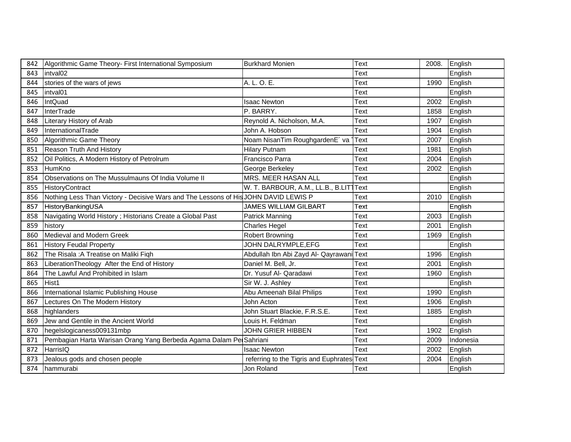|           | 842   Algorithmic Game Theory- First International Symposium                              | <b>Burkhard Monien</b>                     | <b>Text</b> | 2008. | English      |  |
|-----------|-------------------------------------------------------------------------------------------|--------------------------------------------|-------------|-------|--------------|--|
|           | 843 intval02                                                                              |                                            | Text        |       | English      |  |
|           | 844 stories of the wars of jews                                                           | A. L. O. E.                                | <b>Text</b> | 1990  | English      |  |
|           | 845   intval01                                                                            |                                            | <b>Text</b> |       | English      |  |
| 846       | IntQuad                                                                                   | <b>Isaac Newton</b>                        | Text        | 2002  | English      |  |
| 847       | InterTrade                                                                                | P. BARRY.                                  | <b>Text</b> | 1858  | English      |  |
| 848       | Literary History of Arab                                                                  | Reynold A. Nicholson, M.A.                 | <b>Text</b> | 1907  | English      |  |
|           | 849   InternationalTrade                                                                  | John A. Hobson                             | <b>Text</b> | 1904  | English      |  |
|           | 850 Algorithmic Game Theory                                                               | Noam NisanTim RoughgardenE´ va 1Text       |             | 2007  | English      |  |
|           | 851 Reason Truth And History                                                              | <b>Hilary Putnam</b>                       | Text        | 1981  | English      |  |
| 852       | Oil Politics, A Modern History of Petrolrum                                               | Francisco Parra                            | <b>Text</b> | 2004  | English      |  |
|           | 853 HumKno                                                                                | George Berkeley                            | <b>Text</b> |       | 2002 English |  |
| 854       | Observations on The Mussulmauns Of India Volume II                                        | MRS. MEER HASAN ALL                        | Text        |       | English      |  |
|           | 855 HistoryContract                                                                       | W. T. BARBOUR, A.M., LL.B., B.LITTText     |             |       | English      |  |
|           | 856   Nothing Less Than Victory - Decisive Wars and The Lessons of His JOHN DAVID LEWIS P |                                            | Text        |       | 2010 English |  |
|           | 857 HistoryBankingUSA                                                                     | <b>JAMES WILLIAM GILBART</b>               | Text        |       | English      |  |
|           | 858 Navigating World History; Historians Create a Global Past                             | <b>Patrick Manning</b>                     | <b>Text</b> | 2003  | English      |  |
|           | 859 history                                                                               | <b>Charles Hegel</b>                       | <b>Text</b> | 2001  | English      |  |
|           | 860 Medieval and Modern Greek                                                             | <b>Robert Browning</b>                     | <b>Text</b> | 1969  | English      |  |
| 861       | <b>History Feudal Property</b>                                                            | JOHN DALRYMPLE, EFG                        | Text        |       | English      |  |
|           | 862 The Risala : A Treatise on Maliki Figh                                                | Abdullah Ibn Abi Zayd Al- Qayrawani Text   |             |       | 1996 English |  |
|           | 863   Liberation Theology After the End of History                                        | Daniel M. Bell, Jr.                        | Text        | 2001  | English      |  |
|           | 864 The Lawful And Prohibited in Islam                                                    | Dr. Yusuf Al- Qaradawi                     | <b>Text</b> | 1960  | English      |  |
| 865 Hist1 |                                                                                           | Sir W. J. Ashley                           | <b>Text</b> |       | English      |  |
| 866       | International Islamic Publishing House                                                    | Abu Ameenah Bilal Philips                  | <b>Text</b> | 1990  | English      |  |
| 867       | Lectures On The Modern History                                                            | John Acton                                 | <b>Text</b> | 1906  | English      |  |
| 868       | highlanders                                                                               | John Stuart Blackie, F.R.S.E.              | <b>Text</b> | 1885  | English      |  |
|           | 869 Jew and Gentile in the Ancient World                                                  | Louis H. Feldman                           | <b>Text</b> |       | English      |  |
|           | 870   hegelslogicaness009131mbp                                                           | <b>JOHN GRIER HIBBEN</b>                   | <b>Text</b> | 1902  | English      |  |
|           | 871 Pembagian Harta Warisan Orang Yang Berbeda Agama Dalam PelSahriani                    |                                            | <b>Text</b> | 2009  | Indonesia    |  |
|           | 872 HarrisIQ                                                                              | <b>Isaac Newton</b>                        | <b>Text</b> | 2002  | English      |  |
|           | 873 Jealous gods and chosen people                                                        | referring to the Tigris and Euphrates Text |             | 2004  | English      |  |
|           | 874 hammurabi                                                                             | Jon Roland                                 | <b>Text</b> |       | English      |  |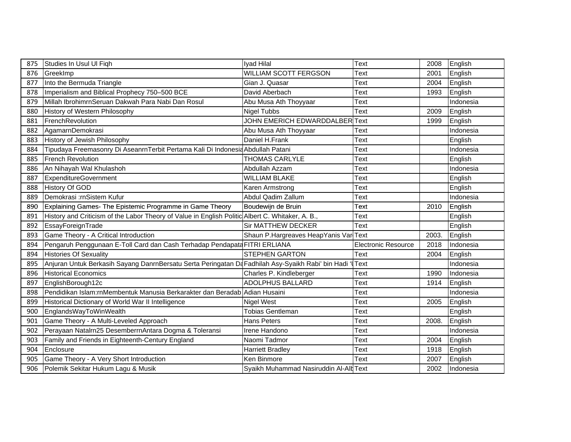| 875 | Studies In Usul UI Figh                                                                           | Iyad Hilal                             | Text                       | 2008  | English   |
|-----|---------------------------------------------------------------------------------------------------|----------------------------------------|----------------------------|-------|-----------|
| 876 | GreekImp                                                                                          | <b>WILLIAM SCOTT FERGSON</b>           | Text                       | 2001  | English   |
| 877 | Into the Bermuda Triangle                                                                         | Gian J. Quasar                         | Text                       | 2004  | English   |
| 878 | Imperialism and Biblical Prophecy 750-500 BCE                                                     | David Aberbach                         | Text                       | 1993  | English   |
| 879 | Millah IbrohimrnSeruan Dakwah Para Nabi Dan Rosul                                                 | Abu Musa Ath Thoyyaar                  | Text                       |       | Indonesia |
| 880 | History of Western Philosophy                                                                     | <b>Nigel Tubbs</b>                     | Text                       | 2009  | English   |
| 881 | FrenchRevolution                                                                                  | JOHN EMERICH EDWARDDALBER Text         |                            | 1999  | English   |
| 882 | AgamarnDemokrasi                                                                                  | Abu Musa Ath Thoyyaar                  | Text                       |       | Indonesia |
| 883 | History of Jewish Philosophy                                                                      | Daniel H.Frank                         | Text                       |       | English   |
| 884 | Tipudaya Freemasonry Di AseanrnTerbit Pertama Kali Di Indonesia Abdullah Patani                   |                                        | Text                       |       | Indonesia |
| 885 | <b>French Revolution</b>                                                                          | <b>THOMAS CARLYLE</b>                  | Text                       |       | English   |
| 886 | An Nihayah Wal Khulashoh                                                                          | Abdullah Azzam                         | Text                       |       | Indonesia |
| 887 | ExpenditureGovernment                                                                             | <b>WILLIAM BLAKE</b>                   | Text                       |       | English   |
| 888 | History Of GOD                                                                                    | Karen Armstrong                        | Text                       |       | English   |
| 889 | Demokrasi :rnSistem Kufur                                                                         | Abdul Qadim Zallum                     | Text                       |       | Indonesia |
| 890 | Explaining Games- The Epistemic Programme in Game Theory                                          | Boudewijn de Bruin                     | Text                       | 2010  | English   |
| 891 | History and Criticism of the Labor Theory of Value in English Politic Albert C. Whitaker, A. B.,  |                                        | Text                       |       | English   |
| 892 | EssayForeignTrade                                                                                 | Sir MATTHEW DECKER                     | Text                       |       | English   |
| 893 | Game Theory - A Critical Introduction                                                             | Shaun P.Hargreaves HeapYanis Var Text  |                            | 2003. | English   |
| 894 | Pengaruh Penggunaan E-Toll Card dan Cash Terhadap Pendapata FITRI ERLIANA                         |                                        | <b>Electronic Resource</b> | 2018  | Indonesia |
| 894 | <b>Histories Of Sexuality</b>                                                                     | <b>STEPHEN GARTON</b>                  | <b>Text</b>                | 2004  | English   |
| 895 | Anjuran Untuk Berkasih Sayang DanrnBersatu Serta Peringatan Da Fadhilah Asy-Syaikh Rabi' bin Hadi |                                        | <b>Text</b>                |       | Indonesia |
| 896 | <b>Historical Economics</b>                                                                       | Charles P. Kindleberger                | Text                       | 1990  | Indonesia |
| 897 | EnglishBorough12c                                                                                 | <b>ADOLPHUS BALLARD</b>                | Text                       | 1914  | English   |
| 898 | Pendidikan Islam:rnMembentuk Manusia Berkarakter dan Beradab Adian Husaini                        |                                        | Text                       |       | Indonesia |
| 899 | Historical Dictionary of World War II Intelligence                                                | <b>Nigel West</b>                      | Text                       | 2005  | English   |
| 900 | EnglandsWayToWinWealth                                                                            | Tobias Gentleman                       | Text                       |       | English   |
| 901 | Game Theory - A Multi-Leveled Approach                                                            | <b>Hans Peters</b>                     | Text                       | 2008. | English   |
| 902 | Perayaan Natalrn25 DesemberrnAntara Dogma & Toleransi                                             | Irene Handono                          | Text                       |       | Indonesia |
| 903 | Family and Friends in Eighteenth-Century England                                                  | Naomi Tadmor                           | Text                       | 2004  | English   |
| 904 | Enclosure                                                                                         | <b>Harriett Bradley</b>                | Text                       | 1918  | English   |
| 905 | Game Theory - A Very Short Introduction                                                           | Ken Binmore                            | Text                       | 2007  | English   |
| 906 | Polemik Sekitar Hukum Lagu & Musik                                                                | Syaikh Muhammad Nasiruddin Al-Alb Text |                            | 2002  | Indonesia |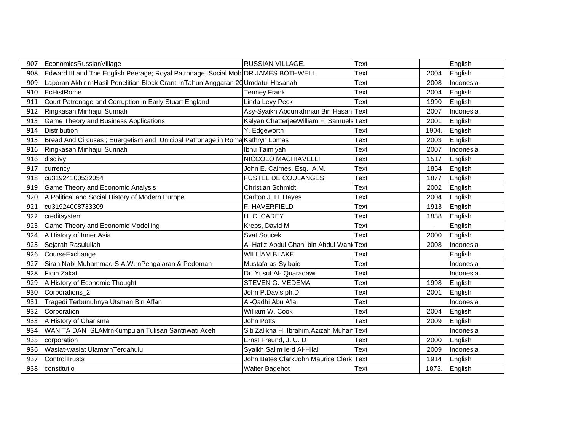| 907 | EconomicsRussianVillage                                                           | <b>RUSSIAN VILLAGE.</b>                    | <b>Text</b> |       | English   |  |
|-----|-----------------------------------------------------------------------------------|--------------------------------------------|-------------|-------|-----------|--|
| 908 | Edward III and The English Peerage; Royal Patronage, Social MobiDR JAMES BOTHWELL |                                            | Text        | 2004  | English   |  |
| 909 | Laporan Akhir rnHasil Penelitian Block Grant rnTahun Anggaran 20 Umdatul Hasanah  |                                            | Text        | 2008  | Indonesia |  |
| 910 | EcHistRome                                                                        | <b>Tenney Frank</b>                        | Text        | 2004  | English   |  |
| 911 | Court Patronage and Corruption in Early Stuart England                            | Linda Levy Peck                            | Text        | 1990  | English   |  |
| 912 | Ringkasan Minhajul Sunnah                                                         | Asy-Syaikh Abdurrahman Bin Hasan Text      |             | 2007  | Indonesia |  |
| 913 | Game Theory and Business Applications                                             | Kalyan ChatterjeeWilliam F. Samuels Text   |             | 2001  | English   |  |
| 914 | <b>Distribution</b>                                                               | Y. Edgeworth                               | Text        | 1904. | English   |  |
| 915 | Bread And Circuses ; Euergetism and Unicipal Patronage in Roma Kathryn Lomas      |                                            | Text        | 2003  | English   |  |
| 916 | Ringkasan Minhajul Sunnah                                                         | Ibnu Taimiyah                              | Text        | 2007  | Indonesia |  |
| 916 | disclivy                                                                          | NICCOLO MACHIAVELLI                        | Text        | 1517  | English   |  |
| 917 | currency                                                                          | John E. Cairnes, Esq., A.M.                | Text        | 1854  | English   |  |
| 918 | cu31924100532054                                                                  | FUSTEL DE COULANGES.                       | Text        | 1877  | English   |  |
| 919 | Game Theory and Economic Analysis                                                 | <b>Christian Schmidt</b>                   | Text        | 2002  | English   |  |
| 920 | A Political and Social History of Modern Europe                                   | Carlton J. H. Hayes                        | Text        | 2004  | English   |  |
| 921 | cu31924008733309                                                                  | F. HAVERFIELD                              | <b>Text</b> | 1913  | English   |  |
| 922 | creditsystem                                                                      | H. C. CAREY                                | Text        | 1838  | English   |  |
| 923 | Game Theory and Economic Modelling                                                | Kreps, David M                             | Text        |       | English   |  |
| 924 | A History of Inner Asia                                                           | <b>Svat Soucek</b>                         | Text        | 2000  | English   |  |
| 925 | Sejarah Rasulullah                                                                | Al-Hafiz Abdul Ghani bin Abdul WahilText   |             | 2008  | Indonesia |  |
| 926 | CourseExchange                                                                    | <b>WILLIAM BLAKE</b>                       | Text        |       | English   |  |
| 927 | Sirah Nabi Muhammad S.A.W.rnPengajaran & Pedoman                                  | Mustafa as-Syibaie                         | Text        |       | Indonesia |  |
| 928 | Figih Zakat                                                                       | Dr. Yusuf Al- Quaradawi                    | Text        |       | Indonesia |  |
| 929 | A History of Economic Thought                                                     | STEVEN G. MEDEMA                           | Text        | 1998  | English   |  |
| 930 | Corporations <sub>2</sub>                                                         | John P.Davis,ph.D.                         | Text        | 2001  | English   |  |
| 931 | Tragedi Terbunuhnya Utsman Bin Affan                                              | Al-Qadhi Abu A'la                          | Text        |       | Indonesia |  |
| 932 | Corporation                                                                       | William W. Cook                            | Text        | 2004  | English   |  |
| 933 | A History of Charisma                                                             | John Potts                                 | Text        | 2009  | English   |  |
| 934 | WANITA DAN ISLAMrnKumpulan Tulisan Santriwati Aceh                                | Siti Zalikha H. Ibrahim, Azizah Muhan Text |             |       | Indonesia |  |
| 935 | corporation                                                                       | Ernst Freund, J. U. D.                     | Text        | 2000  | English   |  |
| 936 | Wasiat-wasiat UlamarnTerdahulu                                                    | Syaikh Salim le-d Al-Hilali                | Text        | 2009  | Indonesia |  |
| 937 | ControlTrusts                                                                     | John Bates ClarkJohn Maurice Clark Text    |             | 1914  | English   |  |
| 938 | constitutio                                                                       | <b>Walter Bagehot</b>                      | Text        | 1873. | English   |  |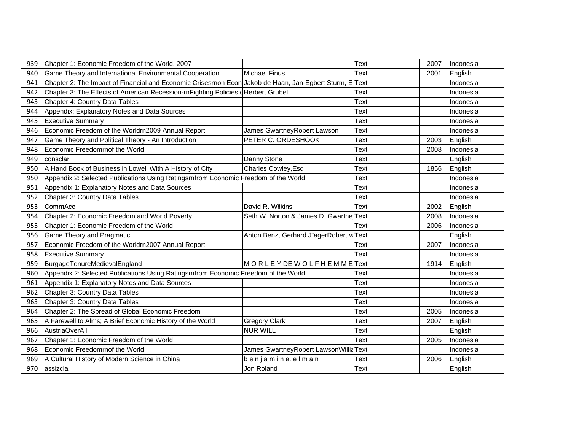| 939 | Chapter 1: Economic Freedom of the World, 2007                                                          |                                         | Text        | 2007 | Indonesia |
|-----|---------------------------------------------------------------------------------------------------------|-----------------------------------------|-------------|------|-----------|
| 940 | Game Theory and International Environmental Cooperation                                                 | <b>Michael Finus</b>                    | Text        | 2001 | English   |
| 941 | Chapter 2: The Impact of Financial and Economic Crisesrnon Econ Jakob de Haan, Jan-Egbert Sturm, E Text |                                         |             |      | Indonesia |
| 942 | Chapter 3: The Effects of American Recession-rnFighting Policies dHerbert Grubel                        |                                         | Text        |      | Indonesia |
| 943 | Chapter 4: Country Data Tables                                                                          |                                         | Text        |      | Indonesia |
| 944 | Appendix: Explanatory Notes and Data Sources                                                            |                                         | Text        |      | Indonesia |
| 945 | <b>Executive Summary</b>                                                                                |                                         | Text        |      | Indonesia |
| 946 | Economic Freedom of the Worldrn2009 Annual Report                                                       | James GwartneyRobert Lawson             | Text        |      | Indonesia |
| 947 | Game Theory and Political Theory - An Introduction                                                      | PETER C. ORDESHOOK                      | Text        | 2003 | English   |
| 948 | Economic Freedomrnof the World                                                                          |                                         | Text        | 2008 | Indonesia |
| 949 | consclar                                                                                                | Danny Stone                             | Text        |      | English   |
| 950 | A Hand Book of Business in Lowell With A History of City                                                | Charles Cowley, Esq                     | Text        | 1856 | English   |
| 950 | Appendix 2: Selected Publications Using Ratingsrnfrom Economic Freedom of the World                     |                                         | Text        |      | Indonesia |
| 951 | Appendix 1: Explanatory Notes and Data Sources                                                          |                                         | Text        |      | Indonesia |
| 952 | Chapter 3: Country Data Tables                                                                          |                                         | Text        |      | Indonesia |
| 953 | CommAcc                                                                                                 | David R. Wilkins                        | Text        | 2002 | English   |
| 954 | Chapter 2: Economic Freedom and World Poverty                                                           | Seth W. Norton & James D. Gwartne Text  |             | 2008 | Indonesia |
| 955 | Chapter 1: Economic Freedom of the World                                                                |                                         | Text        | 2006 | Indonesia |
| 956 | <b>Game Theory and Pragmatic</b>                                                                        | Anton Benz, Gerhard J"agerRobert viText |             |      | English   |
| 957 | Economic Freedom of the Worldrn2007 Annual Report                                                       |                                         | Text        | 2007 | Indonesia |
| 958 | <b>Executive Summary</b>                                                                                |                                         | <b>Text</b> |      | Indonesia |
| 959 | BurgageTenureMedievalEngland                                                                            | MORLEY DE WOLFHEMMEText                 |             | 1914 | English   |
| 960 | Appendix 2: Selected Publications Using Ratingsrnfrom Economic Freedom of the World                     |                                         | Text        |      | Indonesia |
| 961 | Appendix 1: Explanatory Notes and Data Sources                                                          |                                         | Text        |      | Indonesia |
| 962 | Chapter 3: Country Data Tables                                                                          |                                         | Text        |      | Indonesia |
| 963 | Chapter 3: Country Data Tables                                                                          |                                         | Text        |      | Indonesia |
| 964 | Chapter 2: The Spread of Global Economic Freedom                                                        |                                         | Text        | 2005 | Indonesia |
| 965 | A Farewell to Alms; A Brief Economic History of the World                                               | <b>Gregory Clark</b>                    | Text        | 2007 | English   |
| 966 | <b>AustriaOverAll</b>                                                                                   | <b>NUR WILL</b>                         | Text        |      | English   |
| 967 | Chapter 1: Economic Freedom of the World                                                                |                                         | Text        | 2005 | Indonesia |
| 968 | Economic Freedomrnof the World                                                                          | James GwartneyRobert LawsonWilliaText   |             |      | Indonesia |
| 969 | A Cultural History of Modern Science in China                                                           | benjamina elman                         | Text        | 2006 | English   |
| 970 | assizcla                                                                                                | Jon Roland                              | Text        |      | English   |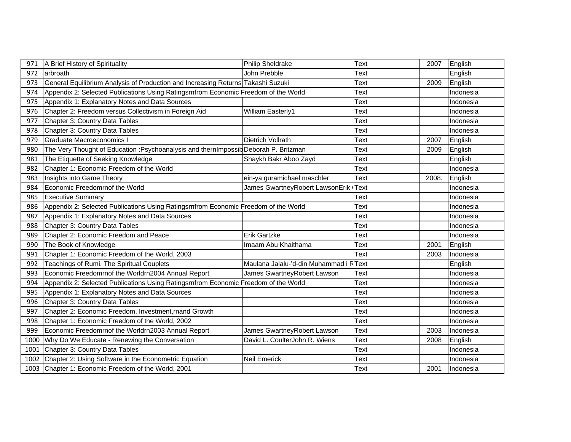| 971  | A Brief History of Spirituality                                                      | <b>Philip Sheldrake</b>                | Text        | 2007  | English   |
|------|--------------------------------------------------------------------------------------|----------------------------------------|-------------|-------|-----------|
| 972  | arbroath                                                                             | John Prebble                           | Text        |       | English   |
| 973  | General Equilibrium Analysis of Production and Increasing Returns Takashi Suzuki     |                                        | Text        | 2009  | English   |
| 974  | Appendix 2: Selected Publications Using Ratingsrnfrom Economic Freedom of the World  |                                        | Text        |       | Indonesia |
| 975  | Appendix 1: Explanatory Notes and Data Sources                                       |                                        | Text        |       | Indonesia |
| 976  | Chapter 2: Freedom versus Collectivism in Foreign Aid                                | William Easterly1                      | Text        |       | Indonesia |
| 977  | Chapter 3: Country Data Tables                                                       |                                        | Text        |       | Indonesia |
| 978  | Chapter 3: Country Data Tables                                                       |                                        | Text        |       | Indonesia |
| 979  | <b>Graduate Macroeconomics I</b>                                                     | Dietrich Vollrath                      | Text        | 2007  | English   |
| 980  | The Very Thought of Education : Psychoanalysis and thernImpossib Deborah P. Britzman |                                        | Text        | 2009  | English   |
| 981  | The Etiquette of Seeking Knowledge                                                   | Shaykh Bakr Aboo Zayd                  | Text        |       | English   |
| 982  | Chapter 1: Economic Freedom of the World                                             |                                        | Text        |       | Indonesia |
| 983  | Insights into Game Theory                                                            | ein-ya guramichael maschler            | Text        | 2008. | English   |
| 984  | Economic Freedomrnof the World                                                       | James GwartneyRobert LawsonErik        | <b>Text</b> |       | Indonesia |
| 985  | <b>Executive Summary</b>                                                             |                                        | Text        |       | Indonesia |
| 986  | Appendix 2: Selected Publications Using Ratingsrnfrom Economic Freedom of the World  |                                        | Text        |       | Indonesia |
| 987  | Appendix 1: Explanatory Notes and Data Sources                                       |                                        | Text        |       | Indonesia |
| 988  | Chapter 3: Country Data Tables                                                       |                                        | Text        |       | Indonesia |
| 989  | Chapter 2: Economic Freedom and Peace                                                | <b>Erik Gartzke</b>                    | Text        |       | Indonesia |
| 990  | The Book of Knowledge                                                                | Imaam Abu Khaithama                    | Text        | 2001  | English   |
| 991  | Chapter 1: Economic Freedom of the World, 2003                                       |                                        | Text        | 2003  | Indonesia |
| 992  | Teachings of Rumi. The Spiritual Couplets                                            | Maulana Jalalu-'d-din Muhammad i RText |             |       | English   |
| 993  | Economic Freedomrnof the Worldrn2004 Annual Report                                   | James GwartneyRobert Lawson            | Text        |       | Indonesia |
| 994  | Appendix 2: Selected Publications Using Ratingsrnfrom Economic Freedom of the World  |                                        | Text        |       | Indonesia |
| 995  | Appendix 1: Explanatory Notes and Data Sources                                       |                                        | Text        |       | Indonesia |
| 996  | Chapter 3: Country Data Tables                                                       |                                        | Text        |       | Indonesia |
| 997  | Chapter 2: Economic Freedom, Investment, rnand Growth                                |                                        | Text        |       | Indonesia |
| 998  | Chapter 1: Economic Freedom of the World, 2002                                       |                                        | Text        |       | Indonesia |
| 999  | Economic Freedomrnof the Worldrn2003 Annual Report                                   | James GwartneyRobert Lawson            | Text        | 2003  | Indonesia |
| 1000 | Why Do We Educate - Renewing the Conversation                                        | David L. CoulterJohn R. Wiens          | Text        | 2008  | English   |
| 1001 | Chapter 3: Country Data Tables                                                       |                                        | Text        |       | Indonesia |
|      | 1002 Chapter 2: Using Software in the Econometric Equation                           | <b>Neil Emerick</b>                    | Text        |       | Indonesia |
|      | 1003 Chapter 1: Economic Freedom of the World, 2001                                  |                                        | Text        | 2001  | Indonesia |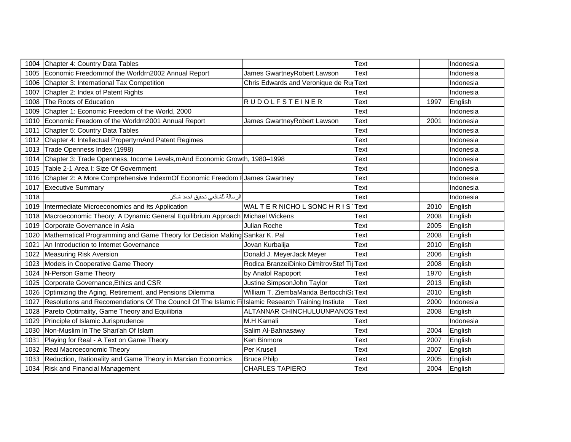|      | 1004 Chapter 4: Country Data Tables                                                   |                                            | Text        |      | Indonesia |
|------|---------------------------------------------------------------------------------------|--------------------------------------------|-------------|------|-----------|
|      | 1005 Economic Freedomrnof the Worldrn2002 Annual Report                               | James GwartneyRobert Lawson                | Text        |      | Indonesia |
|      | 1006 Chapter 3: International Tax Competition                                         | Chris Edwards and Veronique de Ru Text     |             |      | Indonesia |
|      | 1007 Chapter 2: Index of Patent Rights                                                |                                            | Text        |      | Indonesia |
|      | 1008 The Roots of Education                                                           | <b>RUDOLFSTEINER</b>                       | Text        | 1997 | English   |
|      | 1009 Chapter 1: Economic Freedom of the World, 2000                                   |                                            | Text        |      | Indonesia |
|      | 1010 Economic Freedom of the Worldrn2001 Annual Report                                | James GwartneyRobert Lawson                | Text        | 2001 | Indonesia |
| 1011 | Chapter 5: Country Data Tables                                                        |                                            | Text        |      | Indonesia |
|      | 1012 Chapter 4: Intellectual PropertyrnAnd Patent Regimes                             |                                            | Text        |      | Indonesia |
|      | 1013 Trade Openness Index (1998)                                                      |                                            | Text        |      | Indonesia |
|      | 1014 Chapter 3: Trade Openness, Income Levels, rnAnd Economic Growth, 1980-1998       |                                            | Text        |      | Indonesia |
|      | 1015 Table 2-1 Area I: Size Of Government                                             |                                            | Text        |      | Indonesia |
|      | 1016 Chapter 2: A More Comprehensive IndexrnOf Economic Freedom FJames Gwartney       |                                            | Text        |      | Indonesia |
|      | 1017 Executive Summary                                                                |                                            | Text        |      | Indonesia |
| 1018 | الرسالة للشافعي تحقيق احمد شاكر                                                       |                                            | Text        |      | Indonesia |
|      | 1019 Intermediate Microeconomics and Its Application                                  | WALTER NICHOL SONCHRIS                     | Text        | 2010 | English   |
|      | 1018   Macroeconomic Theory; A Dynamic General Equilibrium Approach   Michael Wickens |                                            | Text        | 2008 | English   |
|      | 1019 Corporate Governance in Asia                                                     | Julian Roche                               | Text        | 2005 | English   |
|      | 1020   Mathematical Programming and Game Theory for Decision Making Sankar K. Pal     |                                            | Text        | 2008 | English   |
| 1021 | An Introduction to Internet Governance                                                | Jovan Kurbalija                            | Text        | 2010 | English   |
|      | 1022 Measuring Risk Aversion                                                          | Donald J. MeyerJack Meyer                  | Text        | 2006 | English   |
|      | 1023 Models in Cooperative Game Theory                                                | Rodica BranzeiDinko DimitrovStef Tij       | Text        | 2008 | English   |
|      | 1024 N-Person Game Theory                                                             | by Anatol Rapoport                         | Text        | 1970 | English   |
|      | 1025 Corporate Governance, Ethics and CSR                                             | Justine SimpsonJohn Taylor                 | Text        | 2013 | English   |
|      | 1026 Optimizing the Aging, Retirement, and Pensions Dilemma                           | William T. ZiembaMarida BertocchiSa        | <b>Text</b> | 2010 | English   |
|      | 1027 Resolutions and Recomendations Of The Council Of The Islamic Fi                  | <b>Ilslamic Research Training Instiute</b> | Text        | 2000 | Indonesia |
|      | 1028 Pareto Optimality, Game Theory and Equilibria                                    | ALTANNAR CHINCHULUUNPANOSText              |             | 2008 | English   |
|      | 1029 Principle of Islamic Jurisprudence                                               | M.H Kamali                                 | Text        |      | Indonesia |
|      | 1030 Non-Muslim In The Shari'ah Of Islam                                              | Salim Al-Bahnasawy                         | Text        | 2004 | English   |
|      | 1031 Playing for Real - A Text on Game Theory                                         | Ken Binmore                                | Text        | 2007 | English   |
|      | 1032 Real Macroeconomic Theory                                                        | Per Krusell                                | Text        | 2007 | English   |
|      | 1033 Reduction, Rationality and Game Theory in Marxian Economics                      | <b>Bruce Philp</b>                         | Text        | 2005 | English   |
|      | 1034 Risk and Financial Management                                                    | <b>CHARLES TAPIERO</b>                     | Text        | 2004 | English   |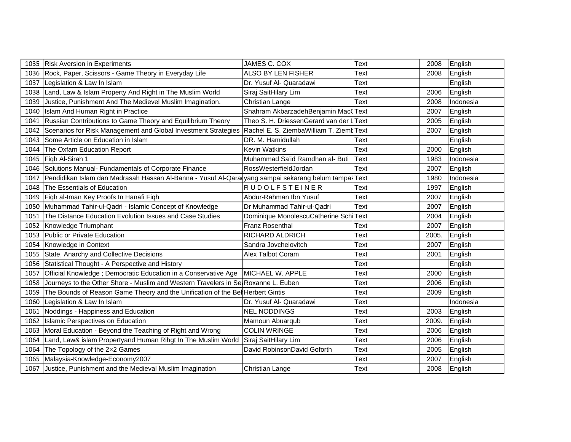|      | 1035 Risk Aversion in Experiments                                                               | JAMES C. COX                             | Text | 2008  | English   |
|------|-------------------------------------------------------------------------------------------------|------------------------------------------|------|-------|-----------|
|      | 1036 Rock, Paper, Scissors - Game Theory in Everyday Life                                       | ALSO BY LEN FISHER                       | Text | 2008  | English   |
| 1037 | Legislation & Law In Islam                                                                      | Dr. Yusuf Al- Quaradawi                  | Text |       | English   |
| 1038 | Land, Law & Islam Property And Right in The Muslim World                                        | Siraj SaitHilary Lim                     | Text | 2006  | English   |
| 1039 | Justice, Punishment And The Medievel Muslim Imagination.                                        | Christian Lange                          | Text | 2008  | Indonesia |
| 1040 | Islam And Human Right in Practice                                                               | Shahram AkbarzadehBenjamin MacQText      |      | 2007  | English   |
| 1041 | Russian Contributions to Game Theory and Equilibrium Theory                                     | Theo S. H. DriessenGerard van der L Text |      | 2005  | English   |
| 1042 | Scenarios for Risk Management and Global Investment Strategies                                  | Rachel E. S. ZiembaWilliam T. Ziemt Text |      | 2007  | English   |
| 1043 | Some Article on Education in Islam                                                              | DR. M. Hamidullah                        | Text |       | English   |
| 1044 | The Oxfam Education Report                                                                      | <b>Kevin Watkins</b>                     | Text | 2000  | English   |
| 1045 | Figh Al-Sirah 1                                                                                 | Muhammad Sa'id Ramdhan al- Buti          | Text | 1983  | Indonesia |
| 1046 | Solutions Manual- Fundamentals of Corporate Finance                                             | RossWesterfieldJordan                    | Text | 2007  | English   |
| 1047 | Pendidikan Islam dan Madrasah Hassan Al-Banna - Yusuf Al-Qara yang sampai sekarang belum tampal |                                          | Text | 1980  | Indonesia |
| 1048 | The Essentials of Education                                                                     | RUDOLFSTEINER                            | Text | 1997  | English   |
| 1049 | Fiqh al-Iman Key Proofs In Hanafi Fiqh                                                          | Abdur-Rahman Ibn Yusuf                   | Text | 2007  | English   |
|      | 1050 Muhammad Tahir-ul-Qadri - Islamic Concept of Knowledge                                     | Dr Muhammad Tahir-ul-Qadri               | Text | 2007  | English   |
| 1051 | The Distance Education Evolution Issues and Case Studies                                        | Dominique MonolescuCatherine Schi Text   |      | 2004  | English   |
|      | 1052 Knowledge Triumphant                                                                       | Franz Rosenthal                          | Text | 2007  | English   |
| 1053 | Public or Private Education                                                                     | RICHARD ALDRICH                          | Text | 2005. | English   |
| 1054 | Knowledge in Context                                                                            | Sandra Jovchelovitch                     | Text | 2007  | English   |
|      | 1055 State, Anarchy and Collective Decisions                                                    | Alex Talbot Coram                        | Text | 2001  | English   |
| 1056 | Statistical Thought - A Perspective and History                                                 |                                          | Text |       | English   |
| 1057 | Official Knowledge ; Democratic Education in a Conservative Age   MICHAEL W. APPLE              |                                          | Text | 2000  | English   |
| 1058 | Journeys to the Other Shore - Muslim and Western Travelers in Se Roxanne L. Euben               |                                          | Text | 2006  | English   |
| 1059 | The Bounds of Reason Game Theory and the Unification of the Bel Herbert Gintis                  |                                          | Text | 2009  | English   |
|      | 1060 Legislation & Law In Islam                                                                 | Dr. Yusuf Al- Quaradawi                  | Text |       | Indonesia |
| 1061 | Noddings - Happiness and Education                                                              | <b>NEL NODDINGS</b>                      | Text | 2003  | English   |
| 1062 | Islamic Perspectives on Education                                                               | Mamoun Abuarqub                          | Text | 2009. | English   |
| 1063 | Moral Education - Beyond the Teaching of Right and Wrong                                        | <b>COLIN WRINGE</b>                      | Text | 2006  | English   |
| 1064 | Land, Law& islam Propertyand Human Rihgt In The Muslim World                                    | Siraj SaitHilary Lim                     | Text | 2006  | English   |
| 1064 | The Topology of the 2x2 Games                                                                   | David RobinsonDavid Goforth              | Text | 2005  | English   |
| 1065 | Malaysia-Knowledge-Economy2007                                                                  |                                          | Text | 2007  | English   |
|      | 1067 Justice, Punishment and the Medieval Muslim Imagination                                    | Christian Lange                          | Text | 2008  | English   |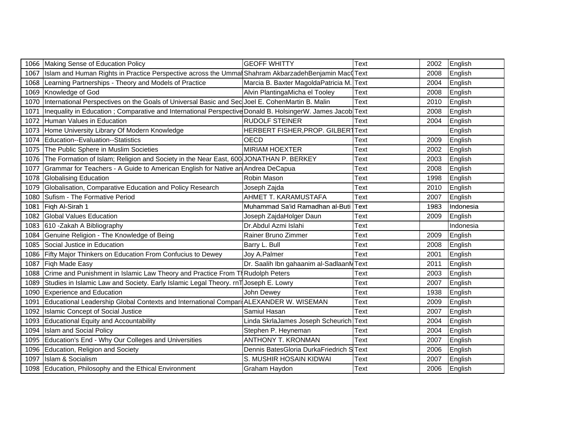|      | 1066 Making Sense of Education Policy                                                                            | <b>GEOFF WHITTY</b>                      | Text | 2002 | English   |
|------|------------------------------------------------------------------------------------------------------------------|------------------------------------------|------|------|-----------|
| 1067 | Islam and Human Rights in Practice Perspective across the Ummal Shahram Akbarzadeh Benjamin Mac Text             |                                          |      | 2008 | English   |
|      | 1068 Learning Partnerships - Theory and Models of Practice                                                       | Marcia B. Baxter MagoldaPatricia M. Text |      | 2004 | English   |
|      | 1069 Knowledge of God                                                                                            | Alvin PlantingaMicha el Tooley           | Text | 2008 | English   |
| 1070 | International Perspectives on the Goals of Universal Basic and Sec Joel E. CohenMartin B. Malin                  |                                          | Text | 2010 | English   |
|      | 1071  Inequality in Education ; Comparative and International Perspective Donald B. HolsingerW. James Jacob Text |                                          |      | 2008 | English   |
|      | 1072 Human Values in Education                                                                                   | <b>RUDOLF STEINER</b>                    | Text | 2004 | English   |
|      | 1073 Home University Library Of Modern Knowledge                                                                 | HERBERT FISHER, PROP. GILBERTText        |      |      | English   |
| 1074 | Education--Evaluation--Statistics                                                                                | OECD                                     | Text | 2009 | English   |
|      | 1075 The Public Sphere in Muslim Societies                                                                       | <b>MIRIAM HOEXTER</b>                    | Text | 2002 | English   |
|      | 1076 The Formation of Islam; Religion and Society in the Near East, 600 JONATHAN P. BERKEY                       |                                          | Text | 2003 | English   |
| 1077 | Grammar for Teachers - A Guide to American English for Native an Andrea DeCapua                                  |                                          | Text | 2008 | English   |
|      | 1078 Globalising Education                                                                                       | Robin Mason                              | Text | 1998 | English   |
| 1079 | Globalisation, Comparative Education and Policy Research                                                         | Joseph Zajda                             | Text | 2010 | English   |
|      | 1080 Sufism - The Formative Period                                                                               | AHMET T. KARAMUSTAFA                     | Text | 2007 | English   |
|      | 1081 Figh Al-Sirah 1                                                                                             | Muhammad Sa'id Ramadhan al-Buti          | Text | 1983 | Indonesia |
|      | 1082 Global Values Education                                                                                     | Joseph ZajdaHolger Daun                  | Text | 2009 | English   |
|      | 1083 610 - Zakah A Bibliography                                                                                  | Dr.Abdul Azmi Islahi                     | Text |      | Indonesia |
|      | 1084 Genuine Religion - The Knowledge of Being                                                                   | Rainer Bruno Zimmer                      | Text | 2009 | English   |
| 1085 | Social Justice in Education                                                                                      | Barry L. Bull                            | Text | 2008 | English   |
|      | 1086 Fifty Major Thinkers on Education From Confucius to Dewey                                                   | Joy A.Palmer                             | Text | 2001 | English   |
|      | 1087 Figh Made Easy                                                                                              | Dr. Saalih Ibn gahaanim al-SadlaanMText  |      | 2011 | English   |
| 1088 | Crime and Punishment in Islamic Law Theory and Practice From Th Rudolph Peters                                   |                                          | Text | 2003 | English   |
| 1089 | Studies in Islamic Law and Society. Early Islamic Legal Theory. rnT Joseph E. Lowry                              |                                          | Text | 2007 | English   |
| 1090 | <b>Experience and Education</b>                                                                                  | John Dewey                               | Text | 1938 | English   |
|      | 1091   Educational Leadership Global Contexts and International Compari ALEXANDER W. WISEMAN                     |                                          | Text | 2009 | English   |
|      | 1092   Islamic Concept of Social Justice                                                                         | Samiul Hasan                             | Text | 2007 | English   |
|      | 1093 Educational Equity and Accountability                                                                       | Linda SkrlaJames Joseph Scheurich        | Text | 2004 | English   |
|      | 1094 Islam and Social Policy                                                                                     | Stephen P. Heyneman                      | Text | 2004 | English   |
|      | 1095   Education's End - Why Our Colleges and Universities                                                       | <b>ANTHONY T. KRONMAN</b>                | Text | 2007 | English   |
|      | 1096 Education, Religion and Society                                                                             | Dennis BatesGloria DurkaFriedrich SText  |      | 2006 | English   |
| 1097 | Islam & Socialism                                                                                                | S. MUSHIR HOSAIN KIDWAI                  | Text | 2007 | English   |
|      | 1098 Education, Philosophy and the Ethical Environment                                                           | Graham Haydon                            | Text | 2006 | English   |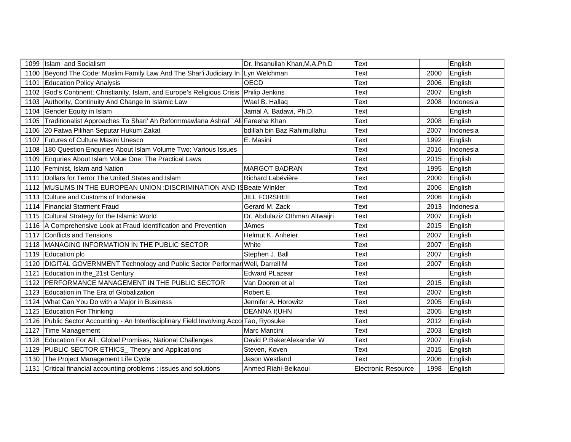| 1099 | Islam and Socialism                                                               | Dr. Ihsanullah Khan, M.A.Ph.D  | Text                       |      | English   |
|------|-----------------------------------------------------------------------------------|--------------------------------|----------------------------|------|-----------|
|      | 1100 Beyond The Code: Muslim Family Law And The Shar'i Judiciary In Lyn Welchman  |                                | Text                       | 2000 | English   |
| 1101 | <b>Education Policy Analysis</b>                                                  | <b>OECD</b>                    | Text                       | 2006 | English   |
| 1102 | God's Continent; Christianity, Islam, and Europe's Religious Crisis               | <b>Philip Jenkins</b>          | Text                       | 2007 | English   |
| 1103 | Authority, Continuity And Change In Islamic Law                                   | Wael B. Hallaq                 | Text                       | 2008 | Indonesia |
| 1104 | Gender Equity in Islam                                                            | Jamal A. Badawi, Ph.D.         | Text                       |      | English   |
| 1105 | Traditionalist Approaches To Shari' Ah Reformmawlana Ashraf ' Ali Fareeha Khan    |                                | Text                       | 2008 | English   |
| 1106 | 20 Fatwa Pilihan Seputar Hukum Zakat                                              | bdillah bin Baz Rahimullahu    | Text                       | 2007 | Indonesia |
| 1107 | Futures of Culture Masini Unesco                                                  | E. Masini                      | Text                       | 1992 | English   |
| 1108 | 180 Question Enquiries About Islam Volume Two: Various Issues                     |                                | Text                       | 2016 | Indonesia |
| 1109 | Enquries About Islam Volue One: The Practical Laws                                |                                | Text                       | 2015 | English   |
| 1110 | Feminist, Islam and Nation                                                        | <b>MARGOT BADRAN</b>           | <b>Text</b>                | 1995 | English   |
| 1111 | Dollars for Terror The United States and Islam                                    | Richard Labévière              | Text                       | 2000 | English   |
|      | 1112 MUSLIMS IN THE EUROPEAN UNION : DISCRIMINATION AND IS Beate Winkler          |                                | Text                       | 2006 | English   |
| 1113 | Culture and Customs of Indonesia                                                  | <b>JILL FORSHEE</b>            | Text                       | 2006 | English   |
| 1114 | <b>Financial Statment Fraud</b>                                                   | Gerard M. Zack                 | Text                       | 2013 | Indonesia |
| 1115 | Cultural Strategy for the Islamic World                                           | Dr. Abdulaziz Othman Altwaijri | Text                       | 2007 | English   |
|      | 1116 A Comprehensive Look at Fraud Identification and Prevention                  | <b>JAmes</b>                   | Text                       | 2015 | English   |
| 1117 | Conflicts and Tensions                                                            | Helmut K. Anheier              | Text                       | 2007 | English   |
| 1118 | MANAGING INFORMATION IN THE PUBLIC SECTOR                                         | White                          | Text                       | 2007 | English   |
|      | 1119 Education plc                                                                | Stephen J. Ball                | Text                       | 2007 | English   |
| 1120 | DIGITAL GOVERNMENT Technology and Public Sector Performar Well, Darrell M         |                                | Text                       | 2007 | English   |
| 1121 | Education in the 21st Century                                                     | <b>Edward PLazear</b>          | Text                       |      | English   |
| 1122 | PERFORMANCE MANAGEMENT IN THE PUBLIC SECTOR                                       | Van Dooren et al               | <b>Text</b>                | 2015 | English   |
| 1123 | Education in The Era of Globalization                                             | Robert E.                      | Text                       | 2007 | English   |
| 1124 | What Can You Do with a Major in Business                                          | Jennifer A. Horowitz           | Text                       | 2005 | English   |
| 1125 | <b>Education For Thinking</b>                                                     | <b>DEANNA I(UHN</b>            | Text                       | 2005 | English   |
| 1126 | Public Sector Accounting - An Interdisciplinary Field Involving Acco Tao, Ryosuke |                                | Text                       | 2012 | English   |
| 1127 | Time Management                                                                   | Marc Mancini                   | <b>Text</b>                | 2003 | English   |
| 1128 | Education For All; Global Promises, National Challenges                           | David P.BakerAlexander W       | Text                       | 2007 | English   |
| 1129 | PUBLIC SECTOR ETHICS_ Theory and Applications                                     | Steven, Koven                  | Text                       | 2015 | English   |
|      | 1130 The Project Management Life Cycle                                            | Jason Westland                 | Text                       | 2006 | English   |
| 1131 | Critical financial accounting problems : issues and solutions                     | Ahmed Riahi-Belkaoui           | <b>Electronic Resource</b> | 1998 | English   |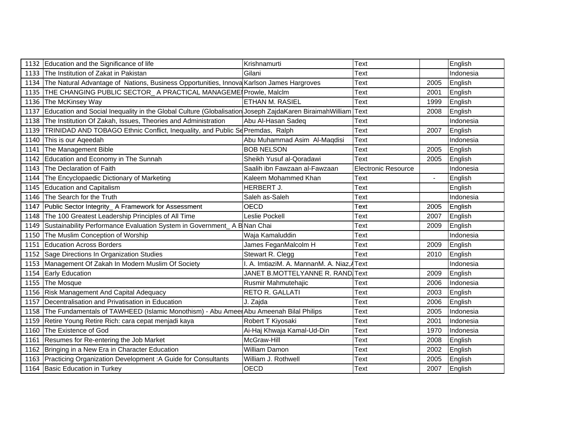|      | 1132 Education and the Significance of life                                                            | Krishnamurti                              | Text                       |                | English   |
|------|--------------------------------------------------------------------------------------------------------|-------------------------------------------|----------------------------|----------------|-----------|
|      | 1133 The Institution of Zakat in Pakistan                                                              | Gilani                                    | Text                       |                | Indonesia |
| 1134 | The Natural Advantage of Nations, Business Opportunities, Innova Karlson James Hargroves               |                                           | Text                       | 2005           | English   |
| 1135 | THE CHANGING PUBLIC SECTOR_ A PRACTICAL MANAGEME   Prowle, MalcIm                                      |                                           | Text                       | 2001           | English   |
| 1136 | The McKinsey Way                                                                                       | <b>ETHAN M. RASIEL</b>                    | Text                       | 1999           | English   |
| 1137 | Education and Social Inequality in the Global Culture (Globalisation Joseph ZajdaKaren BiraimahWilliam |                                           | Text                       | 2008           | English   |
| 1138 | The Institution Of Zakah, Issues, Theories and Administration                                          | Abu Al-Hasan Sadeg                        | Text                       |                | Indonesia |
| 1139 | TRINIDAD AND TOBAGO Ethnic Conflict, Inequality, and Public SePremdas, Ralph                           |                                           | Text                       | 2007           | English   |
| 1140 | This is our Ageedah                                                                                    | Abu Muhammad Asim Al-Maqdisi              | Text                       |                | Indonesia |
| 1141 | The Management Bible                                                                                   | <b>BOB NELSON</b>                         | Text                       | 2005           | English   |
| 1142 | Education and Economy in The Sunnah                                                                    | Sheikh Yusuf al-Qoradawi                  | Text                       | 2005           | English   |
|      | 1143 The Declaration of Faith                                                                          | Saalih ibn Fawzaan al-Fawzaan             | <b>Electronic Resource</b> |                | Indonesia |
| 1144 | The Encyclopaedic Dictionary of Marketing                                                              | Kaleem Mohammed Khan                      | Text                       | $\blacksquare$ | English   |
| 1145 | <b>Education and Capitalism</b>                                                                        | HERBERT J.                                | Text                       |                | English   |
|      | 1146 The Search for the Truth                                                                          | Saleh as-Saleh                            | Text                       |                | Indonesia |
|      | 1147 Public Sector Integrity_ A Framework for Assessment                                               | OECD                                      | Text                       | 2005           | English   |
| 1148 | The 100 Greatest Leadership Principles of All Time                                                     | Leslie Pockell                            | Text                       | 2007           | English   |
| 1149 | Sustainability Performance Evaluation System in Government_A B Nan Chai                                |                                           | Text                       | 2009           | English   |
| 1150 | The Muslim Conception of Worship                                                                       | Waja Kamaluddin                           | Text                       |                | Indonesia |
| 1151 | <b>Education Across Borders</b>                                                                        | James FeganMalcolm H                      | Text                       | 2009           | English   |
|      | 1152 Sage Directions In Organization Studies                                                           | Stewart R. Clegg                          | Text                       | 2010           | English   |
|      | 1153 Management Of Zakah In Modern Muslim Of Society                                                   | . A. ImtiaziM. A. MannanM. A. Niaz, AText |                            |                | Indonesia |
| 1154 | <b>Early Education</b>                                                                                 | JANET B.MOTTELYANNE R. RAND.Text          |                            | 2009           | English   |
| 1155 | The Mosque                                                                                             | Rusmir Mahmutehajic                       | Text                       | 2006           | Indonesia |
| 1156 | <b>Risk Management And Capital Adequacy</b>                                                            | RETO R. GALLATI                           | Text                       | 2003           | English   |
| 1157 | Decentralisation and Privatisation in Education                                                        | J. Zajda                                  | Text                       | 2006           | English   |
| 1158 | The Fundamentals of TAWHEED (Islamic Monothism) - Abu Ameer Abu Ameenah Bilal Philips                  |                                           | Text                       | 2005           | Indonesia |
| 1159 | Retire Young Retire Rich: cara cepat menjadi kaya                                                      | Robert T Kiyosaki                         | Text                       | 2001           | Indonesia |
| 1160 | The Existence of God                                                                                   | Ai-Haj Khwaja Kamal-Ud-Din                | Text                       | 1970           | Indonesia |
|      | 1161 Resumes for Re-entering the Job Market                                                            | McGraw-Hill                               | Text                       | 2008           | English   |
|      | 1162 Bringing in a New Era in Character Education                                                      | William Damon                             | Text                       | 2002           | English   |
|      | 1163 Practicing Organization Development: A Guide for Consultants                                      | William J. Rothwell                       | Text                       | 2005           | English   |
|      | 1164 Basic Education in Turkey                                                                         | <b>OECD</b>                               | Text                       | 2007           | English   |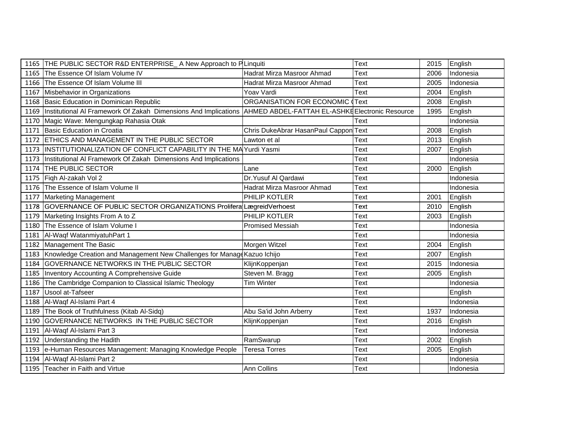|      | 1165 THE PUBLIC SECTOR R&D ENTERPRISE_A New Approach to PLinquiti                                               |                                       | Text        | 2015 | English   |
|------|-----------------------------------------------------------------------------------------------------------------|---------------------------------------|-------------|------|-----------|
| 1165 | The Essence Of Islam Volume IV                                                                                  | Hadrat Mirza Masroor Ahmad            | Text        | 2006 | Indonesia |
|      | 1166 The Essence Of Islam Volume III                                                                            | Hadrat Mirza Masroor Ahmad            | Text        | 2005 | Indonesia |
|      | 1167 Misbehavior in Organizations                                                                               | Yoav Vardi                            | <b>Text</b> | 2004 | English   |
| 1168 | Basic Education in Dominican Republic                                                                           | ORGANISATION FOR ECONOMIC (           | Text        | 2008 | English   |
| 1169 | Institutional AI Framework Of Zakah Dimensions And Implications AHMED ABDEL-FATTAH EL-ASHKE Electronic Resource |                                       |             | 1995 | English   |
|      | 1170 Magic Wave: Mengungkap Rahasia Otak                                                                        |                                       | Text        |      | Indonesia |
|      | 1171 Basic Education in Croatia                                                                                 | Chris DukeAbrar HasanPaul Cappon Text |             | 2008 | English   |
|      | 1172 ETHICS AND MANAGEMENT IN THE PUBLIC SECTOR                                                                 | Lawton et al                          | Text        | 2013 | English   |
|      | 1173   INSTITUTIONALIZATION OF CONFLICT CAPABILITY IN THE MA Yurdi Yasmi                                        |                                       | Text        | 2007 | English   |
| 1173 | Institutional AI Framework Of Zakah Dimensions And Implications                                                 |                                       | Text        |      | Indonesia |
| 1174 | <b>THE PUBLIC SECTOR</b>                                                                                        | Lane                                  | Text        | 2000 | English   |
| 1175 | Figh Al-zakah Vol 2                                                                                             | Dr. Yusuf Al Qardawi                  | Text        |      | Indonesia |
|      | 1176 The Essence of Islam Volume II                                                                             | Hadrat Mirza Masroor Ahmad            | Text        |      | Indonesia |
|      | 1177 Marketing Management                                                                                       | PHILIP KOTLER                         | Text        | 2001 | English   |
|      | 1178 GOVERNANCE OF PUBLIC SECTOR ORGANIZATIONS Prolifera LægreidVerhoest                                        |                                       | Text        | 2010 | English   |
| 1179 | Marketing Insights From A to Z                                                                                  | PHILIP KOTLER                         | Text        | 2003 | English   |
|      | 1180 The Essence of Islam Volume I                                                                              | <b>Promised Messiah</b>               | Text        |      | Indonesia |
|      | 1181 Al-Waqf WatanmiyatuhPart 1                                                                                 |                                       | Text        |      | Indonesia |
|      | 1182 Management The Basic                                                                                       | Morgen Witzel                         | Text        | 2004 | English   |
|      | 1183 Knowledge Creation and Management New Challenges for Manage Kazuo Ichijo                                   |                                       | Text        | 2007 | English   |
| 1184 | GOVERNANCE NETWORKS IN THE PUBLIC SECTOR                                                                        | KlijnKoppenjan                        | Text        | 2015 | Indonesia |
|      | 1185   Inventory Accounting A Comprehensive Guide                                                               | Steven M. Bragg                       | <b>Text</b> | 2005 | English   |
| 1186 | The Cambridge Companion to Classical Islamic Theology                                                           | <b>Tim Winter</b>                     | Text        |      | Indonesia |
| 1187 | Usool at-Tafseer                                                                                                |                                       | Text        |      | English   |
|      | 1188 Al-Waqf Al-Islami Part 4                                                                                   |                                       | Text        |      | Indonesia |
| 1189 | The Book of Truthfulness (Kitab Al-Sidq)                                                                        | Abu Sa'id John Arberry                | Text        | 1937 | Indonesia |
| 1190 | GOVERNANCE NETWORKS IN THE PUBLIC SECTOR                                                                        | KlijnKoppenjan                        | Text        | 2016 | English   |
|      | 1191 Al-Waqf Al-Islami Part 3                                                                                   |                                       | Text        |      | Indonesia |
| 1192 | Understanding the Hadith                                                                                        | RamSwarup                             | Text        | 2002 | English   |
|      | 1193 e-Human Resources Management: Managing Knowledge People                                                    | <b>Teresa Torres</b>                  | Text        | 2005 | English   |
|      | 1194 Al-Waqf Al-Islami Part 2                                                                                   |                                       | Text        |      | Indonesia |
|      | 1195 Teacher in Faith and Virtue                                                                                | Ann Collins                           | Text        |      | Indonesia |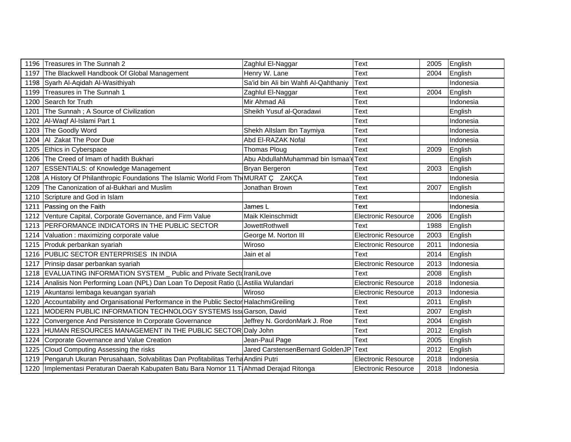|      | 1196 Treasures in The Sunnah 2                                                         | Zaghlul El-Naggar                     | Text                       | 2005 | English   |
|------|----------------------------------------------------------------------------------------|---------------------------------------|----------------------------|------|-----------|
| 1197 | The Blackwell Handbook Of Global Management                                            | Henry W. Lane                         | Text                       | 2004 | English   |
|      | 1198 Syarh Al-Aqidah Al-Wasithiyah                                                     | Sa'id bin Ali bin Wahfi Al-Qahthaniy  | <b>Text</b>                |      | Indonesia |
|      | 1199 Treasures in The Sunnah 1                                                         | Zaghlul El-Naggar                     | Text                       | 2004 | English   |
|      | 1200 Search for Truth                                                                  | Mir Ahmad Ali                         | Text                       |      | Indonesia |
| 1201 | The Sunnah ; A Source of Civilization                                                  | Sheikh Yusuf al-Qoradawi              | Text                       |      | English   |
|      | 1202   Al-Waqf Al-Islami Part 1                                                        |                                       | Text                       |      | Indonesia |
|      | 1203 The Goodly Word                                                                   | Shekh Allslam Ibn Taymiya             | Text                       |      | Indonesia |
|      | 1204   Al Zakat The Poor Due                                                           | Abd El-RAZAK Nofal                    | Text                       |      | Indonesia |
|      | 1205 Ethics in Cyberspace                                                              | Thomas Ploug                          | Text                       | 2009 | English   |
| 1206 | The Creed of Imam of hadith Bukhari                                                    | Abu AbdullahMuhammad bin Ismaa'd Text |                            |      | English   |
|      | 1207 ESSENTIALS: of Knowledge Management                                               | Bryan Bergeron                        | Text                       | 2003 | English   |
|      | 1208   A History Of Philanthropic Foundations The Islamic World From Th MURAT C ZAKCA  |                                       | Text                       |      | Indonesia |
|      | 1209 The Canonization of al-Bukhari and Muslim                                         | Jonathan Brown                        | Text                       | 2007 | English   |
|      | 1210 Scripture and God in Islam                                                        |                                       | Text                       |      | Indonesia |
|      | 1211 Passing on the Faith                                                              | James L                               | Text                       |      | Indonesia |
|      | 1212 Venture Capital, Corporate Governance, and Firm Value                             | Maik Kleinschmidt                     | <b>Electronic Resource</b> | 2006 | English   |
|      | 1213 PERFORMANCE INDICATORS IN THE PUBLIC SECTOR                                       | JowettRothwell                        | Text                       | 1988 | English   |
|      | 1214 Valuation : maximizing corporate value                                            | George M. Norton III                  | <b>Electronic Resource</b> | 2003 | English   |
|      | 1215 Produk perbankan syariah                                                          | Wiroso                                | <b>Electronic Resource</b> | 2011 | Indonesia |
|      | 1216 PUBLIC SECTOR ENTERPRISES IN INDIA                                                | Jain et al                            | Text                       | 2014 | English   |
|      | 1217 Prinsip dasar perbankan syariah                                                   |                                       | <b>Electronic Resource</b> | 2013 | Indonesia |
|      | 1218 EVALUATING INFORMATION SYSTEM _ Public and Private Sectol IraniLove               |                                       | Text                       | 2008 | English   |
|      | 1214 Analisis Non Performing Loan (NPL) Dan Loan To Deposit Ratio (L Astilia Wulandari |                                       | Electronic Resource        | 2018 | Indonesia |
|      | 1219 Akuntansi lembaga keuangan syariah                                                | Wiroso                                | <b>Electronic Resource</b> | 2013 | Indonesia |
| 1220 | Accountability and Organisational Performance in the Public Sector HalachmiGreiling    |                                       | Text                       | 2011 | English   |
| 1221 | MODERN PUBLIC INFORMATION TECHNOLOGY SYSTEMS IssuGarson, David                         |                                       | Text                       | 2007 | English   |
|      | 1222 Convergence And Persistence In Corporate Governance                               | Jeffrey N. GordonMark J. Roe          | Text                       | 2004 | English   |
|      | 1223 HUMAN RESOURCES MANAGEMENT IN THE PUBLIC SECTOR Daly John                         |                                       | Text                       | 2012 | English   |
|      | 1224 Corporate Governance and Value Creation                                           | Jean-Paul Page                        | Text                       | 2005 | English   |
|      | 1225 Cloud Computing Assessing the risks                                               | Jared CarstensenBernard GoldenJP      | Text                       | 2012 | English   |
|      | 1219 Pengaruh Ukuran Perusahaan, Solvabilitas Dan Profitabilitas Terha Andini Putri    |                                       | <b>Electronic Resource</b> | 2018 | Indonesia |
| 1220 | Implementasi Peraturan Daerah Kabupaten Batu Bara Nomor 11 TAhmad Derajad Ritonga      |                                       | <b>Electronic Resource</b> | 2018 | Indonesia |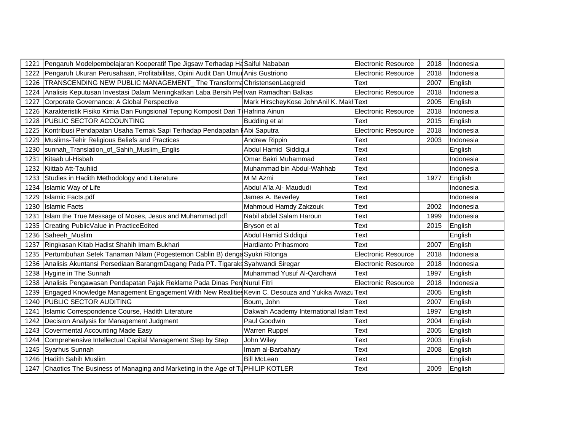|      | 1221 Pengaruh Modelpembelajaran Kooperatif Tipe Jigsaw Terhadap Ha Saiful Nababan                 |                                         | <b>Electronic Resource</b> | 2018 | Indonesia |
|------|---------------------------------------------------------------------------------------------------|-----------------------------------------|----------------------------|------|-----------|
|      | 1222   Pengaruh Ukuran Perusahaan, Profitabilitas, Opini Audit Dan Umur Anis Gustriono            |                                         | <b>Electronic Resource</b> | 2018 | Indonesia |
|      | 1226 TRANSCENDING NEW PUBLIC MANAGEMENT The Transforme Christensen Laegreid                       |                                         | Text                       | 2007 | English   |
|      | 1224 Analisis Keputusan Investasi Dalam Meningkatkan Laba Bersih Perlvan Ramadhan Balkas          |                                         | Electronic Resource        | 2018 | Indonesia |
|      | 1227 Corporate Governance: A Global Perspective                                                   | Mark HirscheyKose JohnAnil K. Maki Text |                            | 2005 | English   |
|      | 1226 Karakteristik Fisiko Kimia Dan Fungsional Tepung Komposit Dari T Hafrina Ainun               |                                         | <b>Electronic Resource</b> | 2018 | Indonesia |
|      | 1228 PUBLIC SECTOR ACCOUNTING                                                                     | Budding et al                           | Text                       | 2015 | English   |
|      | 1225 Kontribusi Pendapatan Usaha Ternak Sapi Terhadap Pendapatan   Abi Saputra                    |                                         | <b>Electronic Resource</b> | 2018 | Indonesia |
|      | 1229 Muslims-Tehir Religious Beliefs and Practices                                                | Andrew Rippin                           | Text                       | 2003 | Indonesia |
| 1230 | sunnah_Translation_of_Sahih_Muslim_Englis                                                         | Abdul Hamid Siddiqui                    | Text                       |      | English   |
| 1231 | Kitaab ul-Hisbah                                                                                  | Omar Bakri Muhammad                     | Text                       |      | Indonesia |
|      | 1232 Kiittab Att-Tauhiid                                                                          | Muhammad bin Abdul-Wahhab               | Text                       |      | Indonesia |
|      | 1233 Studies in Hadith Methodology and Literature                                                 | M M Azmi                                | Text                       | 1977 | English   |
|      | 1234 Islamic Way of Life                                                                          | Abdul A'la Al- Maududi                  | Text                       |      | Indonesia |
| 1229 | Islamic Facts.pdf                                                                                 | James A. Beverley                       | Text                       |      | Indonesia |
| 1230 | <b>Islamic Facts</b>                                                                              | Mahmoud Hamdy Zakzouk                   | Text                       | 2002 | Indonesia |
|      | 1231 Islam the True Message of Moses, Jesus and Muhammad.pdf                                      | Nabil abdel Salam Haroun                | Text                       | 1999 | Indonesia |
|      | 1235 Creating PublicValue in PracticeEdited                                                       | Bryson et al                            | Text                       | 2015 | English   |
|      | 1236 Saheeh_Muslim                                                                                | Abdul Hamid Siddiqui                    | Text                       |      | English   |
| 1237 | Ringkasan Kitab Hadist Shahih Imam Bukhari                                                        | Hardianto Prihasmoro                    | Text                       | 2007 | English   |
|      | 1235 Pertumbuhan Setek Tanaman Nilam (Pogestemon Cablin B) denga Syukri Ritonga                   |                                         | <b>Electronic Resource</b> | 2018 | Indonesia |
|      | 1236 Analisis Akuntansi Persediaan BarangrnDagang Pada PT. Tigaraks Syahwandi Siregar             |                                         | <b>Electronic Resource</b> | 2018 | Indonesia |
|      | 1238 Hygine in The Sunnah                                                                         | Muhammad Yusuf Al-Qardhawi              | Text                       | 1997 | English   |
|      | 1238 Analisis Pengawasan Pendapatan Pajak Reklame Pada Dinas Pen Nurul Fitri                      |                                         | <b>Electronic Resource</b> | 2018 | Indonesia |
| 1239 | Engaged Knowledge Management Engagement With New Realities Kevin C. Desouza and Yukika Awazu Text |                                         |                            | 2005 | English   |
| 1240 | <b>PUBLIC SECTOR AUDITING</b>                                                                     | Bourn, John                             | Text                       | 2007 | English   |
| 1241 | Islamic Correspondence Course, Hadith Literature                                                  | Dakwah Academy International Islam Text |                            | 1997 | English   |
|      | 1242   Decision Analysis for Management Judgment                                                  | Paul Goodwin                            | Text                       | 2004 | English   |
| 1243 | Covermental Accounting Made Easy                                                                  | Warren Ruppel                           | Text                       | 2005 | English   |
| 1244 | Comprehensive Intellectual Capital Management Step by Step                                        | John Wiley                              | Text                       | 2003 | English   |
|      | 1245 Syarhus Sunnah                                                                               | Imam al-Barbahary                       | Text                       | 2008 | English   |
|      | 1246 Hadith Sahih Muslim                                                                          | <b>Bill McLean</b>                      | Text                       |      | English   |
| 1247 | Chaotics The Business of Managing and Marketing in the Age of TUPHILIP KOTLER                     |                                         | Text                       | 2009 | English   |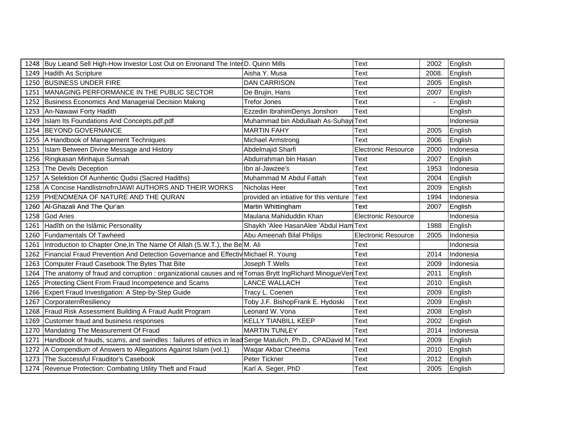|      | 1248 Buy Lieand Sell High-How Investor Lost Out on Enronand The Inter D. Quinn Mills                         |                                        | Text                       | 2002  | English   |
|------|--------------------------------------------------------------------------------------------------------------|----------------------------------------|----------------------------|-------|-----------|
|      | 1249 Hadith As Scripture                                                                                     | Aisha Y. Musa                          | Text                       | 2008. | English   |
|      | 1250 BUSINESS UNDER FIRE                                                                                     | <b>DAN CARRISON</b>                    | Text                       | 2005  | English   |
|      | 1251   MANAGING PERFORMANCE IN THE PUBLIC SECTOR                                                             | De Brujin, Hans                        | Text                       | 2007  | English   |
|      | 1252 Business Economics And Managerial Decision Making                                                       | <b>Trefor Jones</b>                    | Text                       |       | English   |
|      | 1253 An-Nawawi Forty Hadith                                                                                  | Ezzedin IbrahimDenys Jonshon           | Text                       |       | English   |
|      | 1249 Islam Its Foundations And Concepts.pdf.pdf                                                              | Muhammad bin Abdullaah As-Suhay Text   |                            |       | Indonesia |
|      | 1254 BEYOND GOVERNANCE                                                                                       | <b>MARTIN FAHY</b>                     | Text                       | 2005  | English   |
|      | 1255   A Handbook of Management Techniques                                                                   | Michael Armstrong                      | Text                       | 2006  | English   |
|      | 1251 Islam Between Divine Message and History                                                                | Abdelmajid Sharfi                      | <b>Electronic Resource</b> | 2000  | Indonesia |
|      | 1256 Ringkasan Minhajus Sunnah                                                                               | Abdurrahman bin Hasan                  | Text                       | 2007  | English   |
|      | 1253 The Devils Deception                                                                                    | Ibn al-Jawzee's                        | Text                       | 1953  | Indonesia |
| 1257 | A Selektion Of Aunhentic Qudsi (Sacred Hadiths)                                                              | Muhammad M Abdul Fattah                | Text                       | 2004  | English   |
|      | 1258 A Concise HandlistrnofrnJAWI AUTHORS AND THEIR WORKS                                                    | Nicholas Heer                          | Text                       | 2009  | English   |
|      | 1259 PHENOMENA OF NATURE AND THE QURAN                                                                       | provided an intiative for this venture | Text                       | 1994  | Indonesia |
|      | 1260 Al-Ghazali And The Qur'an                                                                               | Martin Whittingham                     | Text                       | 2007  | English   |
|      | 1258 God Aries                                                                                               | Maulana Mahiduddin Khan                | <b>Electronic Resource</b> |       | Indonesia |
|      | 1261 Hadîth on the Islâmic Personality                                                                       | Shaykh 'Alee HasanAlee 'Abdul Ham Text |                            | 1988  | English   |
|      | 1260 Fundamentals Of Tawheed                                                                                 | Abu Ameenah Bilal Philips              | <b>Electronic Resource</b> | 2005  | Indonesia |
|      | 1261 Introduction to Chapter One, In The Name Of Allah (S.W.T.), the Be M. Ali                               |                                        | Text                       |       | Indonesia |
|      | 1262 Financial Fraud Prevention And Detection Governance and Effectiv Michael R. Young                       |                                        | Text                       | 2014  | Indonesia |
| 1263 | Computer Fraud Casebook The Bytes That Bite                                                                  | Joseph T.Wells                         | Text                       | 2009  | Indonesia |
| 1264 | The anatomy of fraud and corruption : organizational causes and re Tomas Brytt IngRichard MinogueVer(Text    |                                        |                            | 2011  | English   |
| 1265 | Protecting Client From Fraud Incompetence and Scams                                                          | LANCE WALLACH                          | Text                       | 2010  | English   |
|      | 1266 Expert Fraud Investigation: A Step-by-Step Guide                                                        | Tracy L. Coenen                        | Text                       | 2009  | English   |
|      | 1267 CorporaternResiliency                                                                                   | Toby J.F. BishopFrank E. Hydoski       | Text                       | 2009  | English   |
| 1268 | Fraud Risk Assessment Building A Fraud Audit Program                                                         | Leonard W. Vona                        | Text                       | 2008  | English   |
| 1269 | Customer fraud and business responses                                                                        | <b>KELLY TIANBILL KEEP</b>             | Text                       | 2002  | English   |
| 1270 | Mandating The Measurement Of Fraud                                                                           | <b>MARTIN TUNLEY</b>                   | Text                       | 2014  | Indonesia |
|      | 1271 Handbook of frauds, scams, and swindles : failures of ethics in lead Serge Matulich, Ph.D., CPADavid M. |                                        | <b>Text</b>                | 2009  | English   |
|      | 1272   A Compendium of Answers to Allegations Against Islam (vol.1)                                          | Waqar Akbar Cheema                     | Text                       | 2010  | English   |
|      | 1273 The Successful Frauditor's Casebook                                                                     | Peter Tickner                          | Text                       | 2012  | English   |
|      | 1274 Revenue Protection: Combating Utility Theft and Fraud                                                   | Karl A. Seger, PhD                     | Text                       | 2005  | English   |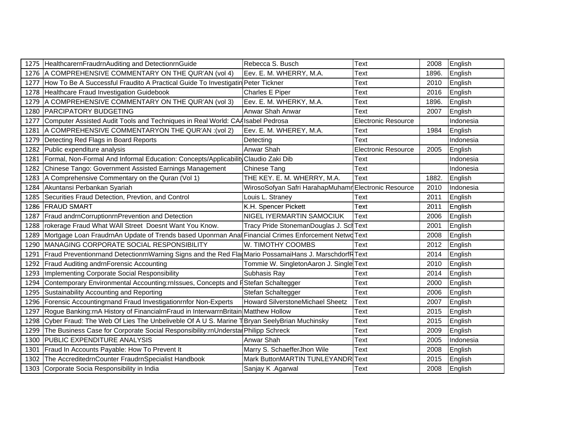|      | 1275 HealthcarernFraudrnAuditing and DetectionrnGuide                                                | Rebecca S. Busch                                     | <b>Text</b>                | 2008  | English   |
|------|------------------------------------------------------------------------------------------------------|------------------------------------------------------|----------------------------|-------|-----------|
|      | 1276 A COMPREHENSIVE COMMENTARY ON THE QUR'AN (vol 4)                                                | Eev. E. M. WHERRY, M.A.                              | Text                       | 1896. | English   |
| 1277 | How To Be A Successful Fraudito A Practical Guide To Investigatin Peter Tickner                      |                                                      | Text                       | 2010  | English   |
| 1278 | Healthcare Fraud Investigation Guidebook                                                             | <b>Charles E Piper</b>                               | Text                       | 2016  | English   |
| 1279 | A COMPREHENSIVE COMMENTARY ON THE QUR'AN (vol 3)                                                     | Eev. E. M. WHERKY, M.A.                              | Text                       | 1896. | English   |
| 1280 | <b>PARCIPATORY BUDGETING</b>                                                                         | Anwar Shah Anwar                                     | Text                       | 2007  | English   |
| 1277 | Computer Assisted Audit Tools and Techniques in Real World: CAA Isabel Pedrosa                       |                                                      | <b>Electronic Resource</b> |       | Indonesia |
| 1281 | A COMPREHENSIVE COMMENTARYON THE QUR'AN : (vol 2)                                                    | Eev. E. M. WHEREY, M.A.                              | Text                       | 1984  | English   |
| 1279 | Detecting Red Flags in Board Reports                                                                 | Detecting                                            | Text                       |       | Indonesia |
| 1282 | Public expenditure analysis                                                                          | Anwar Shah                                           | <b>Electronic Resource</b> | 2005  | English   |
| 1281 | Formal, Non-Formal And Informal Education: Concepts/Applicability Claudio Zaki Dib                   |                                                      | Text                       |       | Indonesia |
| 1282 | Chinese Tango: Government Assisted Earnings Management                                               | <b>Chinese Tang</b>                                  | Text                       |       | Indonesia |
| 1283 | A Comprehensive Commentary on the Quran (Vol 1)                                                      | THE KEY. E. M. WHERRY, M.A.                          | Text                       | 1882. | English   |
|      | 1284 Akuntansi Perbankan Syariah                                                                     | WirosoSofyan Safri HarahapMuhamr Electronic Resource |                            | 2010  | Indonesia |
|      | 1285   Securities Fraud Detection, Prevtion, and Control                                             | Louis L. Straney                                     | Text                       | 2011  | English   |
|      | 1286 FRAUD SMART                                                                                     | K.H. Spencer Pickett                                 | Text                       | 2011  | English   |
| 1287 | Fraud andrnCorruptionrnPrevention and Detection                                                      | NIGEL IYERMARTIN SAMOCIUK                            | Text                       | 2006  | English   |
|      | 1288   rokerage Fraud What WAII Street Doesnt Want You Know.                                         | Tracy Pride StonemanDouglas J. Scl Text              |                            | 2001  | English   |
| 1289 | Mortgage Loan FraudrnAn Update of Trends based Uponrnan Anal Financial Crimes Enforcement Netwo Text |                                                      |                            | 2008  | English   |
| 1290 | MANAGING CORPORATE SOCIAL RESPONSIBILITY                                                             | W. TIMOTHY COOMBS                                    | Text                       | 2012  | English   |
| 1291 | Fraud Preventionrnand DetectionrnWarning Signs and the Red Fla Mario PossamaiHans J. MarschdorfRText |                                                      |                            | 2014  | English   |
| 1292 | Fraud Auditing andrnForensic Accounting                                                              | Tommie W. SingletonAaron J. Single Text              |                            | 2010  | English   |
| 1293 | Implementing Corporate Social Responsibility                                                         | Subhasis Ray                                         | Text                       | 2014  | English   |
| 1294 | Contemporary Environmental Accounting:rnlssues, Concepts and FStefan Schaltegger                     |                                                      | Text                       | 2000  | English   |
| 1295 | Sustainability Accounting and Reporting                                                              | Stefan Schaltegger                                   | Text                       | 2006  | English   |
| 1296 | Forensic Accountingrnand Fraud Investigationrnfor Non-Experts                                        | Howard SilverstoneMichael Sheetz                     | Text                       | 2007  | English   |
| 1297 | Rogue Banking:rnA History of FinancialrnFraud in InterwarrnBritain Matthew Hollow                    |                                                      | Text                       | 2015  | English   |
| 1298 | Cyber Fraud: The Web Of Lies The Unbeliveble Of A U S. Marine TBryan SeelyBrian Muchinsky            |                                                      | Text                       | 2015  | English   |
|      | 1299 The Business Case for Corporate Social Responsibility:rnUnderstal Philipp Schreck               |                                                      | Text                       | 2009  | English   |
| 1300 | <b>PUBLIC EXPENDITURE ANALYSIS</b>                                                                   | Anwar Shah                                           | Text                       | 2005  | Indonesia |
| 1301 | Fraud In Accounts Payable: How To Prevent It                                                         | Marry S. SchaefferJhon Wile                          | Text                       | 2008  | English   |
|      | 1302 The AccreditedrnCounter FraudrnSpecialist Handbook                                              | Mark ButtonMARTIN TUNLEYANDR                         | Text                       | 2015  | English   |
|      | 1303 Corporate Socia Responsibility in India                                                         | Sanjay K .Agarwal                                    | Text                       | 2008  | English   |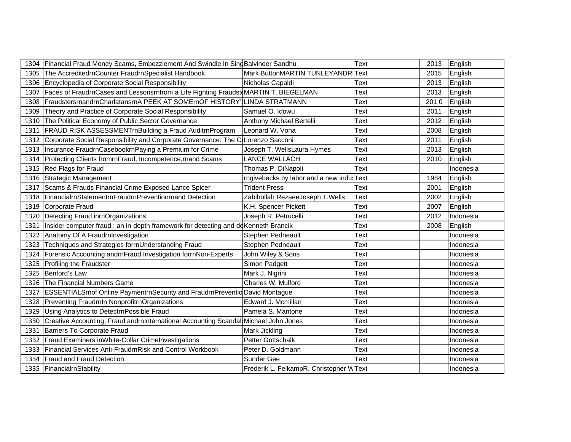|      | 1304 Financial Fraud Money Scams, Embezzlement And Swindle In Sing Balvinder Sandhu        |                                         | Text | 2013 | English   |
|------|--------------------------------------------------------------------------------------------|-----------------------------------------|------|------|-----------|
| 1305 | The AccreditedrnCounter FraudrnSpecialist Handbook                                         | Mark ButtonMARTIN TUNLEYANDR            | Text | 2015 | English   |
|      | 1306 Encyclopedia of Corporate Social Responsibility                                       | Nicholas Capaldi                        | Text | 2013 | English   |
| 1307 | Faces of FraudrnCases and Lessonsrnfrom a Life Fighting Fraudst MARTIN T. BIEGELMAN        |                                         | Text | 2013 | English   |
| 1308 | FraudstersrnandrnCharlatansrnA PEEK AT SOMErnOF HISTORY' LINDA STRATMANN                   |                                         | Text | 2010 | English   |
| 1309 | Theory and Practice of Corporate Social Responsibility                                     | Samuel O. Idowu                         | Text | 2011 | English   |
| 1310 | The Political Economy of Public Sector Governance                                          | Anthony Michael Bertelli                | Text | 2012 | English   |
| 1311 | FRAUD RISK ASSESSMENTrnBuilding a Fraud AuditrnProgram                                     | Leonard W. Vona                         | Text | 2008 | English   |
| 1312 | Corporate Social Responsibility and Corporate Governance: The C(Lorenzo Sacconi            |                                         | Text | 2011 | English   |
|      | 1313   Insurance FraudrnCasebookrnPaying a Premium for Crime                               | Joseph T. WellsLaura Hymes              | Text | 2013 | English   |
|      | 1314 Protecting Clients frommFraud, Incompetence, mand Scams                               | <b>LANCE WALLACH</b>                    | Text | 2010 | English   |
|      | 1315   Red Flags for Fraud                                                                 | Thomas P. DiNapoli                      | Text |      | Indonesia |
|      | 1316 Strategic Management                                                                  | rngivebacks by labor and a new indu-    | Text | 1984 | English   |
| 1317 | Scams & Frauds Financial Crime Exposed Lance Spicer                                        | <b>Trident Press</b>                    | Text | 2001 | English   |
|      | 1318   FinancialmStatementrnFraudrnPreventionrnand Detection                               | Zabihollah RezaeeJoseph T.Wells         | Text | 2002 | English   |
|      | 1319 Corporate Fraud                                                                       | K.H. Spencer Pickett                    | Text | 2007 | English   |
|      | 1320 Detecting Fraud inrnOrganizations                                                     | Joseph R. Petrucelli                    | Text | 2012 | Indonesia |
|      | 1321   Insider computer fraud : an in-depth framework for detecting and de Kenneth Brancik |                                         | Text | 2008 | English   |
|      | 1322 Anatomy Of A FraudrnInvestigation                                                     | Stephen Pedneault                       | Text |      | Indonesia |
| 1323 | Techniques and Strategies forrnUnderstanding Fraud                                         | Stephen Pedneault                       | Text |      | Indonesia |
|      | 1324 Forensic Accounting andrnFraud Investigation formNon-Experts                          | John Wiley & Sons                       | Text |      | Indonesia |
|      | 1325 Profiling the Fraudster                                                               | Simon Padgett                           | Text |      | Indonesia |
|      | 1325 Benford's Law                                                                         | Mark J. Nigrini                         | Text |      | Indonesia |
| 1326 | The Financial Numbers Game                                                                 | Charles W. Mulford                      | Text |      | Indonesia |
|      | 1327 ESSENTIALSrnof Online PaymentrnSecurity and FraudrnPreventio David Montague           |                                         | Text |      | Indonesia |
|      | 1328 Preventing FraudrnIn NonprofitrnOrganizations                                         | Edward J. Mcmillan                      | Text |      | Indonesia |
| 1329 | Using Analytics to DetectrnPossible Fraud                                                  | Pamela S. Mantone                       | Text |      | Indonesia |
| 1330 | Creative Accounting, Fraud andrnInternational Accounting Scandal Michael John Jones        |                                         | Text |      | Indonesia |
|      | 1331 Barriers To Corporate Fraud                                                           | <b>Mark Jickling</b>                    | Text |      | Indonesia |
|      | 1332 Fraud Examiners in White-Collar Crime Investigations                                  | Petter Gottschalk                       | Text |      | Indonesia |
|      | 1333 Financial Services Anti-FraudrnRisk and Control Workbook                              | Peter D. Goldmann                       | Text |      | Indonesia |
|      | 1334 Fraud and Fraud Detection                                                             | Sunder Gee                              | Text |      | Indonesia |
|      | 1335 FinancialmStability                                                                   | Frederik L. FelkampR. Christopher WText |      |      | Indonesia |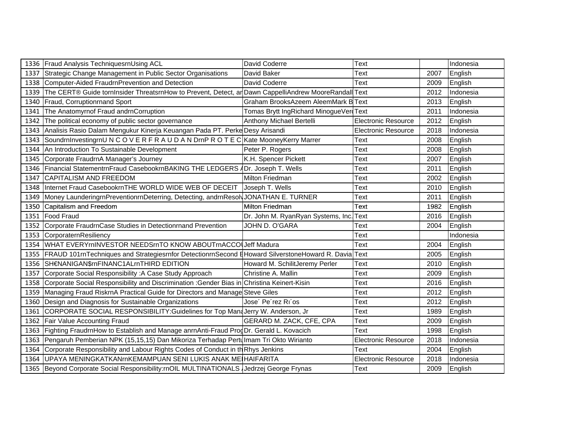|      | 1336 Fraud Analysis TechniquesrnUsing ACL                                                                    | David Coderre                           | Text                       |      | Indonesia |
|------|--------------------------------------------------------------------------------------------------------------|-----------------------------------------|----------------------------|------|-----------|
| 1337 | Strategic Change Management in Public Sector Organisations                                                   | David Baker                             | Text                       | 2007 | English   |
|      | 1338 Computer-Aided FraudrnPrevention and Detection                                                          | David Coderre                           | Text                       | 2009 | English   |
|      | 1339 The CERT® Guide tornInsider ThreatsrnHow to Prevent, Detect, anDawn CappelliAndrew MooreRandall Text    |                                         |                            | 2012 | Indonesia |
|      | 1340 Fraud, Corruptionrnand Sport                                                                            | Graham BrooksAzeem AleemMark B Text     |                            | 2013 | English   |
| 1341 | The Anatomyrnof Fraud andrnCorruption                                                                        | Tomas Brytt IngRichard MinogueVertText  |                            | 2011 | Indonesia |
|      | 1342 The political economy of public sector governance                                                       | Anthony Michael Bertelli                | <b>Electronic Resource</b> | 2012 | English   |
|      | 1343 Analisis Rasio Dalam Mengukur Kinerja Keuangan Pada PT. Perke Desy Arisandi                             |                                         | <b>Electronic Resource</b> | 2018 | Indonesia |
|      | 1343 SoundrninvestingrnU N C O V E R F R A U D A N DrnP R O T E C Kate MooneyKerry Marrer                    |                                         | Text                       | 2008 | English   |
|      | 1344 An Introduction To Sustainable Development                                                              | Peter P. Rogers                         | Text                       | 2008 | English   |
|      | 1345 Corporate FraudrnA Manager's Journey                                                                    | K.H. Spencer Pickett                    | Text                       | 2007 | English   |
|      | 1346 Financial StatementrnFraud CasebookrnBAKING THE LEDGERS ADr. Joseph T. Wells                            |                                         | Text                       | 2011 | English   |
| 1347 | <b>CAPITALISM AND FREEDOM</b>                                                                                | Milton Friedman                         | Text                       | 2002 | English   |
|      | 1348 Internet Fraud CasebookrnTHE WORLD WIDE WEB OF DECEIT                                                   | Joseph T. Wells                         | Text                       | 2010 | English   |
|      | 1349   Money LaunderingrnPreventionrnDeterring, Detecting, andrnResolyJONATHAN E. TURNER                     |                                         | Text                       | 2011 | English   |
|      | 1350 Capitalism and Freedom                                                                                  | Milton Friedman                         | Text                       | 1982 | English   |
|      | 1351 Food Fraud                                                                                              | Dr. John M. RyanRyan Systems, Inc. Text |                            | 2016 | English   |
|      | 1352 Corporate FraudrnCase Studies in Detectionrnand Prevention                                              | JOHN D. O'GARA                          | Text                       | 2004 | English   |
|      | 1353 CorporaternResiliency                                                                                   |                                         | Text                       |      | Indonesia |
|      | 1354   WHAT EVERYmINVESTOR NEEDSmTO KNOW ABOUTmACCOLJeff Madura                                              |                                         | Text                       | 2004 | English   |
|      | 1355   FRAUD 101m Techniques and Strategiesm for Detection m Second EHoward Silverstone Howard R. Davia Text |                                         |                            | 2005 | English   |
|      | 1356 SHENANIGAN\$rnFINANC1ALrnTHIRD EDITION                                                                  | Howard M. SchilitJeremy Perler          | Text                       | 2010 | English   |
|      | 1357 Corporate Social Responsibility: A Case Study Approach                                                  | Christine A. Mallin                     | Text                       | 2009 | English   |
|      | 1358 Corporate Social Responsibility and Discrimination : Gender Bias in Christina Keinert-Kisin             |                                         | Text                       | 2016 | English   |
|      | 1359 Managing Fraud RiskrnA Practical Guide for Directors and Manage Steve Giles                             |                                         | Text                       | 2012 | English   |
|      | 1360 Design and Diagnosis for Sustainable Organizations                                                      | Jose' Pe'rez Ri'os                      | Text                       | 2012 | English   |
|      | 1361 CORPORATE SOCIAL RESPONSIBILITY: Guidelines for Top Mana Jerry W. Anderson, Jr                          |                                         | Text                       | 1989 | English   |
| 1362 | <b>Fair Value Accounting Fraud</b>                                                                           | GERARD M. ZACK, CFE, CPA                | Text                       | 2009 | English   |
|      | 1363 Fighting FraudrnHow to Establish and Manage anrnAnti-Fraud ProgDr. Gerald L. Kovacich                   |                                         | Text                       | 1998 | English   |
|      | 1363 Pengaruh Pemberian NPK (15,15,15) Dan Mikoriza Terhadap Pertulmam Tri Okto Wirianto                     |                                         | <b>Electronic Resource</b> | 2018 | Indonesia |
|      | 1364 Corporate Responsibility and Labour Rights Codes of Conduct in the Rhys Jenkins                         |                                         | Text                       | 2004 | English   |
|      | 1364 UPAYA MENINGKATKANmKEMAMPUAN SENI LUKIS ANAK MEI HAIFARITA                                              |                                         | <b>Electronic Resource</b> | 2018 | Indonesia |
|      | 1365 Beyond Corporate Social Responsibility:rnOIL MULTINATIONALS Jedrzej George Frynas                       |                                         | Text                       | 2009 | English   |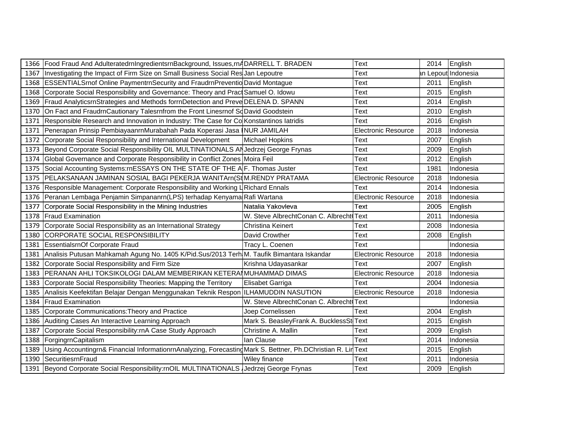| 1366 Food Fraud And AdulteratedrnIngredientsrnBackground, Issues,rnADARRELL T. BRADEN                             |                                         |                                        | 2014 English     |
|-------------------------------------------------------------------------------------------------------------------|-----------------------------------------|----------------------------------------|------------------|
| 1367  Investigating the Impact of Firm Size on Small Business Social Res Jan Lepoutre                             |                                         |                                        | Lepout Indonesia |
| 1368 ESSENTIALSrnof Online PaymentrnSecurity and FraudrnPreventio David Montague                                  |                                         |                                        | 2011 English     |
| 1368 Corporate Social Responsibility and Governance: Theory and Pract Samuel O. Idowu                             |                                         |                                        | 2015 English     |
| 1369   Fraud AnalyticsrnStrategies and Methods formDetection and Preve DELENA D. SPANN                            |                                         |                                        | 2014 English     |
| 1370 On Fact and FraudrnCautionary Talesrnfrom the Front Linesrnof SqDavid Goodstein                              |                                         |                                        | 2010 English     |
| 1371 Responsible Research and Innovation in Industry: The Case for Co Konstantinos latridis                       |                                         |                                        | 2016 English     |
| 1371 Penerapan Prinsip PembiayaanrnMurabahah Pada Koperasi Jasa NUR JAMILAH                                       |                                         | Electronic Resource                    | 2018 Indonesia   |
| 1372 Corporate Social Responsibility and International Development                                                | Michael Hopkins                         |                                        | 2007 English     |
| 1373 Beyond Corporate Social Responsibility OIL MULTINATIONALS AN Jedrzej George Frynas                           |                                         |                                        | 2009 English     |
| 1374 Global Governance and Corporate Responsibility in Conflict Zones Moira Feil                                  |                                         |                                        | 2012 English     |
| 1375 Social Accounting Systems:rnESSAYS ON THE STATE OF THE A F. Thomas Juster                                    |                                         |                                        | 1981 Indonesia   |
| !375 │PELAKSANAAN JAMINAN SOSIAL BAGI PEKERJA WANITArn(StM.RENDY PRATAMA                                          |                                         | Electronic Resource                    | 2018 Indonesia   |
| 1376 Responsible Management: Corporate Responsibility and Working L Richard Ennals                                |                                         |                                        | 2014 Indonesia   |
| 1376 Peranan Lembaga Penjamin Simpananrn(LPS) terhadap KenyamaRafi Wartana                                        |                                         | Electronic Resource                    | 2018 Indonesia   |
| 1377 Corporate Social Responsibility in the Mining Industries                                                     | Natalia Yakovleva                       |                                        | 2005 English     |
| 1378 Fraud Examination                                                                                            | W. Steve AlbrechtConan C. Albrecht Text |                                        | 2011 Indonesia   |
| 1379 Corporate Social Responsibility as an International Strategy                                                 | <b>Christina Keinert</b>                |                                        | 2008 Indonesia   |
| 1380 CORPORATE SOCIAL RESPONSIBILITY                                                                              | David Crowther                          |                                        | 2008 English     |
| 1381 EssentialsrnOf Corporate Fraud                                                                               | Tracy L. Coenen                         |                                        | Indonesia        |
| 1381  Analisis Putusan Mahkamah Agung No. 1405 K/Pid.Sus/2013 Terh∏M. Taufik Bimantara Iskandar                   |                                         | Electronic Resource                    | 2018 Indonesia   |
| 1382 Corporate Social Responsibility and Firm Size                                                                | Krishna Udavasankar                     |                                        | 2007 English     |
| 1383 PERANAN AHLI TOKSIKOLOGI DALAM MEMBERIKAN KETERAI MUHAMMAD DIMAS                                             |                                         | <b>Electronic Resource</b>             | 2018 Indonesia   |
| 1383 Corporate Social Responsibility Theories: Mapping the Territory                                              | Elisabet Garriga                        |                                        | 2004 Indonesia   |
| 1385 Analisis Keefektifan Belajar Dengan Menggunakan Teknik Respon ILHAMUDDIN NASUTION                            |                                         | Electronic Resource   2018   Indonesia |                  |
| 1384 Fraud Examination                                                                                            | W. Steve AlbrechtConan C. Albrecht Text |                                        | Indonesia        |
| 1385 Corporate Communications: Theory and Practice                                                                | Joep Cornelissen                        |                                        | 2004 English     |
| 1386 Auditing Cases An Interactive Learning Approach                                                              | Mark S. BeasleyFrank A. BucklessSt      |                                        | 2015 English     |
| 1387 Corporate Social Responsibility:rnA Case Study Approach                                                      | Christine A. Mallin                     |                                        | 2009 English     |
| 1388   ForgingrnCapitalism                                                                                        | lan Clause                              |                                        | 2014 Indonesia   |
| 1389  Using Accountingrn& Financial InformationrnAnalyzing, ForecastingMark S. Bettner, Ph.DChristian R. Lir Text |                                         |                                        | 2015 English     |
| L390_ISecuritiesrnFraud                                                                                           |                                         |                                        | 2011 Indonesia   |
| 391 Beyond Corporate Social Responsibility:rnOIL MULTINATIONALS Jedrzej George Frynas                             |                                         |                                        | 2009 English     |
|                                                                                                                   |                                         |                                        |                  |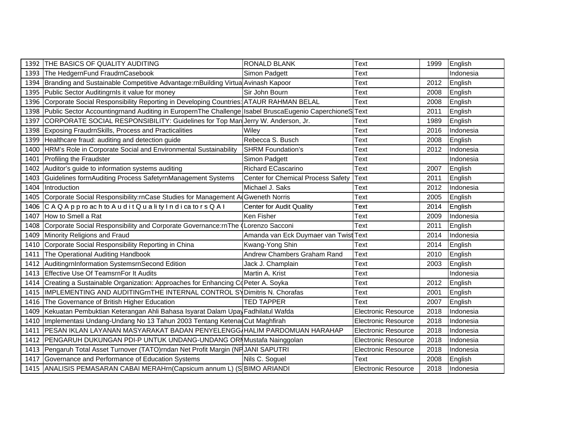| 1392 THE BASICS OF QUALITY AUDITING                                                                         | <b>RONALD BLANK</b>                   | Text                       | 1999 | English   |
|-------------------------------------------------------------------------------------------------------------|---------------------------------------|----------------------------|------|-----------|
| 1393 The HedgernFund FraudrnCasebook                                                                        | Simon Padgett                         | Text                       |      | Indonesia |
| 1394 Branding and Sustainable Competitive Advantage:rnBuilding Virtua Avinash Kapoor                        |                                       | Text                       | 2012 | English   |
| 1395 Public Sector Auditing rnls it value for money                                                         | Sir John Bourn                        | Text                       | 2008 | English   |
| 1396 Corporate Social Responsibility Reporting in Developing Countries: ATAUR RAHMAN BELAL                  |                                       | Text                       | 2008 | English   |
| 1398 Public Sector Accountingmand Auditing in EuropernThe Challenge Isabel Brusca Eugenio CaperchioneS Text |                                       |                            | 2011 | English   |
| CORPORATE SOCIAL RESPONSIBILITY: Guidelines for Top Man Jerry W. Anderson, Jr.<br>1397                      |                                       | Text                       | 1989 | English   |
| Exposing FraudrnSkills, Process and Practicalities<br>1398                                                  | Wiley                                 | Text                       | 2016 | Indonesia |
| 1399 Healthcare fraud: auditing and detection guide                                                         | Rebecca S. Busch                      | Text                       | 2008 | English   |
| HRM's Role in Corporate Social and Environmental Sustainability<br>1400                                     | <b>SHRM Foundation's</b>              | Text                       | 2012 | Indonesia |
| 1401 Profiling the Fraudster                                                                                | Simon Padgett                         | Text                       |      | Indonesia |
| 1402 Auditor's guide to information systems auditing                                                        | Richard ECascarino                    | Text                       | 2007 | English   |
| Guidelines forrnAuditing Process SafetyrnManagement Systems<br>1403                                         | Center for Chemical Process Safety    | Text                       | 2011 | English   |
| 1404 Introduction                                                                                           | Michael J. Saks                       | Text                       | 2012 | Indonesia |
| 1405 Corporate Social Responsibility:rnCase Studies for Management AdGweneth Norris                         |                                       | Text                       | 2005 | English   |
| 1406 CAQApproachtoAuditQualityIndicatorsQAI                                                                 | <b>Center for Audit Quality</b>       | Text                       | 2014 | English   |
| 1407 How to Smell a Rat                                                                                     | Ken Fisher                            | Text                       | 2009 | Indonesia |
| 1408 Corporate Social Responsibility and Corporate Governance: rnThe (Lorenzo Sacconi                       |                                       | Text                       | 2011 | English   |
| 1409 Minority Religions and Fraud                                                                           | Amanda van Eck Duymaer van Twist Text |                            | 2014 | Indonesia |
| 1410 Corporate Social Responsibility Reporting in China                                                     | Kwang-Yong Shin                       | Text                       | 2014 | English   |
| The Operational Auditing Handbook<br>1411                                                                   | Andrew Chambers Graham Rand           | Text                       | 2010 | English   |
| AuditingrnInformation SystemsrnSecond Edition<br>1412                                                       | Jack J. Champlain                     | Text                       | 2003 | English   |
| 1413 Effective Use Of TeamsrnFor It Audits                                                                  | Martin A. Krist                       | Text                       |      | Indonesia |
| Creating a Sustainable Organization: Approaches for Enhancing CoPeter A. Soyka<br>1414                      |                                       | Text                       | 2012 | English   |
| 1415  IMPLEMENTING AND AUDITINGrnTHE INTERNAL CONTROL SYDimitris N. Chorafas                                |                                       | Text                       | 2001 | English   |
| The Governance of British Higher Education<br>1416                                                          | <b>TED TAPPER</b>                     | Text                       | 2007 | English   |
| Kekuatan Pembuktian Keterangan Ahli Bahasa Isyarat Dalam Upay Fadhilatul Wafda<br>1409                      |                                       | <b>Electronic Resource</b> | 2018 | Indonesia |
| Implementasi Undang-Undang No 13 Tahun 2003 Tentang Ketena Cut Maghfirah<br>1410                            |                                       | <b>Electronic Resource</b> | 2018 | Indonesia |
| PESAN IKLAN LAYANAN MASYARAKAT BADAN PENYELENGG HALIM PARDOMUAN HARAHAP<br>1411                             |                                       | <b>Electronic Resource</b> | 2018 | Indonesia |
| PENGARUH DUKUNGAN PDI-P UNTUK UNDANG-UNDANG ORIMustafa Nainggolan<br>1412                                   |                                       | <b>Electronic Resource</b> | 2018 | Indonesia |
| Pengaruh Total Asset Turnover (TATO)rndan Net Profit Margin (NF JANI SAPUTRI<br>1413                        |                                       | <b>Electronic Resource</b> | 2018 | Indonesia |
| 1417 Governance and Performance of Education Systems                                                        | Nils C. Soguel                        | Text                       | 2008 | English   |
| 1415 ANALISIS PEMASARAN CABAI MERAHrn(Capsicum annum L) (SBIMO ARIANDI                                      |                                       | <b>Electronic Resource</b> | 2018 | Indonesia |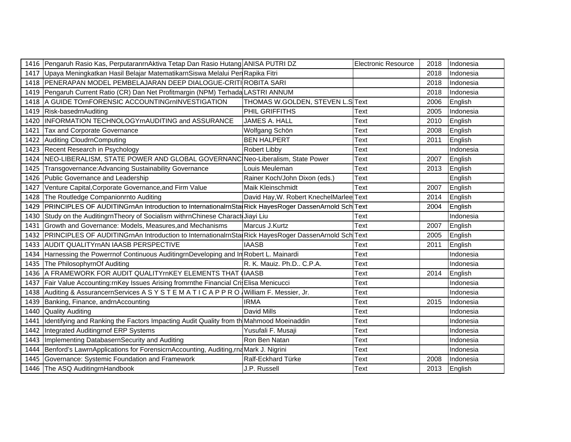| Electronic Resource<br>2018 |
|-----------------------------|
|                             |
|                             |
|                             |
|                             |
|                             |
|                             |
|                             |
|                             |
|                             |
|                             |
|                             |
|                             |
|                             |
|                             |
|                             |
|                             |
|                             |
|                             |
|                             |
|                             |
|                             |
|                             |
|                             |
|                             |
|                             |
|                             |
|                             |
|                             |
|                             |
|                             |
|                             |
|                             |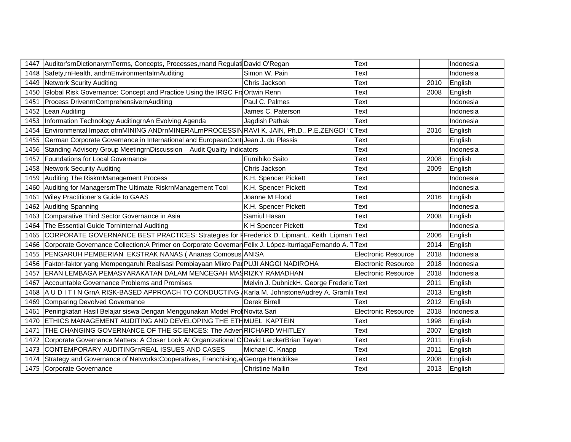|      | 1447 Auditor'srnDictionaryrnTerms, Concepts, Processes, rnand Regulati David O'Regan                       |                                          | Text                       |      | Indonesia |
|------|------------------------------------------------------------------------------------------------------------|------------------------------------------|----------------------------|------|-----------|
|      | 1448 Safety, rnHealth, andrnEnvironmentalrnAuditing                                                        | Simon W. Pain                            | Text                       |      | Indonesia |
|      | 1449 Network Scurity Auditing                                                                              | Chris Jackson<br>Text                    |                            |      | English   |
|      | 1450 Global Risk Governance: Concept and Practice Using the IRGC FraOrtwin Renn                            |                                          | Text                       | 2008 | English   |
| 1451 | Process DrivenrnComprehensivernAuditing                                                                    | Paul C. Palmes                           | Text                       |      | Indonesia |
| 1452 | Lean Auditing                                                                                              | James C. Paterson                        | Text                       |      | Indonesia |
| 1453 | Information Technology AuditingrnAn Evolving Agenda                                                        | Jagdish Pathak                           | Text                       |      | Indonesia |
| 1454 | Environmental Impact ofrnMINING ANDrnMINERALmPROCESSINRAVI K. JAIN, Ph.D., P.E.ZENGDI "Crext"              |                                          |                            | 2016 | English   |
| 1455 | German Corporate Governance in International and EuropeanCont Jean J. du Plessis                           |                                          | Text                       |      | English   |
|      | 1456 Standing Advisory Group MeetingrnDiscussion - Audit Quality Indicators                                |                                          | Text                       |      | Indonesia |
| 1457 | Foundations for Local Governance                                                                           | Fumihiko Saito                           | Text                       | 2008 | English   |
|      | 1458 Network Security Auditing                                                                             | Chris Jackson                            | Text                       | 2009 | English   |
|      | 1459 Auditing The RiskrnManagement Process                                                                 | K.H. Spencer Pickett                     | Text                       |      | Indonesia |
|      | 1460 Auditing for ManagersrnThe Ultimate RiskrnManagement Tool                                             | K.H. Spencer Pickett                     | Text                       |      | Indonesia |
|      | 1461 Wiley Practitioner's Guide to GAAS                                                                    | Joanne M Flood                           | Text                       | 2016 | English   |
|      | 1462 Auditing Spanning                                                                                     | K.H. Spencer Pickett                     | Text                       |      | Indonesia |
|      | 1463 Comparative Third Sector Governance in Asia                                                           | Samiul Hasan                             | Text                       | 2008 | English   |
|      | 1464 The Essential Guide TornInternal Auditing                                                             | K H Spencer Pickett                      | <b>Text</b>                |      | Indonesia |
| 1465 | CORPORATE GOVERNANCE BEST PRACTICES: Strategies for <i>F</i> Frederick D. LipmanL. Keith Lipman Text       |                                          |                            | 2006 | English   |
| 1466 | Corporate Governance Collection: A Primer on Corporate Governan Félix J. López-Iturriaga Fernando A. Trext |                                          |                            | 2014 | English   |
| 1455 | PENGARUH PEMBERIAN EKSTRAK NANAS (Ananas Comosus ANISA                                                     |                                          | <b>Electronic Resource</b> | 2018 | Indonesia |
| 1456 | Faktor-faktor yang Mempengaruhi Realisasi Pembiayaan Mikro PaqPUJI ANGGI NADIROHA                          |                                          | <b>Electronic Resource</b> | 2018 | Indonesia |
| 1457 | ERAN LEMBAGA PEMASYARAKATAN DALAM MENCEGAH MASRIZKY RAMADHAN                                               |                                          | <b>Electronic Resource</b> | 2018 | Indonesia |
| 1467 | Accountable Governance Problems and Promises                                                               | Melvin J. DubnickH. George Frederic Text |                            | 2011 | English   |
|      | 1468 A U D I T I N GrnA RISK-BASED APPROACH TO CONDUCTING Karla M. JohnstoneAudrey A. Gramli Text          |                                          |                            | 2013 | English   |
|      | 1469 Comparing Devolved Governance                                                                         | <b>Derek Birrell</b>                     | Text                       | 2012 | English   |
| 1461 | Peningkatan Hasil Belajar siswa Dengan Menggunakan Model Prot Novita Sari                                  |                                          | <b>Electronic Resource</b> | 2018 | Indonesia |
| 1470 | <b>ETHICS MANAGEMENT AUDITING AND DEVELOPING THE ETHMUEL KAPTEIN</b>                                       |                                          | Text                       | 1998 | English   |
| 1471 | THE CHANGING GOVERNANCE OF THE SCIENCES: The Adven RICHARD WHITLEY                                         |                                          | Text                       | 2007 | English   |
| 1472 | Corporate Governance Matters: A Closer Look At Organizational C David LarckerBrian Tayan                   |                                          | Text                       | 2011 | English   |
| 1473 | CONTEMPORARY AUDITINGMREAL ISSUES AND CASES                                                                | Michael C. Knapp                         | Text                       | 2011 | English   |
| 1474 | Strategy and Governance of Networks: Cooperatives, Franchising, a George Hendrikse                         |                                          | Text                       | 2008 | English   |
|      | 1475 Corporate Governance                                                                                  | <b>Christine Mallin</b>                  | Text                       | 2013 | English   |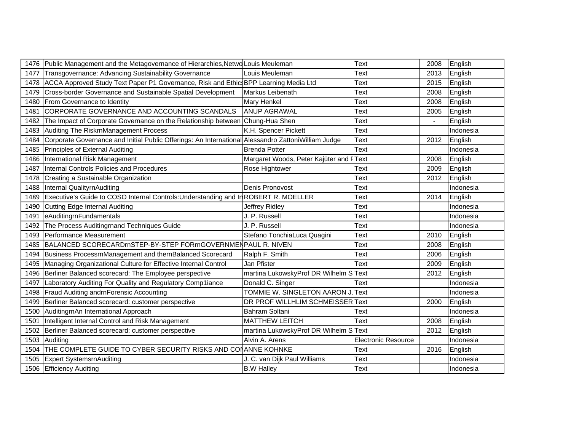|      | 1476 Public Management and the Metagovernance of Hierarchies, Netwo Louis Meuleman                  |                                         | Text                       | 2008 | English   |
|------|-----------------------------------------------------------------------------------------------------|-----------------------------------------|----------------------------|------|-----------|
| 1477 | Transgovernance: Advancing Sustainability Governance                                                | Louis Meuleman                          | Text                       | 2013 | English   |
|      | 1478 ACCA Approved Study Text Paper P1 Governance, Risk and Ethic BPP Learning Media Ltd            |                                         | Text                       | 2015 | English   |
| 1479 | Cross-border Governance and Sustainable Spatial Development                                         | Markus Leibenath                        | Text                       | 2008 | English   |
| 1480 | From Governance to Identity                                                                         | Mary Henkel                             | Text                       | 2008 | English   |
| 1481 | CORPORATE GOVERNANCE AND ACCOUNTING SCANDALS                                                        | <b>ANUP AGRAWAL</b>                     | Text                       | 2005 | English   |
| 1482 | The Impact of Corporate Governance on the Relationship between Chung-Hua Shen                       |                                         | Text                       |      | English   |
|      | 1483 Auditing The RiskrnManagement Process                                                          | K.H. Spencer Pickett                    | Text                       |      | Indonesia |
| 1484 | Corporate Governance and Initial Public Offerings: An International Alessandro ZattoniWilliam Judge |                                         | Text                       | 2012 | English   |
| 1485 | Principles of External Auditing                                                                     | <b>Brenda Potter</b>                    | Text                       |      | Indonesia |
| 1486 | International Risk Management                                                                       | Margaret Woods, Peter Kajüter and FText |                            | 2008 | English   |
| 1487 | Internal Controls Policies and Procedures                                                           | Rose Hightower                          | Text                       | 2009 | English   |
| 1478 | Creating a Sustainable Organization                                                                 |                                         | Text                       | 2012 | English   |
| 1488 | Internal QualityrnAuditing                                                                          | Denis Pronovost                         | Text                       |      | Indonesia |
| 1489 | Executive's Guide to COSO Internal Controls: Understanding and In ROBERT R. MOELLER                 |                                         | Text                       | 2014 | English   |
| 1490 | Cutting Edge Internal Auditing                                                                      | Jeffrey Ridley                          | Text                       |      | Indonesia |
| 1491 | eAuditingrnFundamentals                                                                             | J. P. Russell                           | Text                       |      | Indonesia |
| 1492 | The Process Auditingrnand Techniques Guide                                                          | J. P. Russell                           | Text                       |      | Indonesia |
| 1493 | Performance Measurement                                                                             | Stefano TonchiaLuca Quagini             | Text                       | 2010 | English   |
| 1485 | BALANCED SCORECARDmSTEP-BY-STEP FORmGOVERNMENPAUL R. NIVEN                                          |                                         | Text                       | 2008 | English   |
| 1494 | Business ProcessrnManagement and thernBalanced Scorecard                                            | Ralph F. Smith                          | Text                       | 2006 | English   |
| 1495 | Managing Organizational Culture for Effective Internal Control                                      | Jan Pfister                             | Text                       | 2009 | English   |
|      | 1496 Berliner Balanced scorecard: The Employee perspective                                          | martina LukowskyProf DR Wilhelm SText   |                            | 2012 | English   |
| 1497 | Laboratory Auditing For Quality and Regulatory Comp1iance                                           | Donald C. Singer                        | Text                       |      | Indonesia |
| 1498 | Fraud Auditing andrnForensic Accounting                                                             | TOMMIE W. SINGLETON AARON J. Text       |                            |      | Indonesia |
| 1499 | Berliner Balanced scorecard: customer perspective                                                   | DR PROF WILLHLIM SCHMEISSER Text        |                            | 2000 | English   |
|      | 1500 AuditingrnAn International Approach                                                            | Bahram Soltani                          | Text                       |      | Indonesia |
| 1501 | Intelligent Internal Control and Risk Management                                                    | <b>MATTHEW LEITCH</b>                   | Text                       | 2008 | English   |
| 1502 | Berliner Balanced scorecard: customer perspective                                                   | martina LukowskyProf DR Wilhelm SText   |                            | 2012 | English   |
| 1503 | Auditing                                                                                            | Alvin A. Arens                          | <b>Electronic Resource</b> |      | Indonesia |
| 1504 | THE COMPLETE GUIDE TO CYBER SECURITY RISKS AND CONANNE KOHNKE                                       |                                         | Text                       | 2016 | English   |
| 1505 | <b>Expert SystemsrnAuditing</b>                                                                     | J. C. van Dijk Paul Williams            | Text                       |      | Indonesia |
|      | 1506 Efficiency Auditing                                                                            | <b>B.W Halley</b>                       | Text                       |      | Indonesia |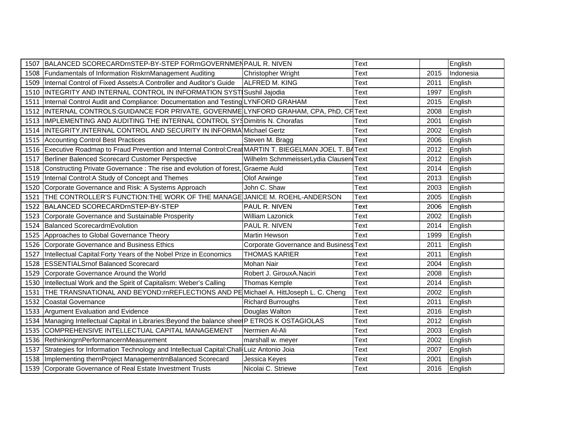|      | 1507 BALANCED SCORECARDmSTEP-BY-STEP FORmGOVERNMENPAUL R. NIVEN                                           |                                               | <b>Text</b> |      | English   |
|------|-----------------------------------------------------------------------------------------------------------|-----------------------------------------------|-------------|------|-----------|
|      | 1508   Fundamentals of Information RiskrnManagement Auditing                                              | Christopher Wright                            | Text        | 2015 | Indonesia |
| 1509 | Internal Control of Fixed Assets: A Controller and Auditor's Guide                                        | ALFRED M. KING                                | Text        | 2011 | English   |
| 1510 | INTEGRITY AND INTERNAL CONTROL IN INFORMATION SYSTISushil Jajodia                                         |                                               | Text        | 1997 | English   |
| 1511 | Internal Control Audit and Compliance: Documentation and Testing LYNFORD GRAHAM                           |                                               | Text        | 2015 | English   |
| 1512 | INTERNAL CONTROLS:GUIDANCE FOR PRIVATE, GOVERNME LYNFORD GRAHAM, CPA, PhD, CF Text                        |                                               |             | 2008 | English   |
| 1513 | IMPLEMENTING AND AUDITING THE INTERNAL CONTROL SYSDimitris N. Chorafas                                    |                                               | Text        | 2001 | English   |
| 1514 | INTEGRITY, INTERNAL CONTROL AND SECURITY IN INFORMA Michael Gertz                                         |                                               | Text        | 2002 | English   |
| 1515 | <b>Accounting Control Best Practices</b>                                                                  | Steven M. Bragg                               | Text        | 2006 | English   |
|      | 1516 Executive Roadmap to Fraud Prevention and Internal Control: Creat MARTIN T. BIEGELMAN JOEL T. BAText |                                               |             | 2012 | English   |
| 1517 | Berliner Balenced Scorecard Customer Perspective                                                          | Wilhelm SchmmeisserLydia Clausen Text         |             | 2012 | English   |
| 1518 | Constructing Private Governance: The rise and evolution of forest, Graeme Auld                            |                                               | Text        | 2014 | English   |
| 1519 | Internal Control: A Study of Concept and Themes                                                           | Olof Arwinge                                  | Text        | 2013 | English   |
| 1520 | Corporate Governance and Risk: A Systems Approach                                                         | John C. Shaw                                  | Text        | 2003 | English   |
| 1521 | THE CONTROLLER'S FUNCTION: THE WORK OF THE MANAGE JANICE M. ROEHL-ANDERSON                                |                                               | Text        | 2005 | English   |
| 1522 | BALANCED SCORECARDmSTEP-BY-STEP                                                                           | PAUL R. NIVEN                                 | Text        | 2006 | English   |
| 1523 | Corporate Governance and Sustainable Prosperity                                                           | William Lazonick                              | Text        | 2002 | English   |
|      | 1524 Balanced ScorecardrnEvolution                                                                        | PAUL R. NIVEN                                 | Text        | 2014 | English   |
|      | 1525 Approaches to Global Governance Theory                                                               | <b>Martin Hewson</b>                          | Text        | 1999 | English   |
| 1526 | Corporate Governance and Business Ethics                                                                  | <b>Corporate Governance and Business Text</b> |             | 2011 | English   |
| 1527 | Intellectual Capital: Forty Years of the Nobel Prize in Economics                                         | <b>THOMAS KARIER</b>                          | Text        | 2011 | English   |
| 1528 | <b>ESSENTIALSrnof Balanced Scorecard</b>                                                                  | <b>Mohan Nair</b>                             | Text        | 2004 | English   |
| 1529 | Corporate Governance Around the World                                                                     | Robert J. GirouxA.Naciri                      | Text        | 2008 | English   |
| 1530 | Intellectual Work and the Spirit of Capitalism: Weber's Calling                                           | Thomas Kemple                                 | <b>Text</b> | 2014 | English   |
| 1531 | THE TRANSNATIONAL AND BEYOND:rnREFLECTIONS AND PE Michael A. HittJoseph L. C. Cheng                       |                                               | <b>Text</b> | 2002 | English   |
| 1532 | Coastal Governance                                                                                        | <b>Richard Burroughs</b>                      | Text        | 2011 | English   |
| 1533 | Argument Evaluation and Evidence                                                                          | Douglas Walton                                | Text        | 2016 | English   |
| 1534 | Managing Intellectual Capital in Libraries: Beyond the balance shee P ETROS K OSTAGIOLAS                  |                                               | Text        | 2012 | English   |
| 1535 | COMPREHENSIVE INTELLECTUAL CAPITAL MANAGEMENT                                                             | Nermien Al-Ali                                | Text        | 2003 | English   |
| 1536 | RethinkingrnPerformancernMeasurement                                                                      | marshall w. meyer                             | Text        | 2002 | English   |
| 1537 | Strategies for Information Technology and Intellectual Capital: Chall Luiz Antonio Joia                   |                                               | Text        | 2007 | English   |
| 1538 | Implementing thernProject ManagementrnBalanced Scorecard                                                  | Jessica Keyes                                 | Text        | 2001 | English   |
|      | 1539 Corporate Governance of Real Estate Investment Trusts                                                | Nicolai C. Striewe                            | Text        | 2016 | English   |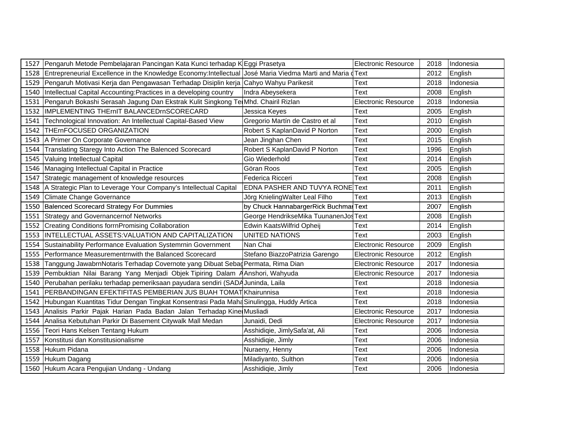| 1527 Pengaruh Metode Pembelajaran Pancingan Kata Kunci terhadap K Eggi Prasetya                                |                                       | <b>Electronic Resource</b> |      | 2018 Indonesia   |
|----------------------------------------------------------------------------------------------------------------|---------------------------------------|----------------------------|------|------------------|
| 1528 Entrepreneurial Excellence in the Knowledge Economy: Intellectual José Maria Viedma Marti and Maria dText |                                       |                            |      | 2012 English     |
| 1529 Pengaruh Motivasi Kerja dan Pengawasan Terhadap Disiplin kerja Cahyo Wahyu Parikesit                      |                                       | Text                       |      | 2018 Indonesia   |
| 1540 Intellectual Capital Accounting: Practices in a developing country                                        | IIndra Abevsekera                     | Text                       |      | 2008 English     |
| 1531 Pengaruh Bokashi Serasah Jagung Dan Ekstrak Kulit Singkong Te Mhd. Chairil Rizlan                         |                                       | <b>Electronic Resource</b> |      | 2018 Indonesia   |
| 1532   IMPLEMENTING THErnIT BALANCEDrnSCORECARD                                                                | Jessica Keyes                         | Text                       |      | 2005 English     |
| 1541 Technological Innovation: An Intellectual Capital-Based View                                              | Gregorio Martín de Castro et al       | Text                       |      | 2010 English     |
| 1542 THErnFOCUSED ORGANIZATION                                                                                 | Robert S KaplanDavid P Norton         | Text                       |      | 2000 English     |
| 1543   A Primer On Corporate Governance                                                                        | Jean Jinghan Chen                     | Text                       |      | 2015 English     |
| 1544 Translating Staregy Into Action The Balenced Scorecard                                                    | Robert S KaplanDavid P Norton         | Text                       |      | 1996 English     |
| 1545 Valuing Intellectual Capital                                                                              | Gio Wiederhold                        | Text                       |      | 2014 English     |
| 1546 Managing Intellectual Capital in Practice                                                                 | Göran Roos                            | Text                       |      | 2005 English     |
| 1547 Strategic management of knowledge resources                                                               | Federica Ricceri                      | Text                       |      | 2008 English     |
| 1548 A Strategic Plan to Leverage Your Company's Intellectual Capital                                          | EDNA PASHER AND TUVYA RONE Text       |                            |      | 2011 English     |
| 1549 Climate Change Governance                                                                                 | Jörg KnielingWalter Leal Filho        | Text                       |      | 2013 English     |
| 1550 Balenced Scorecard Strategy For Dummies                                                                   | by Chuck HannabargerRick Buchmar Text |                            |      | 2007 English     |
| 1551 Strategy and Governancernof Networks                                                                      | George HendrikseMika TuunanenJosText  |                            |      | 2008 English     |
| 1552 Creating Conditions form Promising Collaboration                                                          | Edwin KaatsWilfrid Opheij             | Text                       |      | 2014 English     |
| 1553  INTELLECTUAL ASSETS: VALUATION AND CAPITALIZATION                                                        | UNITED NATIONS                        | Text                       |      | 2003 English     |
| 1554 Sustainability Performance Evaluation Systemrnin Government                                               | Nan Chai                              | <b>Electronic Resource</b> |      | 2009 English     |
| 1555 Performance Measurementrnwith the Balanced Scorecard                                                      | Stefano BiazzoPatrizia Garengo        | <b>Electronic Resource</b> |      | 2012 English     |
| 1538 Tanggung JawabrnNotaris Terhadap Covernote yang Dibuat Sebag Permata, Rima Dian                           |                                       | <b>Electronic Resource</b> |      | 2017   Indonesia |
| 1539 Pembuktian Nilai Barang Yang Menjadi Objek Tipiring Dalam AAnshori, Wahyuda                               |                                       | <b>Electronic Resource</b> |      | 2017   Indonesia |
| 1540 Perubahan perilaku terhadap pemeriksaan payudara sendiri (SADA Juninda, Laila                             |                                       | Text                       |      | 2018 Indonesia   |
| 1541 PERBANDINGAN EFEKTIFITAS PEMBERIAN JUS BUAH TOMAT Khairunnisa                                             |                                       | Text                       |      | 2018 Indonesia   |
| 1542 Hubungan Kuantitas Tidur Dengan Tingkat Konsentrasi Pada Maha Sinulingga, Huddy Artica                    |                                       | Text                       | 2018 | Indonesia        |
| 1543 Analisis Parkir Pajak Harian Pada Badan Jalan Terhadap Kine Musliadi                                      |                                       | <b>Electronic Resource</b> | 2017 | <i>Indonesia</i> |
| 1544 Analisa Kebutuhan Parkir Di Basement Citywalk Mall Medan                                                  | Junaidi. Dedi                         | <b>Electronic Resource</b> |      | 2017   Indonesia |
| 1556 Teori Hans Kelsen Tentang Hukum                                                                           | Asshidiqie, JimlySafa'at, Ali         | Text                       | 2006 | Indonesia        |
| 1557 Konstitusi dan Konstitusionalisme                                                                         | Asshidigie, Jimly                     | Text                       | 2006 | Indonesia        |
| 1558 Hukum Pidana                                                                                              | Nuraeny, Henny                        | Text                       | 2006 | Indonesia        |
| 1559 Hukum Dagang                                                                                              | Miladiyanto, Sulthon                  | Text                       | 2006 | Indonesia        |
| 1560 Hukum Acara Pengujian Undang - Undang                                                                     | Asshidiqie, Jimly                     | Text                       | 2006 | Indonesia        |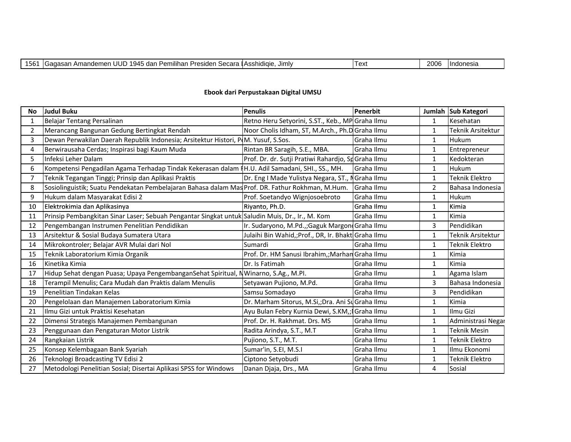| ⊥J∪. | UUP<br><br>1945<br>-4<br>ı Amandemer<br>dan<br>Secara<br>Pemilihan<br>Presiden<br>$\sim$<br>15611 | a l'Asshidiaie.<br>Jimly | ⊥ ∆vt<br>י הא | 2006 | <b>Indonesia</b> |
|------|---------------------------------------------------------------------------------------------------|--------------------------|---------------|------|------------------|
|------|---------------------------------------------------------------------------------------------------|--------------------------|---------------|------|------------------|

### **Ebook dari Perpustakaan Digital UMSU**

| <b>No</b> | <b>Judul Buku</b>                                                                                | <b>Penulis</b>                                      | Penerbit   |                | Jumlah Sub Kategori   |
|-----------|--------------------------------------------------------------------------------------------------|-----------------------------------------------------|------------|----------------|-----------------------|
| 1         | Belajar Tentang Persalinan                                                                       | Retno Heru Setyorini, S.ST., Keb., MP Graha Ilmu    |            | 1              | Kesehatan             |
| 2         | Merancang Bangunan Gedung Bertingkat Rendah                                                      | Noor Cholis Idham, ST, M.Arch., Ph.D Graha Ilmu     |            | $\mathbf{1}$   | Teknik Arsitektur     |
| 3         | Dewan Perwakilan Daerah Republik Indonesia; Arsitektur Histori, P(M. Yusuf, S.Sos.               |                                                     | Graha Ilmu | 1              | Hukum                 |
| 4         | Berwirausaha Cerdas; Inspirasi bagi Kaum Muda                                                    | Rintan BR Saragih, S.E., MBA.                       | Graha Ilmu | 1              | Entrepreneur          |
| 5.        | Infeksi Leher Dalam                                                                              | Prof. Dr. dr. Sutji Pratiwi Rahardjo, SpGraha Ilmu  |            | 1              | Kedokteran            |
| 6         | Kompetensi Pengadilan Agama Terhadap Tindak Kekerasan dalam   H.U. Adil Samadani, SHI., SS., MH. |                                                     | Graha Ilmu | 1              | Hukum                 |
|           | Teknik Tegangan Tinggi; Prinsip dan Aplikasi Praktis                                             | Dr. Eng I Made Yulistya Negara, ST., N              | Graha Ilmu | $\mathbf{1}$   | <b>Teknik Elektro</b> |
| 8         | Sosiolinguistik; Suatu Pendekatan Pembelajaran Bahasa dalam Mas Prof. DR. Fathur Rokhman, M.Hum. |                                                     | Graha Ilmu | $\overline{2}$ | Bahasa Indonesia      |
| 9         | Hukum dalam Masyarakat Edisi 2                                                                   | Prof. Soetandyo Wignjosoebroto                      | Graha Ilmu | 1              | Hukum                 |
| 10        | Elektrokimia dan Aplikasinya                                                                     | Riyanto, Ph.D.                                      | Graha Ilmu | 1              | Kimia                 |
| 11        | Prinsip Pembangkitan Sinar Laser; Sebuah Pengantar Singkat untuk Saludin Muis, Dr., Ir., M. Kom  |                                                     | Graha Ilmu | 1              | Kimia                 |
| 12        | Pengembangan Instrumen Penelitian Pendidikan                                                     | Ir. Sudaryono, M.Pd.,;Gaguk Margon Graha Ilmu       |            | 3              | Pendidikan            |
| 13        | Arsitektur & Sosial Budaya Sumatera Utara                                                        | Julaihi Bin Wahid,; Prof., DR, Ir. Bhakt Graha Ilmu |            | 1              | Teknik Arsitektur     |
| 14        | Mikrokontroler; Belajar AVR Mulai dari Nol                                                       | Sumardi                                             | Graha Ilmu | $\mathbf{1}$   | <b>Teknik Elektro</b> |
| 15        | Teknik Laboratorium Kimia Organik                                                                | Prof. Dr. HM Sanusi Ibrahim,; Marhan Graha Ilmu     |            | 1              | Kimia                 |
| 16        | Kinetika Kimia                                                                                   | Dr. Is Fatimah                                      | Graha Ilmu | $\mathbf{1}$   | Kimia                 |
| 17        | Hidup Sehat dengan Puasa; Upaya PengembanganSehat Spiritual, NWinarno, S.Ag., M.Pl.              |                                                     | Graha Ilmu | $\mathbf{1}$   | Agama Islam           |
| 18        | Terampil Menulis; Cara Mudah dan Praktis dalam Menulis                                           | Setyawan Pujiono, M.Pd.                             | Graha Ilmu | $\overline{3}$ | Bahasa Indonesia      |
| 19        | Penelitian Tindakan Kelas                                                                        | Samsu Somadayo                                      | Graha Ilmu | 3              | Pendidikan            |
| 20        | Pengelolaan dan Manajemen Laboratorium Kimia                                                     | Dr. Marham Sitorus, M.Si,;Dra. Ani Su Graha Ilmu    |            | $\mathbf{1}$   | Kimia                 |
| 21        | Ilmu Gizi untuk Praktisi Kesehatan                                                               | Ayu Bulan Febry Kurnia Dewi, S.KM,; Graha Ilmu      |            | $\mathbf{1}$   | Ilmu Gizi             |
| 22        | Dimensi Strategis Manajemen Pembangunan                                                          | Prof. Dr. H. Rakhmat. Drs. MS                       | Graha Ilmu | 1              | Administrasi Negar    |
| 23        | Penggunaan dan Pengaturan Motor Listrik                                                          | Radita Arindya, S.T., M.T.                          | Graha Ilmu | $\mathbf{1}$   | <b>Teknik Mesin</b>   |
| 24        | Rangkaian Listrik                                                                                | Pujiono, S.T., M.T.                                 | Graha Ilmu | $\mathbf{1}$   | <b>Teknik Elektro</b> |
| 25        | Konsep Kelembagaan Bank Syariah                                                                  | Sumar'in, S.EI, M.S.I                               | Graha Ilmu | 1              | Ilmu Ekonomi          |
| 26        | Teknologi Broadcasting TV Edisi 2                                                                | Ciptono Setyobudi                                   | Graha Ilmu | 1              | Teknik Elektro        |
| 27        | Metodologi Penelitian Sosial; Disertai Aplikasi SPSS for Windows                                 | Danan Djaja, Drs., MA                               | Graha Ilmu | 4              | Sosial                |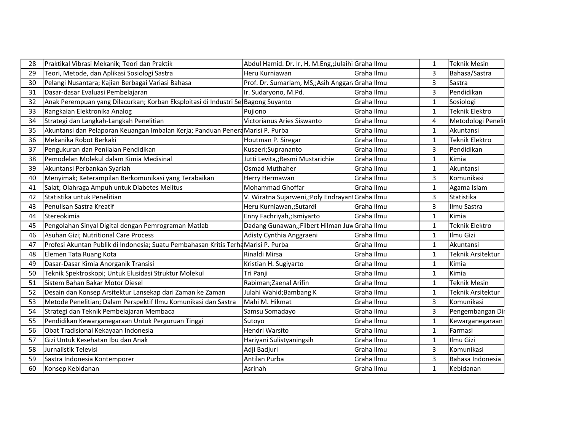| 28 | Praktikal Vibrasi Mekanik; Teori dan Praktik                                       | Abdul Hamid. Dr. Ir, H, M.Eng,;Julaihi Graha Ilmu |            | 1                       | <b>Teknik Mesin</b>   |
|----|------------------------------------------------------------------------------------|---------------------------------------------------|------------|-------------------------|-----------------------|
| 29 | Teori, Metode, dan Aplikasi Sosiologi Sastra                                       | Heru Kurniawan                                    | Graha Ilmu | 3                       | Bahasa/Sastra         |
| 30 | Pelangi Nusantara; Kajian Berbagai Variasi Bahasa                                  | Prof. Dr. Sumarlam, MS, Asih Anggar Graha Ilmu    |            | $\overline{3}$          | Sastra                |
| 31 | Dasar-dasar Evaluasi Pembelajaran                                                  | Ir. Sudaryono, M.Pd.                              | Graha Ilmu | 3                       | Pendidikan            |
| 32 | Anak Perempuan yang Dilacurkan; Korban Eksploitasi di Industri Sel Bagong Suyanto  |                                                   | Graha Ilmu | 1                       | Sosiologi             |
| 33 | Rangkaian Elektronika Analog                                                       | Pujiono                                           | Graha Ilmu | 1                       | <b>Teknik Elektro</b> |
| 34 | Strategi dan Langkah-Langkah Penelitian                                            | Victorianus Aries Siswanto                        | Graha Ilmu | 4                       | Metodologi Peneli     |
| 35 | Akuntansi dan Pelaporan Keuangan Imbalan Kerja; Panduan Penera Marisi P. Purba     |                                                   | Graha Ilmu | $\mathbf{1}$            | Akuntansi             |
| 36 | Mekanika Robot Berkaki                                                             | Houtman P. Siregar                                | Graha Ilmu | 1                       | Teknik Elektro        |
| 37 | Pengukuran dan Penilaian Pendidikan                                                | Kusaeri;Suprananto                                | Graha Ilmu | 3                       | Pendidikan            |
| 38 | Pemodelan Molekul dalam Kimia Medisinal                                            | Jutti Levita,;Resmi Mustarichie                   | Graha Ilmu | $\mathbf{1}$            | Kimia                 |
| 39 | Akuntansi Perbankan Syariah                                                        | Osmad Muthaher                                    | Graha Ilmu | 1                       | Akuntansi             |
| 40 | Menyimak; Keterampilan Berkomunikasi yang Terabaikan                               | Herry Hermawan                                    | Graha Ilmu | 3                       | Komunikasi            |
| 41 | Salat; Olahraga Ampuh untuk Diabetes Melitus                                       | Mohammad Ghoffar                                  | Graha Ilmu | $\mathbf{1}$            | Agama Islam           |
| 42 | Statistika untuk Penelitian                                                        | V. Wiratna Sujarweni,; Poly Endrayan Graha Ilmu   |            | 3                       | Statistika            |
| 43 | Penulisan Sastra Kreatif                                                           | Heru Kurniawan,;Sutardi                           | Graha Ilmu | $\overline{\mathbf{3}}$ | Ilmu Sastra           |
| 44 | Stereokimia                                                                        | Enny Fachriyah,;Ismiyarto                         | Graha Ilmu | $\mathbf{1}$            | Kimia                 |
| 45 | Pengolahan Sinyal Digital dengan Pemrograman Matlab                                | Dadang Gunawan,;Filbert Hilman Juw Graha Ilmu     |            | $\mathbf{1}$            | <b>Teknik Elektro</b> |
| 46 | Asuhan Gizi; Nutritional Care Process                                              | Adisty Cynthia Anggraeni                          | Graha Ilmu | $\mathbf{1}$            | Ilmu Gizi             |
| 47 | Profesi Akuntan Publik di Indonesia; Suatu Pembahasan Kritis Terha Marisi P. Purba |                                                   | Graha Ilmu | 1                       | Akuntansi             |
| 48 | Elemen Tata Ruang Kota                                                             | Rinaldi Mirsa                                     | Graha Ilmu | $\mathbf{1}$            | Teknik Arsitektur     |
| 49 | Dasar-Dasar Kimia Anorganik Transisi                                               | Kristian H. Sugiyarto                             | Graha Ilmu | $\mathbf{1}$            | Kimia                 |
| 50 | Teknik Spektroskopi; Untuk Elusidasi Struktur Molekul                              | Tri Panji                                         | Graha Ilmu | 1                       | Kimia                 |
| 51 | Sistem Bahan Bakar Motor Diesel                                                    | Rabiman; Zaenal Arifin                            | Graha Ilmu | $\mathbf{1}$            | Teknik Mesin          |
| 52 | Desain dan Konsep Arsitektur Lansekap dari Zaman ke Zaman                          | Julahi Wahid; Bambang K                           | Graha Ilmu | $\mathbf{1}$            | Teknik Arsitektur     |
| 53 | Metode Penelitian; Dalam Perspektif Ilmu Komunikasi dan Sastra                     | Mahi M. Hikmat                                    | Graha Ilmu | $\overline{3}$          | Komunikasi            |
| 54 | Strategi dan Teknik Pembelajaran Membaca                                           | Samsu Somadayo                                    | Graha Ilmu | $\overline{3}$          | Pengembangan Dir      |
| 55 | Pendidikan Kewarganegaraan Untuk Perguruan Tinggi                                  | Sutoyo                                            | Graha Ilmu | 1                       | Kewarganegaraan       |
| 56 | Obat Tradisional Kekayaan Indonesia                                                | Hendri Warsito                                    | Graha Ilmu | $\mathbf{1}$            | Farmasi               |
| 57 | Gizi Untuk Kesehatan Ibu dan Anak                                                  | Hariyani Sulistyaningsih                          | Graha Ilmu | $\mathbf{1}$            | Ilmu Gizi             |
| 58 | Jurnalistik Televisi                                                               | Adji Badjuri                                      | Graha Ilmu | 3                       | Komunikasi            |
| 59 | Sastra Indonesia Kontemporer                                                       | Antilan Purba                                     | Graha Ilmu | 3                       | Bahasa Indonesia      |
| 60 | Konsep Kebidanan                                                                   | Asrinah                                           | Graha Ilmu | $\mathbf{1}$            | Kebidanan             |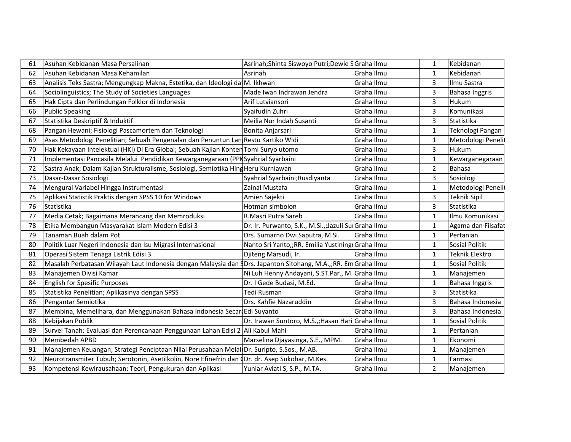| 61 | Asuhan Kebidanan Masa Persalinan                                                                               | Asrinah; Shinta Siswoyo Putri; Dewie S Graha Ilmu     |              | 1              | Kebidanan             |
|----|----------------------------------------------------------------------------------------------------------------|-------------------------------------------------------|--------------|----------------|-----------------------|
| 62 | Asuhan Kebidanan Masa Kehamilan                                                                                | Asrinah                                               | l Graha Ilmu | 1              | Kebidanan             |
| 63 | Analisis Teks Sastra; Mengungkap Makna, Estetika, dan Ideologi da M. Ikhwan                                    |                                                       | Graha Ilmu   | 3              | Ilmu Sastra           |
| 64 | Sociolinguistics; The Study of Societies Languages                                                             | Made Iwan Indrawan Jendra                             | Graha Ilmu   | 3              | <b>Bahasa Inggris</b> |
| 65 | Hak Cipta dan Perlindungan Folklor di Indonesia                                                                | Arif Lutviansori                                      | Graha Ilmu   | 3              | Hukum                 |
| 66 | <b>Public Speaking</b>                                                                                         | Syaifudin Zuhri                                       | Graha Ilmu   | 3              | Komunikasi            |
| 67 | Statistika Deskriptif & Induktif                                                                               | Meilia Nur Indah Susanti                              | Graha Ilmu   | 3              | Statistika            |
| 68 | Pangan Hewani; Fisiologi Pascamortem dan Teknologi                                                             | Bonita Anjarsari                                      | Graha Ilmu   | $\mathbf{1}$   | Teknologi Pangan      |
| 69 | Asas Metodologi Penelitian; Sebuah Pengenalan dan Penuntun Lan Restu Kartiko Widi                              |                                                       | Graha Ilmu   | $\mathbf{1}$   | Metodologi Penelit    |
| 70 | Hak Kekayaan Intelektual (HKI) Di Era Global; Sebuah Kajian Konten Tomi Suryo utomo                            |                                                       | Graha Ilmu   | 3              | Hukum                 |
| 71 | Implementasi Pancasila Melalui Pendidikan Kewarganegaraan (PPK Syahrial Syarbaini                              |                                                       | Graha Ilmu   | 1              | Kewarganegaraan       |
| 72 | Sastra Anak; Dalam Kajian Strukturalisme, Sosiologi, Semiotika Hing Heru Kurniawan                             |                                                       | Graha Ilmu   | 2              | Bahasa                |
| 73 | Dasar-Dasar Sosiologi                                                                                          | Syahrial Syarbaini; Rusdiyanta                        | Graha Ilmu   | $\overline{3}$ | Sosiologi             |
| 74 | Mengurai Variabel Hingga Instrumentasi                                                                         | Zainal Mustafa                                        | Graha Ilmu   | $\mathbf{1}$   | Metodologi Penelit    |
| 75 | Aplikasi Statistik Praktis dengan SPSS 10 for Windows                                                          | Amien Sajekti                                         | Graha Ilmu   | $\overline{3}$ | <b>Teknik Sipil</b>   |
| 76 | Statistika                                                                                                     | Hotman simbolon                                       | Graha Ilmu   | 3              | Statistika            |
| 77 | Media Cetak; Bagaimana Merancang dan Memroduksi                                                                | R.Masri Putra Sareb                                   | Graha Ilmu   | $\mathbf{1}$   | Ilmu Komunikasi       |
| 78 | Etika Membangun Masyarakat Islam Modern Edisi 3                                                                | Dr. Ir. Purwanto, S.K., M.Si.,; Jazuli Sul Graha Ilmu |              | $\mathbf{1}$   | Agama dan Filsafat    |
| 79 | Tanaman Buah dalam Pot                                                                                         | Drs. Sumarno Dwi Saputra, M.Si.                       | l Graha Ilmu | 1              | Pertanian             |
| 80 | Politik Luar Negeri Indonesia dan Isu Migrasi Internasional                                                    | Nanto Sri Yanto,; RR. Emilia Yustining Graha Ilmu     |              | $\mathbf{1}$   | Sosial Politik        |
| 81 | Operasi Sistem Tenaga Listrik Edisi 3                                                                          | Djiteng Marsudi, Ir.                                  | l Graha Ilmu | $\mathbf{1}$   | Teknik Elektro        |
| 82 | Masalah Perbatasan Wilayah Laut Indonesia dengan Malaysia dan 4Drs. Japanton Sitohang, M.A.,;RR. Em Graha Ilmu |                                                       |              | $\mathbf{1}$   | Sosial Politik        |
| 83 | Manajemen Divisi Kamar                                                                                         | Ni Luh Henny Andayani, S.ST.Par., M. Graha Ilmu       |              | $\mathbf{1}$   | Manajemen             |
| 84 | <b>English for Spesific Purposes</b>                                                                           | Dr. I Gede Budasi, M.Ed.                              | Graha Ilmu   | $\mathbf{1}$   | Bahasa Inggris        |
| 85 | Statistika Penelitian; Aplikasinya dengan SPSS                                                                 | Tedi Rusman                                           | Graha Ilmu   | 3              | Statistika            |
| 86 | Pengantar Semiotika                                                                                            | Drs. Kahfie Nazaruddin                                | Graha Ilmu   | 3              | Bahasa Indonesia      |
| 87 | Membina, Memelihara, dan Menggunakan Bahasa Indonesia Secar Edi Suyanto                                        |                                                       | Graha Ilmu   | 3              | Bahasa Indonesia      |
| 88 | Kebijakan Publik                                                                                               | Dr. Irawan Suntoro, M.S.,; Hasan Hari Graha Ilmu      |              | $\mathbf{1}$   | Sosial Politik        |
| 89 | Survei Tanah; Evaluasi dan Perencanaan Penggunaan Lahan Edisi 2 Ali Kabul Mahi                                 |                                                       | Graha Ilmu   | 1              | Pertanian             |
| 90 | Membedah APBD                                                                                                  | Marselina Djayasinga, S.E., MPM.                      | Graha Ilmu   | $\mathbf{1}$   | Ekonomi               |
| 91 | Manajemen Keuangan; Strategi Penciptaan Nilai Perusahaan Melal Dr. Suripto, S.Sos., M.AB.                      |                                                       | Graha Ilmu   | $\mathbf{1}$   | Manajemen             |
| 92 | Neurotransmiter Tubuh; Serotonin, Asetilkolin, Nore Efinefrin dan (Dr. dr. Asep Sukohar, M.Kes.                |                                                       | Graha Ilmu   | $\mathbf{1}$   | Farmasi               |
| 93 | Kompetensi Kewirausahaan; Teori, Pengukuran dan Aplikasi                                                       | Yuniar Aviati S, S.P., M.TA.                          | Graha Ilmu   | $\overline{2}$ | Manajemen             |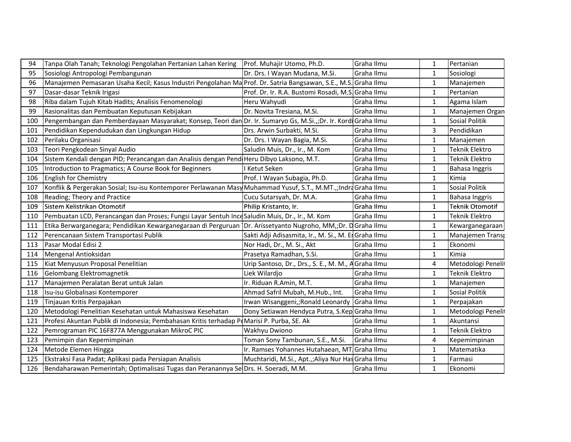| 94  | Tanpa Olah Tanah; Teknologi Pengolahan Pertanian Lahan Kering   Prof. Muhajir Utomo, Ph.D.                      |                                                     | Graha Ilmu | $\mathbf{1}$ | Pertanian             |
|-----|-----------------------------------------------------------------------------------------------------------------|-----------------------------------------------------|------------|--------------|-----------------------|
| 95  | Sosiologi Antropologi Pembangunan                                                                               | Dr. Drs. I Wayan Mudana, M.Si.                      | Graha Ilmu | 1            | Sosiologi             |
| 96  | Manajemen Pemasaran Usaha Kecil; Kasus Industri Pengolahan Ma Prof. Dr. Satria Bangsawan, S.E., M.S. Graha Ilmu |                                                     |            | $\mathbf{1}$ | Manajemen             |
| 97  | Dasar-dasar Teknik Irigasi                                                                                      | Prof. Dr. Ir. R.A. Bustomi Rosadi, M.S. Graha Ilmu  |            | $\mathbf{1}$ | Pertanian             |
| 98  | Riba dalam Tujuh Kitab Hadits; Analisis Fenomenologi                                                            | Heru Wahyudi                                        | Graha Ilmu | 1            | Agama Islam           |
| 99  | Rasionalitas dan Pembuatan Keputusan Kebijakan                                                                  | Dr. Novita Tresiana, M.Si.                          | Graha Ilmu | $\mathbf{1}$ | Manajemen Organ       |
| 100 | Pengembangan dan Pemberdayaan Masyarakat; Konsep, Teori dan Dr. Ir. Sumaryo Gs, M.Si.,;Dr. Ir. Kordi Graha Ilmu |                                                     |            | $1\,$        | Sosial Politik        |
| 101 | Pendidikan Kependudukan dan Lingkungan Hidup                                                                    | Drs. Arwin Surbakti, M.Si.                          | Graha Ilmu | 3            | Pendidikan            |
| 102 | Perilaku Organisasi                                                                                             | Dr. Drs. I Wayan Bagia, M.Si.                       | Graha Ilmu | 1            | Manajemen             |
| 103 | Teori Pengkodean Sinyal Audio                                                                                   | Saludin Muis, Dr., Ir., M. Kom                      | Graha Ilmu | $\mathbf{1}$ | <b>Teknik Elektro</b> |
| 104 | Sistem Kendali dengan PID; Perancangan dan Analisis dengan Pend Heru Dibyo Laksono, M.T.                        |                                                     | Graha Ilmu | $\mathbf{1}$ | Teknik Elektro        |
| 105 | Introduction to Pragmatics; A Course Book for Beginners                                                         | I Ketut Seken                                       | Graha Ilmu | $\mathbf{1}$ | Bahasa Inggris        |
| 106 | English for Chemistry                                                                                           | Prof. I Wayan Subagia, Ph.D.                        | Graha Ilmu | $\mathbf{1}$ | Kimia                 |
| 107 | Konflik & Pergerakan Sosial; Isu-isu Kontemporer Perlawanan Masy Muhammad Yusuf, S.T., M.MT.,;Indra Graha Ilmu  |                                                     |            | $\mathbf{1}$ | <b>Sosial Politik</b> |
| 108 | Reading; Theory and Practice                                                                                    | Cucu Sutarsyah, Dr. M.A.                            | Graha Ilmu | $\mathbf{1}$ | Bahasa Inggris        |
| 109 | Sistem Kelistrikan Otomotif                                                                                     | Philip Kristanto, Ir.                               | Graha Ilmu | 1            | Teknik Otomotif       |
| 110 | Pembuatan LCD, Perancangan dan Proses; Fungsi Layar Sentuh Ince Saludin Muis, Dr., Ir., M. Kom                  |                                                     | Graha Ilmu | $\mathbf{1}$ | <b>Teknik Elektro</b> |
| 111 | Etika Berwarganegara; Pendidikan Kewarganegaraan di Perguruan Dr. Arissetyanto Nugroho, MM,;Dr. DGraha Ilmu     |                                                     |            | $\mathbf{1}$ | Kewarganegaraan       |
| 112 | Perencanaan Sistem Transportasi Publik                                                                          | Sakti Adji Adisasmita, Ir., M. Si., M. ErGraha Ilmu |            | $\mathbf{1}$ | Manajemen Transp      |
| 113 | Pasar Modal Edisi 2                                                                                             | Nor Hadi, Dr., M. Si., Akt                          | Graha Ilmu | $\mathbf{1}$ | Ekonomi               |
| 114 | Mengenal Antioksidan                                                                                            | Prasetya Ramadhan, S.Si.                            | Graha Ilmu | $\mathbf{1}$ | Kimia                 |
| 115 | Kiat Menyusun Proposal Penelitian                                                                               | Urip Santoso, Dr., Drs., S. E., M. M., AGraha Ilmu  |            | 4            | Metodologi Penelit    |
| 116 | Gelombang Elektromagnetik                                                                                       | Liek Wilardjo                                       | Graha Ilmu | $\mathbf{1}$ | <b>Teknik Elektro</b> |
| 117 | Manajemen Peralatan Berat untuk Jalan                                                                           | Ir. Riduan R.Amin, M.T.                             | Graha Ilmu | $\mathbf{1}$ | Manajemen             |
| 118 | Isu-isu Globalisasi Kontemporer                                                                                 | Ahmad Safril Mubah, M.Hub., Int.                    | Graha Ilmu | $\mathbf{1}$ | Sosial Politik        |
| 119 | Tinjauan Kritis Perpajakan                                                                                      | Irwan Wisanggeni,;Ronald Leonardy Graha Ilmu        |            | 1            | Perpajakan            |
| 120 | Metodologi Penelitian Kesehatan untuk Mahasiswa Kesehatan                                                       | Dony Setiawan Hendyca Putra, S.Kep Graha Ilmu       |            | $\mathbf{1}$ | Metodologi Penelit    |
| 121 | Profesi Akuntan Publik di Indonesia; Pembahasan Kritis terhadap P(Marisi P. Purba, SE. Ak                       |                                                     | Graha Ilmu | $\mathbf{1}$ | Akuntansi             |
| 122 | Pemrograman PIC 16F877A Menggunakan MikroC PIC                                                                  | Wakhyu Dwiono                                       | Graha Ilmu | $\mathbf{1}$ | Teknik Elektro        |
| 123 | Pemimpin dan Kepemimpinan                                                                                       | Toman Sony Tambunan, S.E., M.Si.                    | Graha Ilmu | 4            | Kepemimpinan          |
| 124 | Metode Elemen Hingga                                                                                            | Ir. Ramses Yohannes Hutahaean, MT Graha Ilmu        |            | $\mathbf{1}$ | Matematika            |
| 125 | Ekstraksi Fasa Padat; Aplikasi pada Persiapan Analisis                                                          | Muchtaridi, M.Si., Apt.,;Aliya Nur Has Graha Ilmu   |            | $\mathbf{1}$ | Farmasi               |
| 126 | Bendaharawan Pemerintah; Optimalisasi Tugas dan Peranannya Se Drs. H. Soeradi, M.M.                             |                                                     | Graha Ilmu | 1            | Ekonomi               |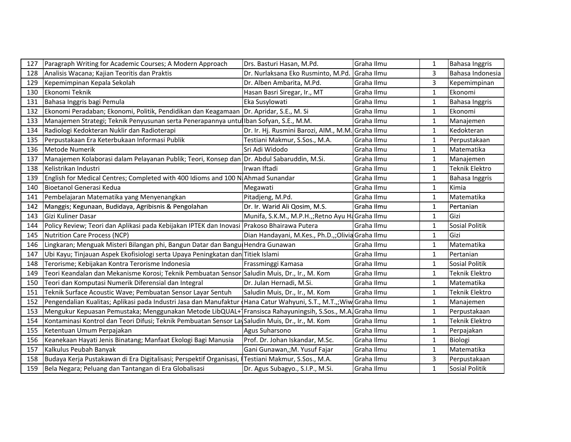| 127 | Paragraph Writing for Academic Courses; A Modern Approach                                       | Drs. Basturi Hasan, M.Pd.                         | Graha Ilmu | 1            | Bahasa Inggris        |
|-----|-------------------------------------------------------------------------------------------------|---------------------------------------------------|------------|--------------|-----------------------|
| 128 | Analisis Wacana; Kajian Teoritis dan Praktis                                                    | Dr. Nurlaksana Eko Rusminto, M.Pd.                | Graha Ilmu | 3            | Bahasa Indonesia      |
| 129 | Kepemimpinan Kepala Sekolah                                                                     | Dr. Alben Ambarita, M.Pd.                         | Graha Ilmu | 3            | Kepemimpinan          |
| 130 | Ekonomi Teknik                                                                                  | Hasan Basri Siregar, Ir., MT                      | Graha Ilmu | $\mathbf{1}$ | Ekonomi               |
| 131 | Bahasa Inggris bagi Pemula                                                                      | Eka Susylowati                                    | Graha Ilmu | 1            | Bahasa Inggris        |
| 132 | Ekonomi Peradaban; Ekonomi, Politik, Pendidikan dan Keagamaan                                   | Dr. Apridar, S.E., M. Si                          | Graha Ilmu | $\mathbf{1}$ | <b>Ekonomi</b>        |
| 133 | Manajemen Strategi; Teknik Penyusunan serta Penerapannya untuliban Sofyan, S.E., M.M.           |                                                   | Graha Ilmu | 1            | Manajemen             |
| 134 | Radiologi Kedokteran Nuklir dan Radioterapi                                                     | Dr. Ir. Hj. Rusmini Barozi, AIM., M.M. Graha Ilmu |            | $\mathbf{1}$ | Kedokteran            |
| 135 | Perpustakaan Era Keterbukaan Informasi Publik                                                   | Testiani Makmur, S.Sos., M.A.                     | Graha Ilmu | $\mathbf{1}$ | Perpustakaan          |
| 136 | Metode Numerik                                                                                  | Sri Adi Widodo                                    | Graha Ilmu | $\mathbf{1}$ | Matematika            |
| 137 | Manajemen Kolaborasi dalam Pelayanan Publik; Teori, Konsep dan Dr. Abdul Sabaruddin, M.Si.      |                                                   | Graha Ilmu | $\mathbf{1}$ | Manajemen             |
| 138 | Kelistrikan Industri                                                                            | Irwan Iftadi                                      | Graha Ilmu | $\mathbf{1}$ | <b>Teknik Elektro</b> |
| 139 | English for Medical Centres; Completed with 400 Idioms and 100 N Ahmad Sunandar                 |                                                   | Graha Ilmu | $\mathbf{1}$ | Bahasa Inggris        |
| 140 | Bioetanol Generasi Kedua                                                                        | Megawati                                          | Graha Ilmu | $\mathbf{1}$ | Kimia                 |
| 141 | Pembelajaran Matematika yang Menyenangkan                                                       | Pitadjeng, M.Pd.                                  | Graha Ilmu | 1            | Matematika            |
| 142 | Manggis; Kegunaan, Budidaya, Agribisnis & Pengolahan                                            | Dr. Ir. Warid Ali Qosim, M.S.                     | Graha Ilmu | $\mathbf{1}$ | Pertanian             |
| 143 | Gizi Kuliner Dasar                                                                              | Munifa, S.K.M., M.P.H.,; Retno Ayu Ha Graha Ilmu  |            | 1            | Gizi                  |
| 144 | Policy Review; Teori dan Aplikasi pada Kebijakan IPTEK dan Inovasi                              | Prakoso Bhairawa Putera                           | Graha Ilmu | 1            | Sosial Politik        |
| 145 | Nutrition Care Process (NCP)                                                                    | Dian Handayani, M.Kes., Ph.D.,;Olivia Graha Ilmu  |            | 1            | Gizi                  |
| 146 | Lingkaran; Menguak Misteri Bilangan phi, Bangun Datar dan Bangu Hendra Gunawan                  |                                                   | Graha Ilmu | 1            | Matematika            |
| 147 | Ubi Kayu; Tinjauan Aspek Ekofisiologi serta Upaya Peningkatan dan Titiek Islami                 |                                                   | Graha Ilmu | $\mathbf{1}$ | Pertanian             |
| 148 | Terorisme; Kebijakan Kontra Terorisme Indonesia                                                 | Frassminggi Kamasa                                | Graha Ilmu | 1            | Sosial Politik        |
| 149 | Teori Keandalan dan Mekanisme Korosi; Teknik Pembuatan Sensor Saludin Muis, Dr., Ir., M. Kom    |                                                   | Graha Ilmu | $\mathbf{1}$ | <b>Teknik Elektro</b> |
| 150 | Teori dan Komputasi Numerik Diferensial dan Integral                                            | Dr. Julan Hernadi, M.Si.                          | Graha Ilmu | $\mathbf{1}$ | Matematika            |
| 151 | Teknik Surface Acoustic Wave; Pembuatan Sensor Layar Sentuh                                     | Saludin Muis, Dr., Ir., M. Kom                    | Graha Ilmu | $\mathbf{1}$ | Teknik Elektro        |
| 152 | Pengendalian Kualitas; Aplikasi pada Industri Jasa dan Manufaktur                               | Hana Catur Wahyuni, S.T., M.T.,; Wiw Graha Ilmu   |            | 1            | Manajemen             |
| 153 | Mengukur Kepuasan Pemustaka; Menggunakan Metode LibQUAL+                                        | Fransisca Rahayuningsih, S.Sos., M.A.             | Graha Ilmu | $\mathbf{1}$ | Perpustakaan          |
| 154 | Kontaminasi Kontrol dan Teori Difusi; Teknik Pembuatan Sensor La Saludin Muis, Dr., Ir., M. Kom |                                                   | Graha Ilmu | $\mathbf{1}$ | Teknik Elektro        |
| 155 | Ketentuan Umum Perpajakan                                                                       | Agus Suharsono                                    | Graha Ilmu | 1            | Perpajakan            |
| 156 | Keanekaan Hayati Jenis Binatang; Manfaat Ekologi Bagi Manusia                                   | Prof. Dr. Johan Iskandar, M.Sc.                   | Graha Ilmu | 1            | Biologi               |
| 157 | Kalkulus Peubah Banyak                                                                          | Gani Gunawan,; M. Yusuf Fajar                     | Graha Ilmu | 1            | Matematika            |
| 158 | Budaya Kerja Pustakawan di Era Digitalisasi; Perspektif Organisasi                              | Testiani Makmur, S.Sos., M.A.                     | Graha Ilmu | 3            | Perpustakaan          |
| 159 | Bela Negara; Peluang dan Tantangan di Era Globalisasi                                           | Dr. Agus Subagyo., S.I.P., M.Si.                  | Graha Ilmu | $\mathbf{1}$ | Sosial Politik        |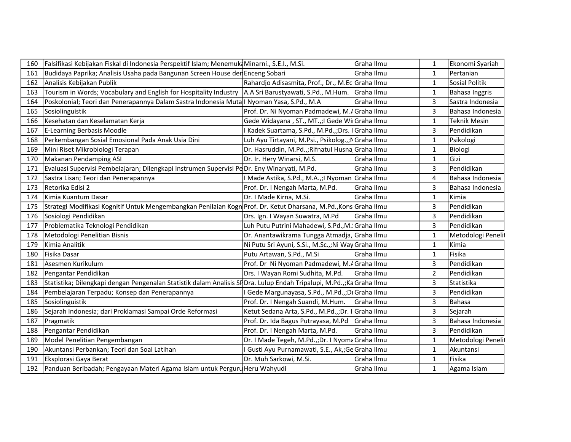| 160 | Falsifikasi Kebijakan Fiskal di Indonesia Perspektif Islam; Menemuk Minarni., S.E.I., M.Si.                         |                                                    | Graha Ilmu | 1              | Ekonomi Syariah     |
|-----|---------------------------------------------------------------------------------------------------------------------|----------------------------------------------------|------------|----------------|---------------------|
| 161 | Budidaya Paprika; Analisis Usaha pada Bangunan Screen House der Enceng Sobari                                       |                                                    | Graha Ilmu | 1              | Pertanian           |
| 162 | Analisis Kebijakan Publik                                                                                           | Rahardjo Adisasmita, Prof., Dr., M.EcGraha Ilmu    |            | $\mathbf{1}$   | Sosial Politik      |
| 163 | Tourism in Words; Vocabulary and English for Hospitality Industry   A.A Sri Barustyawati, S.Pd., M.Hum.             |                                                    | Graha Ilmu | 1              | Bahasa Inggris      |
| 164 | Poskolonial; Teori dan Penerapannya Dalam Sastra Indonesia Muta I Nyoman Yasa, S.Pd., M.A                           |                                                    | Graha Ilmu | 3              | Sastra Indonesia    |
| 165 | Sosiolinguistik                                                                                                     | Prof. Dr. Ni Nyoman Padmadewi, M.4Graha Ilmu       |            | 3              | Bahasa Indonesia    |
| 166 | Kesehatan dan Keselamatan Kerja                                                                                     | Gede Widayana, ST., MT.,;I Gede Wil Graha Ilmu     |            | $\mathbf{1}$   | <b>Teknik Mesin</b> |
| 167 | E-Learning Berbasis Moodle                                                                                          | Kadek Suartama, S.Pd., M.Pd.,;Drs.   Graha Ilmu    |            | 3              | Pendidikan          |
| 168 | Perkembangan Sosial Emosional Pada Anak Usia Dini                                                                   | Luh Ayu Tirtayani, M.Psi., Psikolog.,;NGraha Ilmu  |            | $\mathbf{1}$   | Psikologi           |
| 169 | Mini Riset Mikrobiologi Terapan                                                                                     | Dr. Hasruddin, M.Pd.,;Rifnatul Husna Graha Ilmu    |            | $\mathbf{1}$   | Biologi             |
| 170 | Makanan Pendamping ASI                                                                                              | Dr. Ir. Hery Winarsi, M.S.                         | Graha Ilmu | $\mathbf{1}$   | Gizi                |
| 171 | Evaluasi Supervisi Pembelajaran; Dilengkapi Instrumen Supervisi PeDr. Eny Winaryati, M.Pd.                          |                                                    | Graha Ilmu | 3              | Pendidikan          |
| 172 | Sastra Lisan; Teori dan Penerapannya                                                                                | I Made Astika, S.Pd., M.A.,;I Nyoman Graha Ilmu    |            | 4              | Bahasa Indonesia    |
| 173 | Retorika Edisi 2                                                                                                    | Prof. Dr. I Nengah Marta, M.Pd.                    | Graha Ilmu | 3              | Bahasa Indonesia    |
| 174 | Kimia Kuantum Dasar                                                                                                 | Dr. I Made Kirna, M.Si.                            | Graha Ilmu | $\mathbf{1}$   | Kimia               |
| 175 | Strategi Modifikasi Kognitif Untuk Mengembangkan Penilaian Kogn Prof. Dr. Ketut Dharsana, M.Pd.,Kons Graha Ilmu     |                                                    |            | 3              | Pendidikan          |
| 176 | Sosiologi Pendidikan                                                                                                | Drs. Ign. I Wayan Suwatra, M.Pd                    | Graha Ilmu | 3              | Pendidikan          |
| 177 | Problematika Teknologi Pendidikan                                                                                   | Luh Putu Putrini Mahadewi, S.Pd., M. Graha Ilmu    |            | 3              | Pendidikan          |
| 178 | Metodologi Penelitian Bisnis                                                                                        | Dr. Anantawikrama Tungga Atmadja, Graha Ilmu       |            | 1              | Metodologi Penelit  |
| 179 | Kimia Analitik                                                                                                      | Ni Putu Sri Ayuni, S.Si., M.Sc.,;Ni Way Graha Ilmu |            | $\mathbf{1}$   | Kimia               |
| 180 | Fisika Dasar                                                                                                        | Putu Artawan, S.Pd., M.Si                          | Graha Ilmu | $\mathbf{1}$   | Fisika              |
| 181 | Asesmen Kurikulum                                                                                                   | Prof. Dr Ni Nyoman Padmadewi, M.4 Graha Ilmu       |            | 3              | Pendidikan          |
| 182 | Pengantar Pendidikan                                                                                                | Drs. I Wayan Romi Sudhita, M.Pd.                   | Graha Ilmu | $\overline{2}$ | Pendidikan          |
| 183 | Statistika; Dilengkapi dengan Pengenalan Statistik dalam Analisis SHDra. Lulup Endah Tripalupi, M.Pd.,;KaGraha Ilmu |                                                    |            | 3              | Statistika          |
| 184 | Pembelajaran Terpadu; Konsep dan Penerapannya                                                                       | Gede Margunayasa, S.Pd., M.Pd.,;Di Graha Ilmu      |            | $\overline{3}$ | Pendidikan          |
| 185 | Sosiolinguistik                                                                                                     | Prof. Dr. I Nengah Suandi, M.Hum.                  | Graha Ilmu | 3              | Bahasa              |
| 186 | Sejarah Indonesia; dari Proklamasi Sampai Orde Reformasi                                                            | Ketut Sedana Arta, S.Pd., M.Pd.,;Dr. I Graha Ilmu  |            | 3              | Sejarah             |
| 187 | Pragmatik                                                                                                           | Prof. Dr. Ida Bagus Putrayasa, M.Pd                | Graha Ilmu | 3              | Bahasa Indonesia    |
| 188 | Pengantar Pendidikan                                                                                                | Prof. Dr. I Nengah Marta, M.Pd.                    | Graha Ilmu | 3              | Pendidikan          |
| 189 | Model Penelitian Pengembangan                                                                                       | Dr. I Made Tegeh, M.Pd.,;Dr. I Nyoma Graha Ilmu    |            | $\mathbf{1}$   | Metodologi Penelit  |
| 190 | Akuntansi Perbankan; Teori dan Soal Latihan                                                                         | Gusti Ayu Purnamawati, S.E., Ak,; Ge Graha Ilmu    |            | $\mathbf{1}$   | Akuntansi           |
| 191 | Eksplorasi Gaya Berat                                                                                               | Dr. Muh Sarkowi, M.Si.                             | Graha Ilmu | $\mathbf{1}$   | Fisika              |
| 192 | Panduan Beribadah; Pengayaan Materi Agama Islam untuk Perguru Heru Wahyudi                                          |                                                    | Graha Ilmu | 1              | Agama Islam         |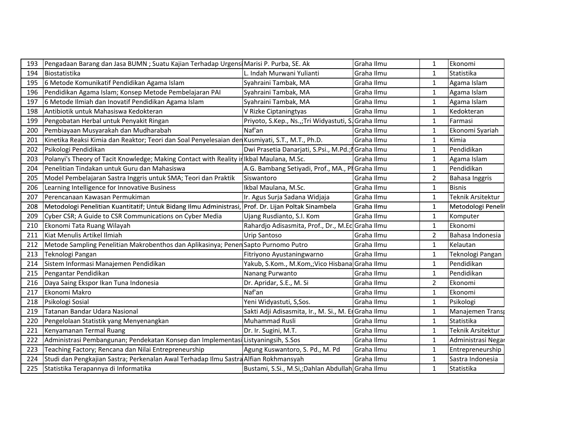| 193 | Pengadaan Barang dan Jasa BUMN ; Suatu Kajian Terhadap Urgensi Marisi P. Purba, SE. Ak              |                                                   | Graha Ilmu | 1              | Ekonomi            |
|-----|-----------------------------------------------------------------------------------------------------|---------------------------------------------------|------------|----------------|--------------------|
| 194 | Biostatistika                                                                                       | L. Indah Murwani Yulianti                         | Graha Ilmu | 1              | Statistika         |
| 195 | 6 Metode Komunikatif Pendidikan Agama Islam                                                         | Syahraini Tambak, MA                              | Graha Ilmu | $\mathbf{1}$   | Agama Islam        |
| 196 | Pendidikan Agama Islam; Konsep Metode Pembelajaran PAI                                              | Syahraini Tambak, MA                              | Graha Ilmu | $\mathbf{1}$   | Agama Islam        |
| 197 | 6 Metode Ilmiah dan Inovatif Pendidikan Agama Islam                                                 | Syahraini Tambak, MA                              | Graha Ilmu | 1              | Agama Islam        |
| 198 | Antibiotik untuk Mahasiswa Kedokteran                                                               | V Rizke Ciptaningtyas                             | Graha Ilmu | 1              | Kedokteran         |
| 199 | Pengobatan Herbal untuk Penyakit Ringan                                                             | Priyoto, S.Kep., Ns.,;Tri Widyastuti, S           | Graha Ilmu | 1              | Farmasi            |
| 200 | Pembiayaan Musyarakah dan Mudharabah                                                                | Naf'an                                            | Graha Ilmu | 1              | Ekonomi Syariah    |
| 201 | Kinetika Reaksi Kimia dan Reaktor; Teori dan Soal Penyelesaian den Kusmiyati, S.T., M.T., Ph.D.     |                                                   | Graha Ilmu | $\mathbf{1}$   | Kimia              |
| 202 | Psikologi Pendidikan                                                                                | Dwi Prasetia Danarjati, S.Psi., M.Pd.; Graha Ilmu |            | $\mathbf{1}$   | Pendidikan         |
| 203 | Polanyi's Theory of Tacit Knowledge; Making Contact with Reality in Ikbal Maulana, M.Sc.            |                                                   | Graha Ilmu | $\mathbf{1}$   | Agama Islam        |
| 204 | Penelitian Tindakan untuk Guru dan Mahasiswa                                                        | A.G. Bambang Setiyadi, Prof., MA., PlGraha Ilmu   |            | $\mathbf{1}$   | Pendidikan         |
| 205 | Model Pembelajaran Sastra Inggris untuk SMA; Teori dan Praktik                                      | Siswantoro                                        | Graha Ilmu | $\overline{2}$ | Bahasa Inggris     |
| 206 | Learning Intelligence for Innovative Business                                                       | Ikbal Maulana, M.Sc.                              | Graha Ilmu | $\mathbf{1}$   | <b>Bisnis</b>      |
| 207 | Perencanaan Kawasan Permukiman                                                                      | Ir. Agus Surja Sadana Widjaja                     | Graha Ilmu | $\mathbf{1}$   | Teknik Arsitektur  |
| 208 | Metodologi Penelitian Kuantitatif; Untuk Bidang Ilmu Administrasi, Prof. Dr. Lijan Poltak Sinambela |                                                   | Graha Ilmu | $\mathbf{1}$   | Metodologi Penelit |
| 209 | Cyber CSR; A Guide to CSR Communications on Cyber Media                                             | Ujang Rusdianto, S.I. Kom                         | Graha Ilmu | 1              | Komputer           |
| 210 | Ekonomi Tata Ruang Wilayah                                                                          | Rahardjo Adisasmita, Prof., Dr., M.EcGraha Ilmu   |            | 1              | Ekonomi            |
| 211 | Kiat Menulis Artikel Ilmiah                                                                         | Urip Santoso                                      | Graha Ilmu | 2              | Bahasa Indonesia   |
| 212 | Metode Sampling Penelitian Makrobenthos dan Aplikasinya; Penen Sapto Purnomo Putro                  |                                                   | Graha Ilmu | 1              | Kelautan           |
| 213 | Teknologi Pangan                                                                                    | Fitriyono Ayustaningwarno                         | Graha Ilmu | 1              | Teknologi Pangan   |
| 214 | Sistem Informasi Manajemen Pendidikan                                                               | Yakub, S.Kom., M.Kom,;Vico Hisbana Graha Ilmu     |            | $\mathbf{1}$   | Pendidikan         |
| 215 | Pengantar Pendidikan                                                                                | Nanang Purwanto                                   | Graha Ilmu | $\mathbf{1}$   | Pendidikan         |
| 216 | Daya Saing Ekspor Ikan Tuna Indonesia                                                               | Dr. Apridar, S.E., M. Si                          | Graha Ilmu | $\overline{2}$ | Ekonomi            |
| 217 | Ekonomi Makro                                                                                       | Naf'an                                            | Graha Ilmu | $\mathbf{1}$   | Ekonomi            |
| 218 | Psikologi Sosial                                                                                    | Yeni Widyastuti, S,Sos.                           | Graha Ilmu | $\mathbf{1}$   | Psikologi          |
| 219 | Tatanan Bandar Udara Nasional                                                                       | Sakti Adji Adisasmita, Ir., M. Si., M. E          | Graha Ilmu | 1              | Manajemen Transp   |
| 220 | Pengelolaan Statistik yang Menyenangkan                                                             | Muhammad Rusli                                    | Graha Ilmu | 1              | Statistika         |
| 221 | Kenyamanan Termal Ruang                                                                             | Dr. Ir. Sugini, M.T.                              | Graha Ilmu | $\mathbf{1}$   | Teknik Arsitektur  |
| 222 | Administrasi Pembangunan; Pendekatan Konsep dan Implementasi Listyaningsih, S.Sos                   |                                                   | Graha Ilmu | $\mathbf{1}$   | Administrasi Negar |
| 223 | Teaching Factory; Rencana dan Nilai Entrepreneurship                                                | Agung Kuswantoro, S. Pd., M. Pd                   | Graha Ilmu | 1              | Entrepreneurship   |
| 224 | Studi dan Pengkajian Sastra; Perkenalan Awal Terhadap Ilmu Sastra Alfian Rokhmansyah                |                                                   | Graha Ilmu | $\mathbf{1}$   | Sastra Indonesia   |
| 225 | Statistika Terapannya di Informatika                                                                | Bustami, S.Si., M.Si,;Dahlan Abdullah Graha Ilmu  |            | $\mathbf{1}$   | Statistika         |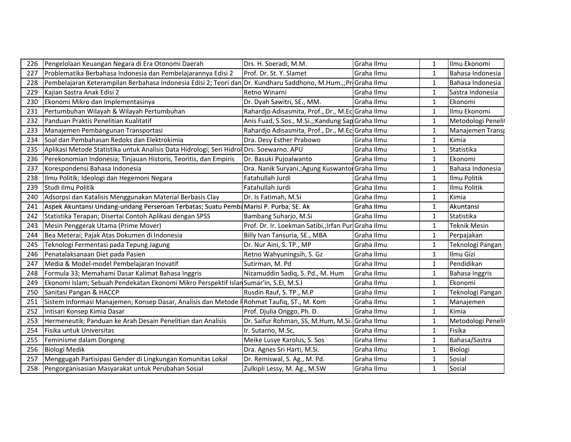| 226 | Pengelolaan Keuangan Negara di Era Otonomi Daerah                                                              | Drs. H. Soeradi, M.M.                               | Graha Ilmu | 1            | Ilmu Ekonomi          |
|-----|----------------------------------------------------------------------------------------------------------------|-----------------------------------------------------|------------|--------------|-----------------------|
| 227 | Problematika Berbahasa Indonesia dan Pembelajarannya Edisi 2                                                   | Prof. Dr. St. Y. Slamet                             | Graha Ilmu | 1            | Bahasa Indonesia      |
| 228 | Pembelajaran Keterampilan Berbahasa Indonesia Edisi 2; Teori dan Dr. Kundharu Saddhono, M.Hum.,;Pri Graha Ilmu |                                                     |            | 1            | Bahasa Indonesia      |
| 229 | Kajian Sastra Anak Edisi 2                                                                                     | Retno Winarni                                       | Graha Ilmu | 1            | Sastra Indonesia      |
| 230 | Ekonomi Mikro dan Implementasinya                                                                              | Dr. Dyah Sawitri, SE., MM.                          | Graha Ilmu | 1            | Ekonomi               |
| 231 | Pertumbuhan Wilayah & Wilayah Pertumbuhan                                                                      | Rahardjo Adisasmita, Prof., Dr., M.EcGraha Ilmu     |            | 1            | Ilmu Ekonomi          |
| 232 | Panduan Praktis Penelitian Kualitatif                                                                          | Anis Fuad, S.Sos., M.Si.,; Kandung Sap Graha Ilmu   |            | 1            | Metodologi Penelit    |
| 233 | Manajemen Pembangunan Transportasi                                                                             | Rahardjo Adisasmita, Prof., Dr., M.EcGraha Ilmu     |            | 1            | Manajemen Transp      |
| 234 | Soal dan Pembahasan Redoks dan Elektrokimia                                                                    | Dra. Desy Esther Prabowo                            | Graha Ilmu | $\mathbf{1}$ | Kimia                 |
| 235 | Aplikasi Metode Statistika untuk Analisis Data Hidrologi; Seri Hidrol Drs. Soewarno. APU                       |                                                     | Graha Ilmu | $\mathbf{1}$ | Statistika            |
| 236 | Perekonomian Indonesia; Tinjauan Historis, Teoritis, dan Empiris                                               | Dr. Basuki Pujoalwanto                              | Graha Ilmu | $\mathbf{1}$ | Ekonomi               |
| 237 | Korespondensi Bahasa Indonesia                                                                                 | Dra. Nanik Suryani,;Agung Kuswantor Graha Ilmu      |            | 1            | Bahasa Indonesia      |
| 238 | Ilmu Politik; Ideologi dan Hegemoni Negara                                                                     | Fatahullah Jurdi                                    | Graha Ilmu | 1            | Ilmu Politik          |
| 239 | Studi Ilmu Politik                                                                                             | Fatahullah Jurdi                                    | Graha Ilmu | $\mathbf{1}$ | Ilmu Politik          |
| 240 | Adsorpsi dan Katalisis Menggunakan Material Berbasis Clay                                                      | Dr. Is Fatimah, M.Si                                | Graha Ilmu | $\mathbf{1}$ | Kimia                 |
| 241 | Aspek Akuntansi Undang-undang Perseroan Terbatas; Suatu Pemba Marisi P. Purba, SE. Ak                          |                                                     | Graha Ilmu | 1            | Akuntansi             |
| 242 | Statistika Terapan; Disertai Contoh Aplikasi dengan SPSS                                                       | Bambang Suharjo, M.Si                               | Graha Ilmu | 1            | Statistika            |
| 243 | Mesin Penggerak Utama (Prime Mover)                                                                            | Prof. Dr. Ir. Loekman Satibi,; Irfan Pur Graha Ilmu |            | 1            | <b>Teknik Mesin</b>   |
| 244 | Bea Meterai; Pajak Atas Dokumen di Indonesia                                                                   | Billy Ivan Tansuria, SE., MBA                       | Graha Ilmu | 1            | Perpajakan            |
| 245 | Teknologi Fermentasi pada Tepung Jagung                                                                        | Dr. Nur Aini, S. TP., MP                            | Graha Ilmu | 1            | Teknologi Pangan      |
| 246 | Penatalaksanaan Diet pada Pasien                                                                               | Retno Wahyuningsih, S. Gz                           | Graha Ilmu | $\mathbf{1}$ | Ilmu Gizi             |
| 247 | Media & Model-model Pembelajaran Inovatif                                                                      | Sutirman, M. Pd                                     | Graha Ilmu | $\mathbf 1$  | Pendidikan            |
| 248 | Formula 33; Memahami Dasar Kalimat Bahasa Inggris                                                              | Nizamuddin Sadiq, S. Pd., M. Hum                    | Graha Ilmu | 1            | <b>Bahasa Inggris</b> |
| 249 | Ekonomi Islam; Sebuah Pendekatan Ekonomi Mikro Perspektif Islan Sumar'in, S.EI, M.S.I                          |                                                     | Graha Ilmu | 1            | Ekonomi               |
| 250 | Sanitasi Pangan & HACCP                                                                                        | Rusdin Rauf, S. TP., M.P                            | Graha Ilmu | 1            | Teknologi Pangan      |
| 251 | Sistem Informasi Manajemen; Konsep Dasar, Analisis dan Metode FRohmat Taufiq, ST., M. Kom                      |                                                     | Graha Ilmu | 1            | Manajemen             |
| 252 | Intisari Konsep Kimia Dasar                                                                                    | Prof. Djulia Onggo, Ph. D.                          | Graha Ilmu | 1            | Kimia                 |
| 253 | Hermeneutik; Panduan ke Arah Desain Penelitian dan Analisis                                                    | Dr. Saifur Rohman, SS, M.Hum, M.Si.                 | Graha Ilmu | 1            | Metodologi Penelit    |
| 254 | Fisika untuk Universitas                                                                                       | Ir. Sutarno, M.Sc.                                  | Graha Ilmu | $\mathbf{1}$ | Fisika                |
| 255 | Feminisme dalam Dongeng                                                                                        | Meike Lusye Karolus, S. Sos                         | Graha Ilmu | 1            | Bahasa/Sastra         |
| 256 | Biologi Medik                                                                                                  | Dra. Agnes Sri Harti, M.Si.                         | Graha Ilmu | 1            | Biologi               |
| 257 | Menggugah Partisipasi Gender di Lingkungan Komunitas Lokal                                                     | Dr. Remiswal, S. Ag., M. Pd.                        | Graha Ilmu | $\mathbf{1}$ | Sosial                |
| 258 | Pengorganisasian Masyarakat untuk Perubahan Sosial                                                             | Zulkipli Lessy, M. Ag., M.SW                        | Graha Ilmu | $\mathbf 1$  | Sosial                |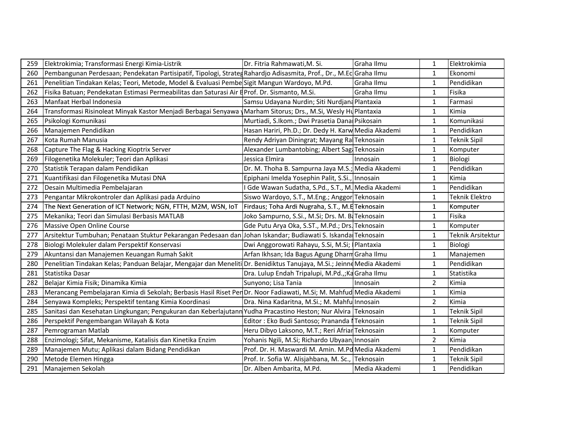| 259 | Elektrokimia; Transformasi Energi Kimia-Listrik                                                                        | Dr. Fitria Rahmawati, M. Si.                        | Graha Ilmu    | 1              | Elektrokimia             |
|-----|------------------------------------------------------------------------------------------------------------------------|-----------------------------------------------------|---------------|----------------|--------------------------|
| 260 | Pembangunan Perdesaan; Pendekatan Partisipatif, Tipologi, Strateg Rahardjo Adisasmita, Prof., Dr., M.Ec Graha Ilmu     |                                                     |               | $\mathbf{1}$   | Ekonomi                  |
| 261 | Penelitian Tindakan Kelas; Teori, Metode, Model & Evaluasi Pembe Sigit Mangun Wardoyo, M.Pd.                           |                                                     | Graha Ilmu    | $\mathbf{1}$   | Pendidikan               |
| 262 | Fisika Batuan; Pendekatan Estimasi Permeabilitas dan Saturasi Air E Prof. Dr. Sismanto, M.Si.                          |                                                     | Graha Ilmu    | $\mathbf{1}$   | Fisika                   |
| 263 | Manfaat Herbal Indonesia                                                                                               | Samsu Udayana Nurdin; Siti Nurdjana Plantaxia       |               | $\mathbf{1}$   | Farmasi                  |
| 264 | Transformasi Risinoleat Minyak Kastor Menjadi Berbagai Senyawa  Marham Sitorus; Drs., M.Si, Wesly Hu Plantaxia         |                                                     |               | $\mathbf{1}$   | Kimia                    |
| 265 | Psikologi Komunikasi                                                                                                   | Murtiadi, S.Ikom.; Dwi Prasetia Dana Psikosain      |               | $\mathbf{1}$   | Komunikasi               |
| 266 | Manajemen Pendidikan                                                                                                   | Hasan Hariri, Ph.D.; Dr. Dedy H. Karw Media Akademi |               | $\mathbf{1}$   | Pendidikan               |
| 267 | Kota Rumah Manusia                                                                                                     | Rendy Adriyan Diningrat; Mayang RalTeknosain        |               | $\mathbf{1}$   | <b>Teknik Sipil</b>      |
| 268 | Capture The Flag & Hacking Kioptrix Server                                                                             | Alexander Lumbantobing; Albert Sag Teknosain        |               | $\mathbf{1}$   | Komputer                 |
| 269 | Filogenetika Molekuler; Teori dan Aplikasi                                                                             | Jessica Elmira                                      | Innosain      | $\mathbf{1}$   | Biologi                  |
| 270 | Statistik Terapan dalam Pendidikan                                                                                     | Dr. M. Thoha B. Sampurna Jaya M.S.; Media Akademi   |               | $\mathbf{1}$   | Pendidikan               |
| 271 | Kuantifikasi dan Filogenetika Mutasi DNA                                                                               | Epiphani Imelda Yosephin Palit, S.Si., Innosain     |               | $\mathbf{1}$   | Kimia                    |
| 272 | Desain Multimedia Pembelajaran                                                                                         | I Gde Wawan Sudatha, S.Pd., S.T., M. Media Akademi  |               | $\mathbf{1}$   | Pendidikan               |
| 273 | Pengantar Mikrokontroler dan Aplikasi pada Arduino                                                                     | Siswo Wardoyo, S.T., M.Eng.; Anggor Teknosain       |               | $\mathbf{1}$   | Teknik Elektro           |
| 274 | The Next Generation of ICT Network; NGN, FTTH, M2M, WSN, IoT                                                           | Firdaus; Toha Ardi Nugraha, S.T., M.ETeknosain      |               | $\mathbf{1}$   | Komputer                 |
| 275 | Mekanika; Teori dan Simulasi Berbasis MATLAB                                                                           | Joko Sampurno, S.Si., M.Si; Drs. M. B. Teknosain    |               | $\mathbf{1}$   | Fisika                   |
| 276 | Massive Open Online Course                                                                                             | Gde Putu Arya Oka, S.ST., M.Pd.; Drs. Teknosain     |               | $\mathbf{1}$   | Komputer                 |
| 277 | Arsitektur Tumbuhan; Penataan Stuktur Pekarangan Pedesaan dan                                                          | Johan Iskandar; Budiawati S. Iskanda Teknosain      |               | $\mathbf{1}$   | <b>Teknik Arsitektur</b> |
| 278 | Biologi Molekuler dalam Perspektif Konservasi                                                                          | Dwi Anggorowati Rahayu, S.Si, M.Si; Plantaxia       |               | $\mathbf{1}$   | Biologi                  |
| 279 | Akuntansi dan Manajemen Keuangan Rumah Sakit                                                                           | Arfan Ikhsan; Ida Bagus Agung Dharm Graha Ilmu      |               | $\mathbf{1}$   | Manajemen                |
| 280 | Penelitian Tindakan Kelas; Panduan Belajar, Mengajar dan Meneliti Dr. Benidiktus Tanujaya, M.Si.; Jeinne Media Akademi |                                                     |               | $\mathbf{1}$   | Pendidikan               |
| 281 | Statistika Dasar                                                                                                       | Dra. Lulup Endah Tripalupi, M.Pd.,;Ka Graha Ilmu    |               | $\mathbf{1}$   | Statistika               |
| 282 | Belajar Kimia Fisik; Dinamika Kimia                                                                                    | Sunyono; Lisa Tania                                 | Innosain      | $\overline{2}$ | Kimia                    |
| 283 | Merancang Pembelajaran Kimia di Sekolah; Berbasis Hasil Riset Per Dr. Noor Fadiawati, M.Si; M. Mahfud Media Akademi    |                                                     |               | $\mathbf{1}$   | Kimia                    |
| 284 | Senyawa Kompleks; Perspektif tentang Kimia Koordinasi                                                                  | Dra. Nina Kadaritna, M.Si.; M. Mahfu Innosain       |               | $\overline{2}$ | Kimia                    |
| 285 | Sanitasi dan Kesehatan Lingkungan; Pengukuran dan Keberlajutann Yudha Pracastino Heston; Nur Alvira Teknosain          |                                                     |               | $\mathbf{1}$   | <b>Teknik Sipil</b>      |
| 286 | Perspektif Pengembangan Wilayah & Kota                                                                                 | Editor : Eko Budi Santoso; Prananda   Teknosain     |               | $\mathbf{1}$   | <b>Teknik Sipil</b>      |
| 287 | Pemrograman Matlab                                                                                                     | Heru Dibyo Laksono, M.T.; Reri Afriar Teknosain     |               | $\mathbf{1}$   | Komputer                 |
| 288 | Enzimologi; Sifat, Mekanisme, Katalisis dan Kinetika Enzim                                                             | Yohanis Ngili, M.Si; Richardo Ubyaan Innosain       |               | $\overline{2}$ | Kimia                    |
| 289 | Manajemen Mutu; Aplikasi dalam Bidang Pendidikan                                                                       | Prof. Dr. H. Maswardi M. Amin. M.Pd Media Akademi   |               | $\mathbf{1}$   | Pendidikan               |
| 290 | Metode Elemen Hingga                                                                                                   | Prof. Ir. Sofia W. Alisjahbana, M. Sc., Teknosain   |               | $\mathbf{1}$   | <b>Teknik Sipil</b>      |
| 291 | Manajemen Sekolah                                                                                                      | Dr. Alben Ambarita, M.Pd.                           | Media Akademi | $\mathbf{1}$   | Pendidikan               |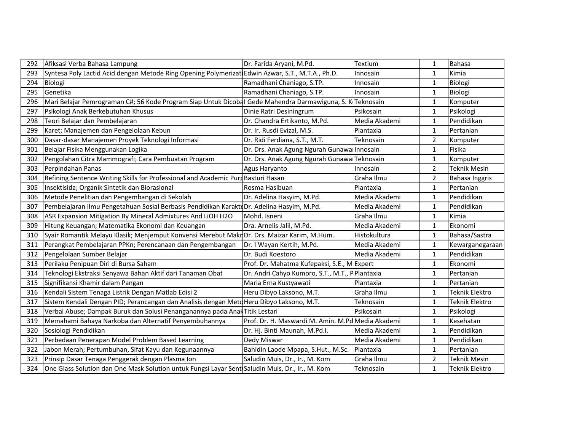| 292 | Afiksasi Verba Bahasa Lampung                                                                             | Dr. Farida Aryani, M.Pd.                          | Textium       | 1              | <b>Bahasa</b>         |
|-----|-----------------------------------------------------------------------------------------------------------|---------------------------------------------------|---------------|----------------|-----------------------|
| 293 | Syntesa Poly Lactid Acid dengan Metode Ring Opening Polymerizat                                           | Edwin Azwar, S.T., M.T.A., Ph.D.                  | Innosain      | 1              | Kimia                 |
| 294 | Biologi                                                                                                   | Ramadhani Chaniago, S.TP.                         | Innosain      | 1              | Biologi               |
| 295 | Genetika                                                                                                  | Ramadhani Chaniago, S.TP.                         | Innosain      | 1              | Biologi               |
| 296 | Mari Belajar Pemrograman C#; 56 Kode Program Siap Untuk Dicobal Gede Mahendra Darmawiguna, S. K Teknosain |                                                   |               | 1              | Komputer              |
| 297 | Psikologi Anak Berkebutuhan Khusus                                                                        | Dinie Ratri Desiningrum                           | Psikosain     | 1              | Psikologi             |
| 298 | Teori Belajar dan Pembelajaran                                                                            | Dr. Chandra Ertikanto, M.Pd.                      | Media Akademi | 1              | Pendidikan            |
| 299 | Karet; Manajemen dan Pengelolaan Kebun                                                                    | Dr. Ir. Rusdi Evizal, M.S.                        | Plantaxia     | $\mathbf{1}$   | Pertanian             |
| 300 | Dasar-dasar Manajemen Proyek Teknologi Informasi                                                          | Dr. Ridi Ferdiana, S.T., M.T.                     | Teknosain     | $\overline{2}$ | Komputer              |
| 301 | Belajar Fisika Menggunakan Logika                                                                         | Dr. Drs. Anak Agung Ngurah Gunawa Innosain        |               | 1              | Fisika                |
| 302 | Pengolahan Citra Mammografi; Cara Pembuatan Program                                                       | Dr. Drs. Anak Agung Ngurah Gunawa Teknosain       |               | 1              | Komputer              |
| 303 | Perpindahan Panas                                                                                         | Agus Haryanto                                     | Innosain      | $\overline{2}$ | <b>Teknik Mesin</b>   |
| 304 | Refining Sentence Writing Skills for Professional and Academic Purd Basturi Hasan                         |                                                   | Graha Ilmu    | $\overline{2}$ | <b>Bahasa Inggris</b> |
| 305 | Insektisida; Organik Sintetik dan Biorasional                                                             | Rosma Hasibuan                                    | Plantaxia     | 1              | Pertanian             |
| 306 | Metode Penelitian dan Pengembangan di Sekolah                                                             | Dr. Adelina Hasyim, M.Pd.                         | Media Akademi | 1              | Pendidikan            |
| 307 | Pembelajaran Ilmu Pengetahuan Sosial Berbasis Pendidikan Karaktd Dr. Adelina Hasyim, M.Pd.                |                                                   | Media Akademi | 1              | Pendidikan            |
| 308 | ASR Expansion Mitigation By Mineral Admixtures And LiOH H2O                                               | Mohd. Isneni                                      | Graha Ilmu    | 1              | Kimia                 |
| 309 | Hitung Keuangan; Matematika Ekonomi dan Keuangan                                                          | Dra. Arnelis Jalil, M.Pd.                         | Media Akademi | $\mathbf{1}$   | Ekonomi               |
| 310 | Syair Romantik Melayu Klasik; Menjemput Konvensi Merebut MakrOr. Drs. Maizar Karim, M.Hum.                |                                                   | Histokultura  | 1              | Bahasa/Sastra         |
| 311 | Perangkat Pembelajaran PPKn; Perencanaan dan Pengembangan                                                 | Dr. I Wayan Kertih, M.Pd.                         | Media Akademi | 1              | Kewarganegaraan       |
| 312 | Pengelolaan Sumber Belajar                                                                                | Dr. Budi Koestoro                                 | Media Akademi | 1              | Pendidikan            |
| 313 | Perilaku Penipuan Diri di Bursa Saham                                                                     | Prof. Dr. Mahatma Kufepaksi, S.E., MExpert        |               | $\mathbf{1}$   | Ekonomi               |
| 314 | Teknologi Ekstraksi Senyawa Bahan Aktif dari Tanaman Obat                                                 | Dr. Andri Cahyo Kumoro, S.T., M.T., P Plantaxia   |               | 1              | Pertanian             |
| 315 | Signifikansi Khamir dalam Pangan                                                                          | Maria Erna Kustyawati                             | Plantaxia     | $\mathbf{1}$   | Pertanian             |
| 316 | Kendali Sistem Tenaga Listrik Dengan Matlab Edisi 2                                                       | Heru Dibyo Laksono, M.T.                          | Graha Ilmu    | 1              | Teknik Elektro        |
| 317 | Sistem Kendali Dengan PID; Perancangan dan Analisis dengan Meto Heru Dibyo Laksono, M.T.                  |                                                   | Teknosain     | 1              | <b>Teknik Elektro</b> |
| 318 | Verbal Abuse; Dampak Buruk dan Solusi Penanganannya pada Anak                                             | <b>Titik Lestari</b>                              | Psikosain     | $\mathbf{1}$   | Psikologi             |
| 319 | Memahami Bahaya Narkoba dan Alternatif Penyembuhannya                                                     | Prof. Dr. H. Maswardi M. Amin. M.Pd Media Akademi |               | $\mathbf{1}$   | Kesehatan             |
| 320 | Sosiologi Pendidikan                                                                                      | Dr. Hj. Binti Maunah, M.Pd.I.                     | Media Akademi | $\mathbf{1}$   | Pendidikan            |
| 321 | Perbedaan Penerapan Model Problem Based Learning                                                          | Dedy Miswar                                       | Media Akademi | 1              | Pendidikan            |
| 322 | Jabon Merah; Pertumbuhan, Sifat Kayu dan Kegunaannya                                                      | Bahidin Laode Mpapa, S.Hut., M.Sc.                | Plantaxia     | 1              | Pertanian             |
| 323 | Prinsip Dasar Tenaga Penggerak dengan Plasma Ion                                                          | Saludin Muis, Dr., Ir., M. Kom                    | Graha Ilmu    | $\overline{2}$ | Teknik Mesin          |
| 324 | One Glass Solution dan One Mask Solution untuk Fungsi Layar Sent Saludin Muis, Dr., Ir., M. Kom           |                                                   | Teknosain     | 1              | Teknik Elektro        |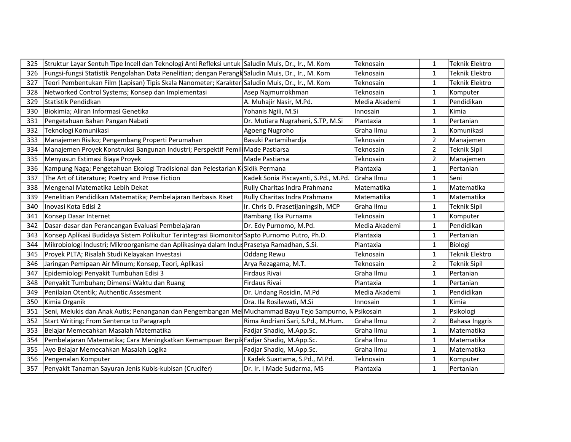| 325 | Struktur Layar Sentuh Tipe Incell dan Teknologi Anti Refleksi untuk Saludin Muis, Dr., Ir., M. Kom      |                                      | Teknosain     | $\mathbf{1}$   | Teknik Elektro        |
|-----|---------------------------------------------------------------------------------------------------------|--------------------------------------|---------------|----------------|-----------------------|
| 326 | Fungsi-fungsi Statistik Pengolahan Data Penelitian; dengan Perangk Saludin Muis, Dr., Ir., M. Kom       |                                      | Teknosain     | $\mathbf{1}$   | Teknik Elektro        |
| 327 | Teori Pembentukan Film (Lapisan) Tipis Skala Nanometer; Karakter Saludin Muis, Dr., Ir., M. Kom         |                                      | Teknosain     | $\mathbf{1}$   | <b>Teknik Elektro</b> |
| 328 | Networked Control Systems; Konsep dan Implementasi                                                      | Asep Najmurrokhman                   | Teknosain     | 1              | Komputer              |
| 329 | Statistik Pendidkan                                                                                     | A. Muhajir Nasir, M.Pd.              | Media Akademi | 1              | Pendidikan            |
| 330 | Biokimia; Aliran Informasi Genetika                                                                     | Yohanis Ngili, M.Si                  | Innosain      | 1              | Kimia                 |
| 331 | Pengetahuan Bahan Pangan Nabati                                                                         | Dr. Mutiara Nugraheni, S.TP, M.Si    | Plantaxia     | 1              | Pertanian             |
| 332 | Teknologi Komunikasi                                                                                    | Agoeng Nugroho                       | Graha Ilmu    | 1              | Komunikasi            |
| 333 | Manajemen Risiko; Pengembang Properti Perumahan                                                         | Basuki Partamihardja                 | Teknosain     | $\overline{2}$ | Manajemen             |
| 334 | Manajemen Proyek Konstruksi Bangunan Industri; Perspektif Pemil Made Pastiarsa                          |                                      | Teknosain     | $\overline{2}$ | <b>Teknik Sipil</b>   |
| 335 | Menyusun Estimasi Biaya Proyek                                                                          | Made Pastiarsa                       | Teknosain     | $\overline{2}$ | Manajemen             |
| 336 | Kampung Naga; Pengetahuan Ekologi Tradisional dan Pelestarian K Sidik Permana                           |                                      | Plantaxia     | 1              | Pertanian             |
| 337 | The Art of Literature; Poetry and Prose Fiction                                                         | Kadek Sonia Piscayanti, S.Pd., M.Pd. | Graha Ilmu    | $\mathbf{1}$   | Seni                  |
| 338 | Mengenal Matematika Lebih Dekat                                                                         | Rully Charitas Indra Prahmana        | Matematika    | 1              | Matematika            |
| 339 | Penelitian Pendidikan Matematika; Pembelajaran Berbasis Riset                                           | Rully Charitas Indra Prahmana        | Matematika    | 1              | Matematika            |
| 340 | Inovasi Kota Edisi 2                                                                                    | Ir. Chris D. Prasetijaningsih, MCP   | Graha Ilmu    | $\mathbf{1}$   | <b>Teknik Sipil</b>   |
| 341 | Konsep Dasar Internet                                                                                   | Bambang Eka Purnama                  | Teknosain     | $\mathbf{1}$   | Komputer              |
| 342 | Dasar-dasar dan Perancangan Evaluasi Pembelajaran                                                       | Dr. Edy Purnomo, M.Pd.               | Media Akademi | 1              | Pendidikan            |
| 343 | Konsep Aplikasi Budidaya Sistem Polikultur Terintegrasi Biomoniton Sapto Purnomo Putro, Ph.D.           |                                      | Plantaxia     | 1              | Pertanian             |
| 344 | Mikrobiologi Industri; Mikroorganisme dan Aplikasinya dalam Indus Prasetya Ramadhan, S.Si.              |                                      | Plantaxia     | $\mathbf{1}$   | Biologi               |
| 345 | Proyek PLTA; Risalah Studi Kelayakan Investasi                                                          | <b>Oddang Rewu</b>                   | Teknosain     | 1              | Teknik Elektro        |
| 346 | Jaringan Pemipaan Air Minum; Konsep, Teori, Aplikasi                                                    | Arya Rezagama, M.T.                  | Teknosain     | $\overline{a}$ | <b>Teknik Sipil</b>   |
| 347 | Epidemiologi Penyakit Tumbuhan Edisi 3                                                                  | Firdaus Rivai                        | Graha Ilmu    | 1              | Pertanian             |
| 348 | Penyakit Tumbuhan; Dimensi Waktu dan Ruang                                                              | Firdaus Rivai                        | Plantaxia     | $\mathbf{1}$   | Pertanian             |
| 349 | Penilaian Otentik; Authentic Assesment                                                                  | Dr. Undang Rosidin, M.Pd             | Media Akademi | 1              | Pendidikan            |
| 350 | Kimia Organik                                                                                           | Dra. Ila Rosilawati, M.Si            | Innosain      | 1              | Kimia                 |
| 351 | Seni, Melukis dan Anak Autis; Penanganan dan Pengembangan Mel Muchammad Bayu Tejo Sampurno, N Psikosain |                                      |               | 1              | Psikologi             |
| 352 | Start Writing; From Sentence to Paragraph                                                               | Rima Andriani Sari, S.Pd., M.Hum.    | Graha Ilmu    | $\overline{2}$ | Bahasa Inggris        |
| 353 | Belajar Memecahkan Masalah Matematika                                                                   | Fadjar Shadiq, M.App.Sc.             | Graha Ilmu    | 1              | Matematika            |
| 354 | Pembelajaran Matematika; Cara Meningkatkan Kemampuan Berpil Fadjar Shadiq, M.App.Sc.                    |                                      | Graha Ilmu    | 1              | Matematika            |
| 355 | Ayo Belajar Memecahkan Masalah Logika                                                                   | Fadjar Shadiq, M.App.Sc.             | Graha Ilmu    | 1              | Matematika            |
| 356 | Pengenalan Komputer                                                                                     | Kadek Suartama, S.Pd., M.Pd.         | Teknosain     | 1              | Komputer              |
| 357 | Penyakit Tanaman Sayuran Jenis Kubis-kubisan (Crucifer)                                                 | Dr. Ir. I Made Sudarma, MS           | Plantaxia     | 1              | Pertanian             |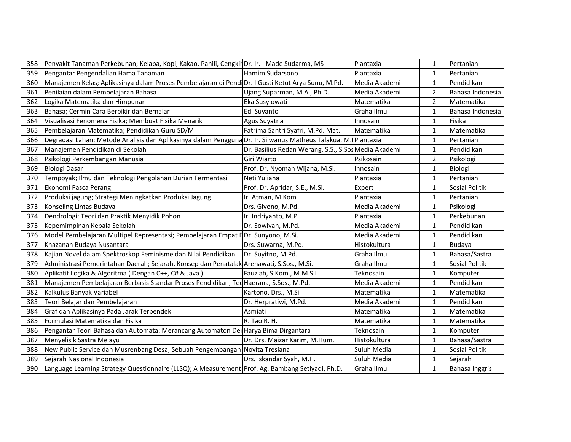| 358 | Penyakit Tanaman Perkebunan; Kelapa, Kopi, Kakao, Panili, Cengkil Dr. Ir. I Made Sudarma, MS                   |                                                      | Plantaxia     | $\mathbf{1}$   | Pertanian        |
|-----|----------------------------------------------------------------------------------------------------------------|------------------------------------------------------|---------------|----------------|------------------|
| 359 | Pengantar Pengendalian Hama Tanaman                                                                            | Hamim Sudarsono                                      | Plantaxia     | $\mathbf 1$    | Pertanian        |
| 360 | Manajemen Kelas; Aplikasinya dalam Proses Pembelajaran di Pendi Dr. I Gusti Ketut Arya Sunu, M.Pd.             |                                                      | Media Akademi | $\mathbf 1$    | Pendidikan       |
| 361 | Penilaian dalam Pembelajaran Bahasa                                                                            | Ujang Suparman, M.A., Ph.D.                          | Media Akademi | 2              | Bahasa Indonesia |
| 362 | Logika Matematika dan Himpunan                                                                                 | Eka Susylowati                                       | Matematika    | $\overline{2}$ | Matematika       |
| 363 | Bahasa; Cermin Cara Berpikir dan Bernalar                                                                      | Edi Suyanto                                          | Graha Ilmu    | $\mathbf{1}$   | Bahasa Indonesia |
| 364 | Visualisasi Fenomena Fisika; Membuat Fisika Menarik                                                            | Agus Suyatna                                         | Innosain      | 1              | Fisika           |
| 365 | Pembelajaran Matematika; Pendidikan Guru SD/MI                                                                 | Fatrima Santri Syafri, M.Pd. Mat.                    | Matematika    | $\mathbf{1}$   | Matematika       |
| 366 | Degradasi Lahan; Metode Analisis dan Aplikasinya dalam Pengguna Dr. Ir. Silwanus Matheus Talakua, M. Plantaxia |                                                      |               | $\mathbf 1$    | Pertanian        |
| 367 | Manajemen Pendidikan di Sekolah                                                                                | Dr. Basilius Redan Werang, S.S., S.Sos Media Akademi |               | $\mathbf{1}$   | Pendidikan       |
| 368 | Psikologi Perkembangan Manusia                                                                                 | Giri Wiarto                                          | Psikosain     | $\overline{2}$ | Psikologi        |
| 369 | Biologi Dasar                                                                                                  | Prof. Dr. Nyoman Wijana, M.Si.                       | Innosain      | $\mathbf{1}$   | Biologi          |
| 370 | Tempoyak; Ilmu dan Teknologi Pengolahan Durian Fermentasi                                                      | Neti Yuliana                                         | Plantaxia     | $\mathbf{1}$   | <b>Pertanian</b> |
| 371 | Ekonomi Pasca Perang                                                                                           | Prof. Dr. Apridar, S.E., M.Si.                       | Expert        | 1              | Sosial Politik   |
| 372 | Produksi jagung; Strategi Meningkatkan Produksi Jagung                                                         | Ir. Atman, M.Kom                                     | Plantaxia     | 1              | <b>Pertanian</b> |
| 373 | Konseling Lintas Budaya                                                                                        | Drs. Giyono, M.Pd.                                   | Media Akademi | 1              | Psikologi        |
| 374 | Dendrologi; Teori dan Praktik Menyidik Pohon                                                                   | Ir. Indriyanto, M.P.                                 | Plantaxia     | $\mathbf{1}$   | Perkebunan       |
| 375 | Kepemimpinan Kepala Sekolah                                                                                    | Dr. Sowiyah, M.Pd.                                   | Media Akademi | $\mathbf{1}$   | Pendidikan       |
| 376 | Model Pembelajaran Multipel Representasi; Pembelajaran Empat F Dr. Sunyono, M.Si.                              |                                                      | Media Akademi | $\mathbf{1}$   | Pendidikan       |
| 377 | Khazanah Budaya Nusantara                                                                                      | Drs. Suwarna, M.Pd.                                  | Histokultura  | $\mathbf 1$    | Budaya           |
| 378 | Kajian Novel dalam Spektroskop Feminisme dan Nilai Pendidikan                                                  | Dr. Suyitno, M.Pd.                                   | Graha Ilmu    | $\mathbf{1}$   | Bahasa/Sastra    |
| 379 | Administrasi Pemerintahan Daerah; Sejarah, Konsep dan Penatalak Arenawati, S.Sos., M.Si.                       |                                                      | Graha Ilmu    | $\mathbf{1}$   | Sosial Politik   |
| 380 | Aplikatif Logika & Algoritma (Dengan C++, C# & Java)                                                           | Fauziah, S.Kom., M.M.S.I                             | Teknosain     | 1              | Komputer         |
| 381 | Manajemen Pembelajaran Berbasis Standar Proses Pendidikan; Ted Haerana, S.Sos., M.Pd.                          |                                                      | Media Akademi | $\mathbf 1$    | Pendidikan       |
| 382 | Kalkulus Banyak Variabel                                                                                       | Kartono. Drs., M.Si                                  | Matematika    | $\mathbf 1$    | Matematika       |
| 383 | Teori Belajar dan Pembelajaran                                                                                 | Dr. Herpratiwi, M.Pd.                                | Media Akademi | 1              | Pendidikan       |
| 384 | Graf dan Aplikasinya Pada Jarak Terpendek                                                                      | Asmiati                                              | Matematika    | $\mathbf{1}$   | Matematika       |
| 385 | Formulasi Matematika dan Fisika                                                                                | R. Tao R. H.                                         | Matematika    | $\mathbf{1}$   | Matematika       |
| 386 | Pengantar Teori Bahasa dan Automata: Merancang Automaton Der Harya Bima Dirgantara                             |                                                      | Teknosain     | $\mathbf{1}$   | Komputer         |
| 387 | Menyelisik Sastra Melayu                                                                                       | Dr. Drs. Maizar Karim, M.Hum.                        | Histokultura  | $\mathbf 1$    | Bahasa/Sastra    |
| 388 | New Public Service dan Musrenbang Desa; Sebuah Pengembangan Novita Tresiana                                    |                                                      | Suluh Media   | $\mathbf 1$    | Sosial Politik   |
| 389 | Sejarah Nasional Indonesia                                                                                     | Drs. Iskandar Syah, M.H.                             | Suluh Media   | $\mathbf{1}$   | Sejarah          |
| 390 | Language Learning Strategy Questionnaire (LLSQ); A Measurement Prof. Ag. Bambang Setiyadi, Ph.D.               |                                                      | Graha Ilmu    |                | Bahasa Inggris   |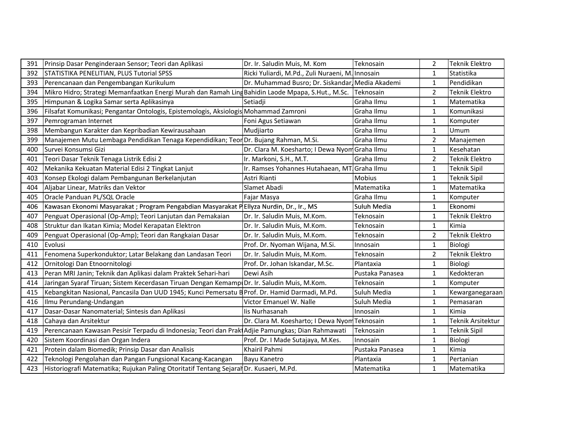| 391 | Prinsip Dasar Penginderaan Sensor; Teori dan Aplikasi                                             | Dr. Ir. Saludin Muis, M. Kom                     | Teknosain       | $\overline{2}$ | Teknik Elektro      |
|-----|---------------------------------------------------------------------------------------------------|--------------------------------------------------|-----------------|----------------|---------------------|
| 392 | STATISTIKA PENELITIAN, PLUS Tutorial SPSS                                                         | Ricki Yuliardi, M.Pd., Zuli Nuraeni, M. Innosain |                 | $\mathbf{1}$   | Statistika          |
| 393 | Perencanaan dan Pengembangan Kurikulum                                                            | Dr. Muhammad Busro; Dr. Siskandar, Media Akademi |                 | $\mathbf{1}$   | Pendidikan          |
| 394 | Mikro Hidro; Strategi Memanfaatkan Energi Murah dan Ramah Ling Bahidin Laode Mpapa, S.Hut., M.Sc. |                                                  | Teknosain       | $\overline{2}$ | Teknik Elektro      |
| 395 | Himpunan & Logika Samar serta Aplikasinya                                                         | Setiadji                                         | Graha Ilmu      | $\mathbf{1}$   | Matematika          |
| 396 | Filsafat Komunikasi; Pengantar Ontologis, Epistemologis, Aksiologis Mohammad Zamroni              |                                                  | Graha Ilmu      | $\mathbf{1}$   | Komunikasi          |
| 397 | Pemrograman Internet                                                                              | Foni Agus Setiawan                               | Graha Ilmu      | $\mathbf{1}$   | Komputer            |
| 398 | Membangun Karakter dan Kepribadian Kewirausahaan                                                  | Mudjiarto                                        | Graha Ilmu      | $\mathbf{1}$   | Umum                |
| 399 | Manajemen Mutu Lembaga Pendidikan Tenaga Kependidikan; Teor Dr. Bujang Rahman, M.Si.              |                                                  | Graha Ilmu      | $\overline{2}$ | Manajemen           |
| 400 | Survei Konsumsi Gizi                                                                              | Dr. Clara M. Koesharto; I Dewa Nyom Graha Ilmu   |                 | $\mathbf{1}$   | Kesehatan           |
| 401 | Teori Dasar Teknik Tenaga Listrik Edisi 2                                                         | Ir. Markoni, S.H., M.T.                          | Graha Ilmu      | $\overline{2}$ | Teknik Elektro      |
| 402 | Mekanika Kekuatan Material Edisi 2 Tingkat Lanjut                                                 | Ir. Ramses Yohannes Hutahaean, MT Graha Ilmu     |                 | $\mathbf{1}$   | Teknik Sipil        |
| 403 | Konsep Ekologi dalam Pembangunan Berkelanjutan                                                    | Astri Rianti                                     | <b>Mobius</b>   | $\mathbf{1}$   | Teknik Sipil        |
| 404 | Aljabar Linear, Matriks dan Vektor                                                                | Slamet Abadi                                     | Matematika      | $\mathbf{1}$   | Matematika          |
| 405 | Oracle Panduan PL/SQL Oracle                                                                      | Fajar Masya                                      | Graha Ilmu      | $\mathbf{1}$   | Komputer            |
| 406 | Kawasan Ekonomi Masyarakat ; Program Pengabdian Masyarakat PEllyza Nurdin, Dr., Ir., MS           |                                                  | Suluh Media     | $\mathbf{1}$   | Ekonomi             |
| 407 | Penguat Operasional (Op-Amp); Teori Lanjutan dan Pemakaian                                        | Dr. Ir. Saludin Muis, M.Kom.                     | Teknosain       | $\mathbf{1}$   | Teknik Elektro      |
| 408 | Struktur dan Ikatan Kimia; Model Kerapatan Elektron                                               | Dr. Ir. Saludin Muis, M.Kom.                     | Teknosain       | $\mathbf{1}$   | Kimia               |
| 409 | Penguat Operasional (Op-Amp); Teori dan Rangkaian Dasar                                           | Dr. Ir. Saludin Muis, M.Kom.                     | Teknosain       | $\overline{2}$ | Teknik Elektro      |
| 410 | Evolusi                                                                                           | Prof. Dr. Nyoman Wijana, M.Si.                   | Innosain        | $\mathbf{1}$   | Biologi             |
| 411 | Fenomena Superkonduktor; Latar Belakang dan Landasan Teori                                        | Dr. Ir. Saludin Muis, M.Kom.                     | Teknosain       | $\overline{2}$ | Teknik Elektro      |
| 412 | Ornitologi Dan Etnoornitologi                                                                     | Prof. Dr. Johan Iskandar, M.Sc.                  | Plantaxia       | $\mathbf{1}$   | Biologi             |
| 413 | Peran MRI Janin; Teknik dan Aplikasi dalam Praktek Sehari-hari                                    | Dewi Asih                                        | Pustaka Panasea | $\mathbf{1}$   | Kedokteran          |
| 414 | Jaringan Syaraf Tiruan; Sistem Kecerdasan Tiruan Dengan Kemamp Dr. Ir. Saludin Muis, M.Kom.       |                                                  | Teknosain       | $\mathbf{1}$   | Komputer            |
| 415 | Kebangkitan Nasional, Pancasila Dan UUD 1945; Kunci Pemersatu B Prof. Dr. Hamid Darmadi, M.Pd.    |                                                  | Suluh Media     | 1              | Kewarganegaraan     |
| 416 | Ilmu Perundang-Undangan                                                                           | Victor Emanuel W. Nalle                          | Suluh Media     | $\mathbf{1}$   | Pemasaran           |
| 417 | Dasar-Dasar Nanomaterial; Sintesis dan Aplikasi                                                   | lis Nurhasanah                                   | Innosain        | $\mathbf{1}$   | Kimia               |
| 418 | Cahaya dan Arsitektur                                                                             | Dr. Clara M. Koesharto; I Dewa Nyom Teknosain    |                 | $\mathbf{1}$   | Teknik Arsitektur   |
| 419 | Perencanaan Kawasan Pesisir Terpadu di Indonesia; Teori dan Prak Adjie Pamungkas; Dian Rahmawati  |                                                  | Teknosain       | $\mathbf{1}$   | <b>Teknik Sipil</b> |
| 420 | Sistem Koordinasi dan Organ Indera                                                                | Prof. Dr. I Made Sutajaya, M.Kes.                | Innosain        | $\mathbf{1}$   | Biologi             |
| 421 | Protein dalam Biomedik; Prinsip Dasar dan Analisis                                                | Khairil Pahmi                                    | Pustaka Panasea | $\mathbf{1}$   | Kimia               |
| 422 | Teknologi Pengolahan dan Pangan Fungsional Kacang-Kacangan                                        | Bayu Kanetro                                     | Plantaxia       | $\mathbf{1}$   | Pertanian           |
| 423 | Historiografi Matematika; Rujukan Paling Otoritatif Tentang Sejaral Dr. Kusaeri, M.Pd.            |                                                  | Matematika      | 1              | Matematika          |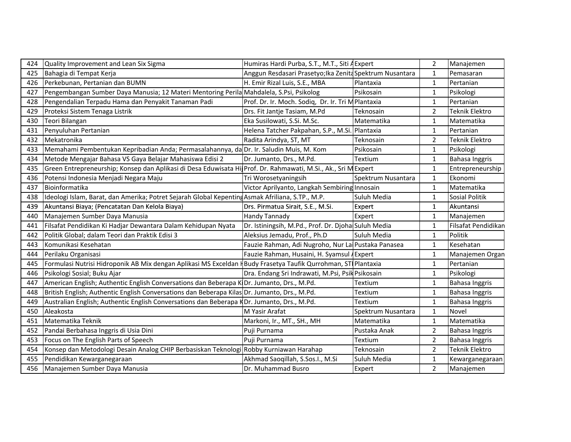| 424 | Quality Improvement and Lean Six Sigma                                                                         | Humiras Hardi Purba, S.T., M.T., Siti A Expert           |                    | $\overline{2}$ | Manajemen             |
|-----|----------------------------------------------------------------------------------------------------------------|----------------------------------------------------------|--------------------|----------------|-----------------------|
| 425 | Bahagia di Tempat Kerja                                                                                        | Anggun Resdasari Prasetyo; Ika Zenita Spektrum Nusantara |                    |                | Pemasaran             |
| 426 | Perkebunan, Pertanian dan BUMN                                                                                 | H. Emir Rizal Luis, S.E., MBA                            | Plantaxia          | -1             | Pertanian             |
| 427 | Pengembangan Sumber Daya Manusia; 12 Materi Mentoring Perila Mahdalela, S.Psi, Psikolog                        |                                                          | Psikosain          |                | Psikologi             |
| 428 | Pengendalian Terpadu Hama dan Penyakit Tanaman Padi                                                            | Prof. Dr. Ir. Moch. Sodiq, Dr. Ir. Tri M Plantaxia       |                    |                | Pertanian             |
| 429 | Proteksi Sistem Tenaga Listrik                                                                                 | Drs. Fit Jantje Tasiam, M.Pd                             | <b>Teknosain</b>   | $\overline{2}$ | <b>Teknik Elektro</b> |
| 430 | Teori Bilangan                                                                                                 | Eka Susilowati, S.Si. M.Sc.                              | Matematika         | $\mathbf{1}$   | Matematika            |
| 431 | Penyuluhan Pertanian                                                                                           | Helena Tatcher Pakpahan, S.P., M.Si. Plantaxia           |                    | -1             | Pertanian             |
| 432 | Mekatronika                                                                                                    | Radita Arindya, ST, MT                                   | Teknosain          | $\overline{2}$ | Teknik Elektro        |
| 433 | Memahami Pembentukan Kepribadian Anda; Permasalahannya, da Dr. Ir. Saludin Muis, M. Kom                        |                                                          | Psikosain          |                | Psikologi             |
| 434 | Metode Mengajar Bahasa VS Gaya Belajar Mahasiswa Edisi 2                                                       | Dr. Jumanto, Drs., M.Pd.                                 | Textium            |                | <b>Bahasa Inggris</b> |
| 435 | Green Entrepreneurship; Konsep dan Aplikasi di Desa Eduwisata HilProf. Dr. Rahmawati, M.Si., Ak., Sri M Expert |                                                          |                    |                | Entrepreneurship      |
| 436 | Potensi Indonesia Menjadi Negara Maju                                                                          | Tri Worosetyaningsih                                     | Spektrum Nusantara |                | Ekonomi               |
| 437 | Bioinformatika                                                                                                 | Victor Aprilyanto, Langkah Sembiring Innosain            |                    |                | Matematika            |
| 438 | Ideologi Islam, Barat, dan Amerika; Potret Sejarah Global Kepenting Asmak Afriliana, S.TP., M.P.               |                                                          | Suluh Media        |                | Sosial Politik        |
| 439 | Akuntansi Biaya; (Pencatatan Dan Kelola Biaya)                                                                 | Drs. Pirmatua Sirait, S.E., M.Si.                        | Expert             |                | Akuntansi             |
| 440 | Manajemen Sumber Daya Manusia                                                                                  | Handy Tannady                                            | Expert             |                | Manajemen             |
| 441 | Filsafat Pendidikan Ki Hadjar Dewantara Dalam Kehidupan Nyata                                                  | Dr. Istiningsih, M.Pd., Prof. Dr. Djoha Suluh Media      |                    |                | Filsafat Pendidikan   |
| 442 | Politik Global; dalam Teori dan Praktik Edisi 3                                                                | Aleksius Jemadu, Prof., Ph.D                             | Suluh Media        |                | Politik               |
| 443 | Komunikasi Kesehatan                                                                                           | Fauzie Rahman, Adi Nugroho, Nur Lai Pustaka Panasea      |                    |                | Kesehatan             |
| 444 | Perilaku Organisasi                                                                                            | Fauzie Rahman, Husaini, H. Syamsul A Expert              |                    |                | Manajemen Organ       |
| 445 | Formulasi Nutrisi Hidroponik AB Mix dengan Aplikasi MS Exceldan HBudy Frasetya Taufik Qurrohman, STI Plantaxia |                                                          |                    | -1             | Pertanian             |
| 446 | Psikologi Sosial; Buku Ajar                                                                                    | Dra. Endang Sri Indrawati, M.Psi, Psik Psikosain         |                    |                | Psikologi             |
| 447 | American English; Authentic English Conversations dan Beberapa K Dr. Jumanto, Drs., M.Pd.                      |                                                          | Textium            |                | <b>Bahasa Inggris</b> |
| 448 | British English; Authentic English Conversations dan Beberapa Kilas Dr. Jumanto, Drs., M.Pd.                   |                                                          | Textium            |                | Bahasa Inggris        |
| 449 | Australian English; Authentic English Conversations dan Beberapa KDr. Jumanto, Drs., M.Pd.                     |                                                          | Textium            |                | Bahasa Inggris        |
| 450 | Aleakosta                                                                                                      | M Yasir Arafat                                           | Spektrum Nusantara | $\mathbf{1}$   | Novel                 |
| 451 | Matematika Teknik                                                                                              | Markoni, Ir., MT., SH., MH                               | Matematika         |                | Matematika            |
| 452 | Pandai Berbahasa Inggris di Usia Dini                                                                          | Puji Purnama                                             | Pustaka Anak       | $\overline{2}$ | Bahasa Inggris        |
| 453 | Focus on The English Parts of Speech                                                                           | Puji Purnama                                             | Textium            | $\overline{2}$ | <b>Bahasa Inggris</b> |
| 454 | Konsep dan Metodologi Desain Analog CHIP Berbasiskan Teknologi Robby Kurniawan Harahap                         |                                                          | Teknosain          | -2             | Teknik Elektro        |
| 455 | Pendidikan Kewarganegaraan                                                                                     | Akhmad Saoqillah, S.Sos.I., M.Si                         | Suluh Media        |                | Kewarganegaraan       |
| 456 | Manajemen Sumber Daya Manusia                                                                                  | Dr. Muhammad Busro                                       | Expert             | $\overline{2}$ | Manajemen             |